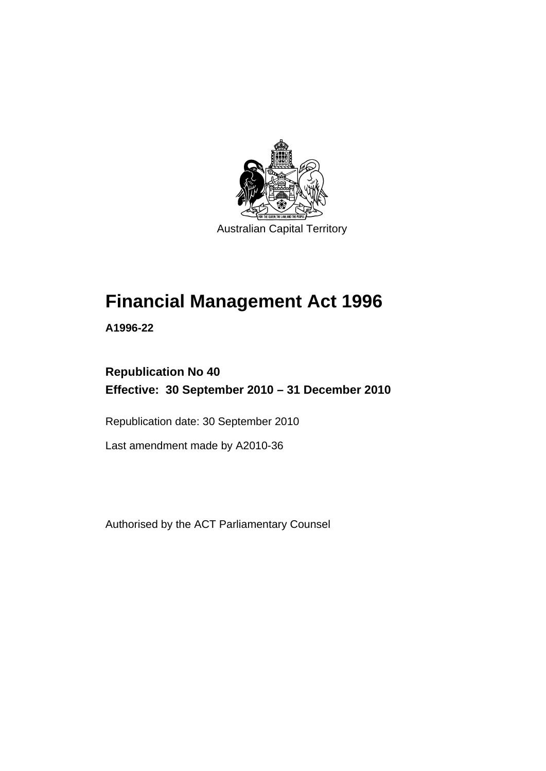

# **[Financial Management Act 1996](#page-10-0)**

**A1996-22** 

# **Republication No 40 Effective: 30 September 2010 – 31 December 2010**

Republication date: 30 September 2010

Last amendment made by A2010-36

Authorised by the ACT Parliamentary Counsel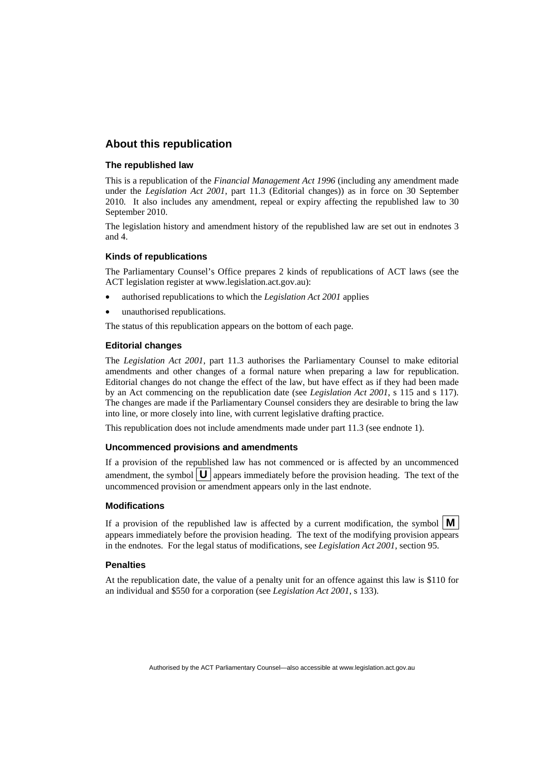#### **About this republication**

#### **The republished law**

This is a republication of the *Financial Management Act 1996* (including any amendment made under the *Legislation Act 2001*, part 11.3 (Editorial changes)) as in force on 30 September 2010*.* It also includes any amendment, repeal or expiry affecting the republished law to 30 September 2010.

The legislation history and amendment history of the republished law are set out in endnotes 3 and 4.

#### **Kinds of republications**

The Parliamentary Counsel's Office prepares 2 kinds of republications of ACT laws (see the ACT legislation register at www.legislation.act.gov.au):

- authorised republications to which the *Legislation Act 2001* applies
- unauthorised republications.

The status of this republication appears on the bottom of each page.

#### **Editorial changes**

The *Legislation Act 2001*, part 11.3 authorises the Parliamentary Counsel to make editorial amendments and other changes of a formal nature when preparing a law for republication. Editorial changes do not change the effect of the law, but have effect as if they had been made by an Act commencing on the republication date (see *Legislation Act 2001*, s 115 and s 117). The changes are made if the Parliamentary Counsel considers they are desirable to bring the law into line, or more closely into line, with current legislative drafting practice.

This republication does not include amendments made under part 11.3 (see endnote 1).

#### **Uncommenced provisions and amendments**

If a provision of the republished law has not commenced or is affected by an uncommenced amendment, the symbol  $\mathbf{U}$  appears immediately before the provision heading. The text of the uncommenced provision or amendment appears only in the last endnote.

#### **Modifications**

If a provision of the republished law is affected by a current modification, the symbol  $\mathbf{M}$ appears immediately before the provision heading. The text of the modifying provision appears in the endnotes. For the legal status of modifications, see *Legislation Act 2001*, section 95.

#### **Penalties**

At the republication date, the value of a penalty unit for an offence against this law is \$110 for an individual and \$550 for a corporation (see *Legislation Act 2001*, s 133).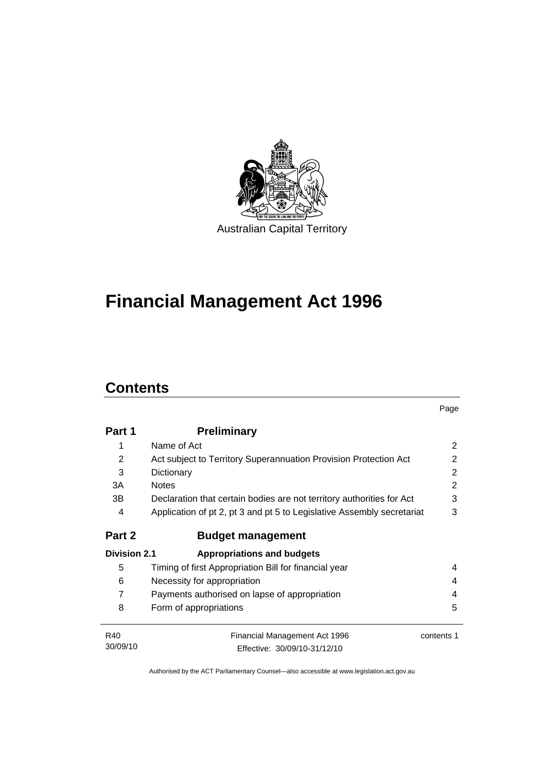

# **[Financial Management Act 1996](#page-10-0)**

# **Contents**

|                     |                                                                        | Page       |
|---------------------|------------------------------------------------------------------------|------------|
| Part 1              | <b>Preliminary</b>                                                     |            |
| 1                   | Name of Act                                                            | 2          |
| 2                   | Act subject to Territory Superannuation Provision Protection Act       | 2          |
| 3                   | Dictionary                                                             | 2          |
| 3A                  | <b>Notes</b>                                                           | 2          |
| 3В                  | Declaration that certain bodies are not territory authorities for Act  | 3          |
| 4                   | Application of pt 2, pt 3 and pt 5 to Legislative Assembly secretariat | 3          |
| Part 2              | <b>Budget management</b>                                               |            |
| <b>Division 2.1</b> | <b>Appropriations and budgets</b>                                      |            |
| 5                   | Timing of first Appropriation Bill for financial year                  | 4          |
| 6                   | Necessity for appropriation                                            | 4          |
| 7                   | Payments authorised on lapse of appropriation                          |            |
| 8                   | Form of appropriations                                                 | 5          |
| R40                 | Financial Management Act 1996                                          | contents 1 |
| 30/09/10            | Effective: 30/09/10-31/12/10                                           |            |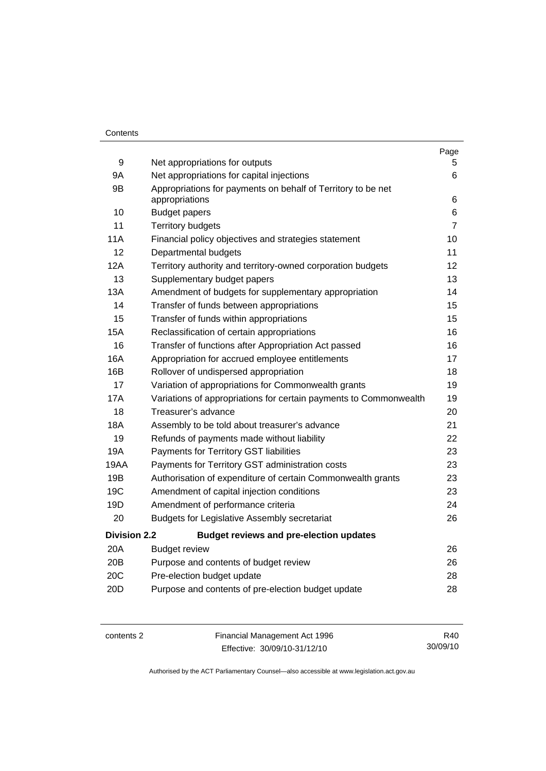#### **Contents**

|                                                                   | Page                                                                                                                                                               |
|-------------------------------------------------------------------|--------------------------------------------------------------------------------------------------------------------------------------------------------------------|
|                                                                   | 5.                                                                                                                                                                 |
|                                                                   | 6                                                                                                                                                                  |
| appropriations                                                    | 6                                                                                                                                                                  |
| <b>Budget papers</b>                                              | 6                                                                                                                                                                  |
| <b>Territory budgets</b>                                          | $\overline{7}$                                                                                                                                                     |
| Financial policy objectives and strategies statement              | 10                                                                                                                                                                 |
| Departmental budgets                                              | 11                                                                                                                                                                 |
| Territory authority and territory-owned corporation budgets       | 12                                                                                                                                                                 |
| Supplementary budget papers                                       | 13                                                                                                                                                                 |
| Amendment of budgets for supplementary appropriation              | 14                                                                                                                                                                 |
| Transfer of funds between appropriations                          | 15                                                                                                                                                                 |
| Transfer of funds within appropriations                           | 15                                                                                                                                                                 |
| Reclassification of certain appropriations                        | 16                                                                                                                                                                 |
| Transfer of functions after Appropriation Act passed              | 16                                                                                                                                                                 |
| Appropriation for accrued employee entitlements                   | 17                                                                                                                                                                 |
| Rollover of undispersed appropriation                             | 18                                                                                                                                                                 |
| Variation of appropriations for Commonwealth grants               | 19                                                                                                                                                                 |
| Variations of appropriations for certain payments to Commonwealth | 19                                                                                                                                                                 |
| Treasurer's advance                                               | 20                                                                                                                                                                 |
| Assembly to be told about treasurer's advance                     | 21                                                                                                                                                                 |
| Refunds of payments made without liability                        | 22                                                                                                                                                                 |
| Payments for Territory GST liabilities                            | 23                                                                                                                                                                 |
| Payments for Territory GST administration costs                   | 23                                                                                                                                                                 |
| Authorisation of expenditure of certain Commonwealth grants       | 23                                                                                                                                                                 |
| Amendment of capital injection conditions                         | 23                                                                                                                                                                 |
| Amendment of performance criteria                                 | 24                                                                                                                                                                 |
| <b>Budgets for Legislative Assembly secretariat</b>               | 26                                                                                                                                                                 |
| <b>Budget reviews and pre-election updates</b>                    |                                                                                                                                                                    |
| <b>Budget review</b>                                              | 26                                                                                                                                                                 |
| Purpose and contents of budget review                             | 26                                                                                                                                                                 |
| Pre-election budget update                                        | 28                                                                                                                                                                 |
| Purpose and contents of pre-election budget update                | 28                                                                                                                                                                 |
|                                                                   | Net appropriations for outputs<br>Net appropriations for capital injections<br>Appropriations for payments on behalf of Territory to be net<br><b>Division 2.2</b> |

contents 2 Financial Management Act 1996

Effective: 30/09/10-31/12/10

R40 30/09/10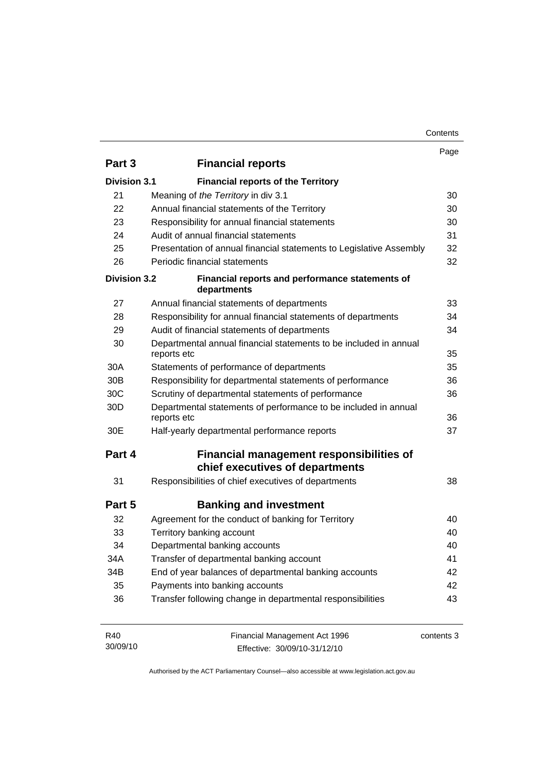| Contents |
|----------|
|----------|

|                     |                                                                                  | Page       |
|---------------------|----------------------------------------------------------------------------------|------------|
| Part 3              | <b>Financial reports</b>                                                         |            |
| <b>Division 3.1</b> | <b>Financial reports of the Territory</b>                                        |            |
| 21                  | Meaning of the Territory in div 3.1                                              | 30         |
| 22                  | Annual financial statements of the Territory                                     | 30         |
| 23                  | Responsibility for annual financial statements                                   | 30         |
| 24                  | Audit of annual financial statements                                             | 31         |
| 25                  | Presentation of annual financial statements to Legislative Assembly              | 32         |
| 26                  | Periodic financial statements                                                    | 32         |
| <b>Division 3.2</b> | Financial reports and performance statements of<br>departments                   |            |
| 27                  | Annual financial statements of departments                                       | 33         |
| 28                  | Responsibility for annual financial statements of departments                    | 34         |
| 29                  | Audit of financial statements of departments                                     | 34         |
| 30                  | Departmental annual financial statements to be included in annual<br>reports etc | 35         |
| 30A                 | Statements of performance of departments                                         | 35         |
| 30 <sub>B</sub>     | Responsibility for departmental statements of performance                        | 36         |
| 30 <sub>C</sub>     | Scrutiny of departmental statements of performance                               | 36         |
| 30 <sub>D</sub>     | Departmental statements of performance to be included in annual<br>reports etc   | 36         |
| 30E                 | Half-yearly departmental performance reports                                     | 37         |
| Part 4              | Financial management responsibilities of<br>chief executives of departments      |            |
| 31                  | Responsibilities of chief executives of departments                              | 38         |
| Part 5              | <b>Banking and investment</b>                                                    |            |
| 32                  | Agreement for the conduct of banking for Territory                               | 40         |
| 33                  | Territory banking account                                                        | 40         |
| 34                  | Departmental banking accounts                                                    | 40         |
| 34A                 | Transfer of departmental banking account                                         | 41         |
| 34B                 | End of year balances of departmental banking accounts                            | 42         |
| 35                  | Payments into banking accounts                                                   | 42         |
| 36                  | Transfer following change in departmental responsibilities                       | 43         |
| R40<br>30/09/10     | Financial Management Act 1996<br>Effective: 30/09/10-31/12/10                    | contents 3 |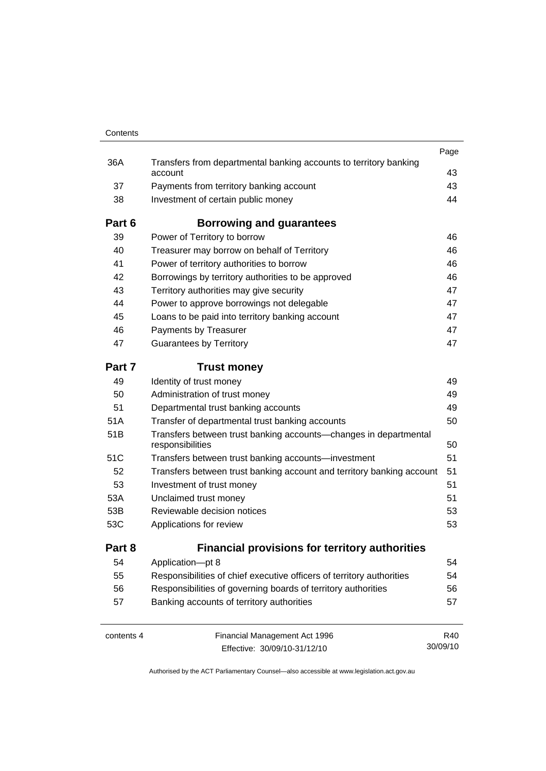| Contents   |                                                                                      |          |
|------------|--------------------------------------------------------------------------------------|----------|
|            |                                                                                      | Page     |
| 36A        | Transfers from departmental banking accounts to territory banking<br>account         | 43       |
| 37         | Payments from territory banking account                                              | 43       |
| 38         | Investment of certain public money                                                   | 44       |
| Part 6     | Borrowing and guarantees                                                             |          |
| 39         | Power of Territory to borrow                                                         | 46       |
| 40         | Treasurer may borrow on behalf of Territory                                          | 46       |
| 41         | Power of territory authorities to borrow                                             | 46       |
| 42         | Borrowings by territory authorities to be approved                                   | 46       |
| 43         | Territory authorities may give security                                              | 47       |
| 44         | Power to approve borrowings not delegable                                            | 47       |
| 45         | Loans to be paid into territory banking account                                      | 47       |
| 46         | Payments by Treasurer                                                                | 47       |
| 47         | <b>Guarantees by Territory</b>                                                       | 47       |
| Part 7     | <b>Trust money</b>                                                                   |          |
| 49         | Identity of trust money                                                              | 49       |
| 50         | Administration of trust money                                                        | 49       |
| 51         | Departmental trust banking accounts                                                  | 49       |
| 51A        | Transfer of departmental trust banking accounts                                      | 50       |
| 51B        | Transfers between trust banking accounts-changes in departmental<br>responsibilities | 50       |
| 51C        | Transfers between trust banking accounts—investment                                  | 51       |
| 52         | Transfers between trust banking account and territory banking account                | 51       |
| 53         | Investment of trust money                                                            | 51       |
| 53A        | Unclaimed trust money                                                                | 51       |
| 53B        | Reviewable decision notices                                                          | 53       |
| 53C        | Applications for review                                                              | 53       |
| Part 8     | <b>Financial provisions for territory authorities</b>                                |          |
| 54         | Application-pt 8                                                                     | 54       |
| 55         | Responsibilities of chief executive officers of territory authorities                | 54       |
| 56         | Responsibilities of governing boards of territory authorities                        | 56       |
| 57         | Banking accounts of territory authorities                                            | 57       |
| contents 4 | Financial Management Act 1996                                                        | R40      |
|            | Effective: 30/09/10-31/12/10                                                         | 30/09/10 |

Effective: 30/09/10-31/12/10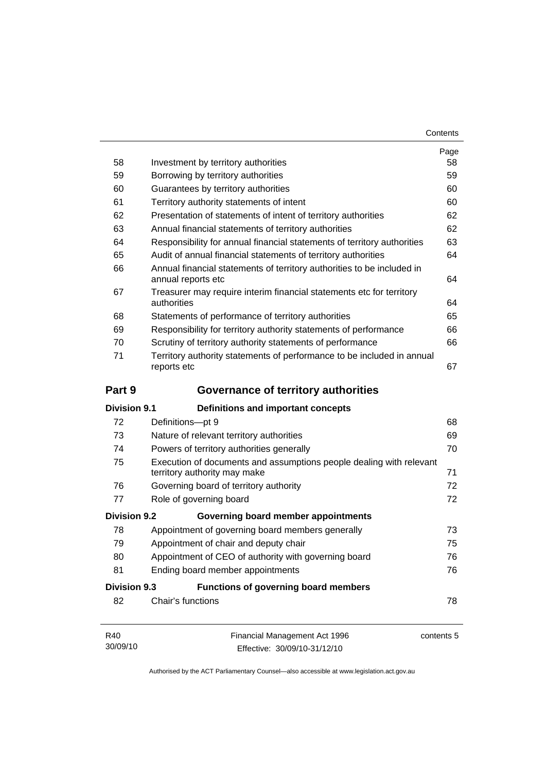| Contents |
|----------|
|----------|

|                                           |                                                                                                     | Page<br>58 |  |
|-------------------------------------------|-----------------------------------------------------------------------------------------------------|------------|--|
| 58                                        | Investment by territory authorities                                                                 |            |  |
| 59                                        | Borrowing by territory authorities                                                                  |            |  |
| Guarantees by territory authorities<br>60 |                                                                                                     |            |  |
| 61                                        | Territory authority statements of intent                                                            |            |  |
| 62                                        | Presentation of statements of intent of territory authorities                                       | 62         |  |
| 63                                        | Annual financial statements of territory authorities                                                | 62         |  |
| 64                                        | Responsibility for annual financial statements of territory authorities                             | 63         |  |
| 65                                        | Audit of annual financial statements of territory authorities                                       | 64         |  |
| 66                                        | Annual financial statements of territory authorities to be included in<br>annual reports etc        | 64         |  |
| 67                                        | Treasurer may require interim financial statements etc for territory<br>authorities                 | 64         |  |
| 68                                        | Statements of performance of territory authorities                                                  | 65         |  |
| 69                                        | Responsibility for territory authority statements of performance                                    | 66         |  |
| 70                                        | Scrutiny of territory authority statements of performance                                           | 66         |  |
| 71                                        | Territory authority statements of performance to be included in annual<br>reports etc               | 67         |  |
| Part 9                                    | <b>Governance of territory authorities</b>                                                          |            |  |
| <b>Division 9.1</b>                       | Definitions and important concepts                                                                  |            |  |
| 72                                        | Definitions-pt 9                                                                                    | 68         |  |
| 73                                        | Nature of relevant territory authorities                                                            | 69         |  |
| 74                                        | Powers of territory authorities generally                                                           | 70         |  |
| 75                                        | Execution of documents and assumptions people dealing with relevant<br>territory authority may make | 71         |  |
| 76                                        | Governing board of territory authority                                                              | 72         |  |
| 77                                        | Role of governing board                                                                             | 72         |  |
| <b>Division 9.2</b>                       | Governing board member appointments                                                                 |            |  |
| 78                                        | Appointment of governing board members generally                                                    | 73         |  |
| 79                                        | Appointment of chair and deputy chair                                                               | 75         |  |
| 80                                        | Appointment of CEO of authority with governing board                                                | 76         |  |
| 81                                        | Ending board member appointments                                                                    | 76         |  |
| <b>Division 9.3</b>                       | <b>Functions of governing board members</b>                                                         |            |  |
| 82                                        | Chair's functions                                                                                   | 78         |  |
| R40<br>30/09/10                           | Financial Management Act 1996                                                                       | contents 5 |  |

Authorised by the ACT Parliamentary Counsel—also accessible at www.legislation.act.gov.au

Effective: 30/09/10-31/12/10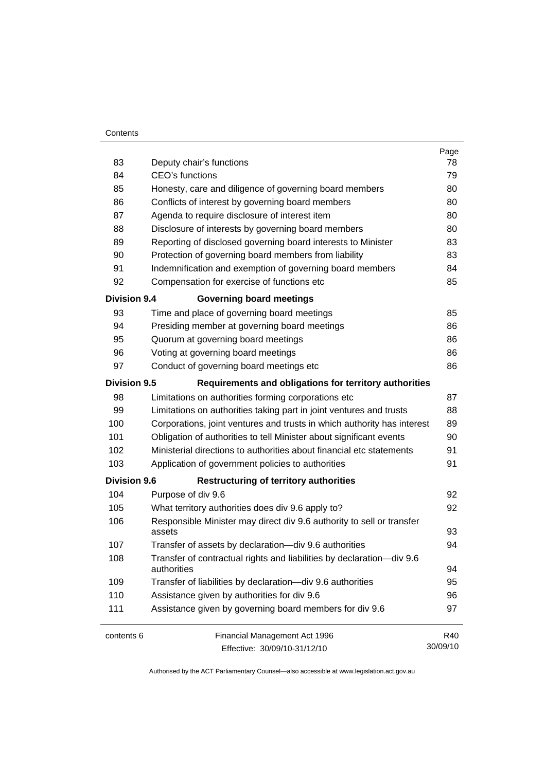#### **Contents**

|                     |                                                                                      | Page     |  |  |
|---------------------|--------------------------------------------------------------------------------------|----------|--|--|
| 83                  | Deputy chair's functions                                                             |          |  |  |
| 84                  | <b>CEO's functions</b>                                                               |          |  |  |
| 85                  | Honesty, care and diligence of governing board members                               |          |  |  |
| 86                  | Conflicts of interest by governing board members                                     |          |  |  |
| 87                  | Agenda to require disclosure of interest item                                        |          |  |  |
| 88                  | Disclosure of interests by governing board members                                   | 80       |  |  |
| 89                  | Reporting of disclosed governing board interests to Minister                         | 83       |  |  |
| 90                  | Protection of governing board members from liability                                 | 83       |  |  |
| 91                  | Indemnification and exemption of governing board members                             | 84       |  |  |
| 92                  | Compensation for exercise of functions etc                                           | 85       |  |  |
| <b>Division 9.4</b> | <b>Governing board meetings</b>                                                      |          |  |  |
| 93                  | Time and place of governing board meetings                                           | 85       |  |  |
| 94                  | Presiding member at governing board meetings                                         | 86       |  |  |
| 95                  | Quorum at governing board meetings                                                   | 86       |  |  |
| 96                  | Voting at governing board meetings                                                   | 86       |  |  |
| 97                  | Conduct of governing board meetings etc                                              | 86       |  |  |
| <b>Division 9.5</b> | Requirements and obligations for territory authorities                               |          |  |  |
| 98                  | Limitations on authorities forming corporations etc                                  | 87       |  |  |
| 99                  | Limitations on authorities taking part in joint ventures and trusts                  | 88       |  |  |
| 100                 | Corporations, joint ventures and trusts in which authority has interest              | 89       |  |  |
| 101                 | Obligation of authorities to tell Minister about significant events                  | 90       |  |  |
| 102                 | Ministerial directions to authorities about financial etc statements                 | 91       |  |  |
| 103                 | Application of government policies to authorities                                    |          |  |  |
| <b>Division 9.6</b> | <b>Restructuring of territory authorities</b>                                        |          |  |  |
| 104                 | Purpose of div 9.6                                                                   | 92       |  |  |
| 105                 | What territory authorities does div 9.6 apply to?                                    | 92       |  |  |
| 106                 | Responsible Minister may direct div 9.6 authority to sell or transfer<br>assets      |          |  |  |
| 107                 | Transfer of assets by declaration-div 9.6 authorities                                | 94       |  |  |
| 108                 | Transfer of contractual rights and liabilities by declaration-div 9.6<br>authorities |          |  |  |
| 109                 | Transfer of liabilities by declaration-div 9.6 authorities                           | 95       |  |  |
| 110                 | Assistance given by authorities for div 9.6                                          | 96       |  |  |
| 111                 | Assistance given by governing board members for div 9.6                              |          |  |  |
| contents 6          | Financial Management Act 1996                                                        | R40      |  |  |
|                     | Effective: 30/09/10-31/12/10                                                         | 30/09/10 |  |  |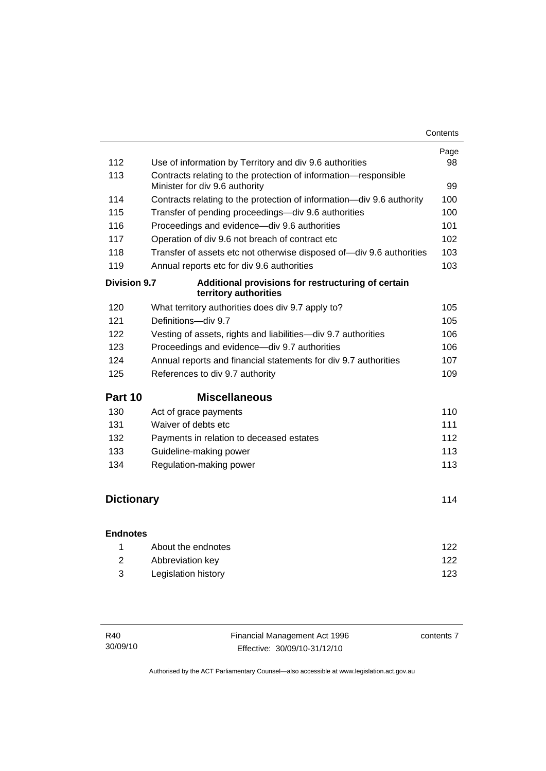|                     |                                                                                                   | Page |
|---------------------|---------------------------------------------------------------------------------------------------|------|
| 112                 | Use of information by Territory and div 9.6 authorities                                           | 98   |
| 113                 | Contracts relating to the protection of information-responsible<br>Minister for div 9.6 authority | 99   |
| 114                 | Contracts relating to the protection of information—div 9.6 authority                             | 100  |
| 115                 | Transfer of pending proceedings-div 9.6 authorities                                               | 100  |
| 116                 | Proceedings and evidence-div 9.6 authorities                                                      | 101  |
| 117                 | Operation of div 9.6 not breach of contract etc                                                   | 102  |
| 118                 | Transfer of assets etc not otherwise disposed of-div 9.6 authorities                              | 103  |
| 119                 | Annual reports etc for div 9.6 authorities                                                        | 103  |
| <b>Division 9.7</b> | Additional provisions for restructuring of certain<br>territory authorities                       |      |
| 120                 | What territory authorities does div 9.7 apply to?                                                 | 105  |
| 121                 | Definitions-div 9.7                                                                               | 105  |
| 122                 | Vesting of assets, rights and liabilities-div 9.7 authorities                                     | 106  |
| 123                 | Proceedings and evidence-div 9.7 authorities                                                      | 106  |
| 124                 | Annual reports and financial statements for div 9.7 authorities                                   | 107  |
| 125                 | References to div 9.7 authority                                                                   | 109  |
| Part 10             | <b>Miscellaneous</b>                                                                              |      |
| 130                 | Act of grace payments                                                                             | 110  |
| 131                 | Waiver of debts etc                                                                               | 111  |
| 132                 | Payments in relation to deceased estates                                                          | 112  |
| 133                 | Guideline-making power                                                                            | 113  |
| 134                 | Regulation-making power                                                                           | 113  |
|                     |                                                                                                   |      |
| <b>Dictionary</b>   |                                                                                                   | 114  |
| <b>Endnotes</b>     |                                                                                                   |      |
|                     |                                                                                                   |      |

| About the endnotes  | 122 |
|---------------------|-----|
| Abbreviation key    | 122 |
| Legislation history | 123 |

| R40      | Financial Management Act 1996 | contents 7 |
|----------|-------------------------------|------------|
| 30/09/10 | Effective: 30/09/10-31/12/10  |            |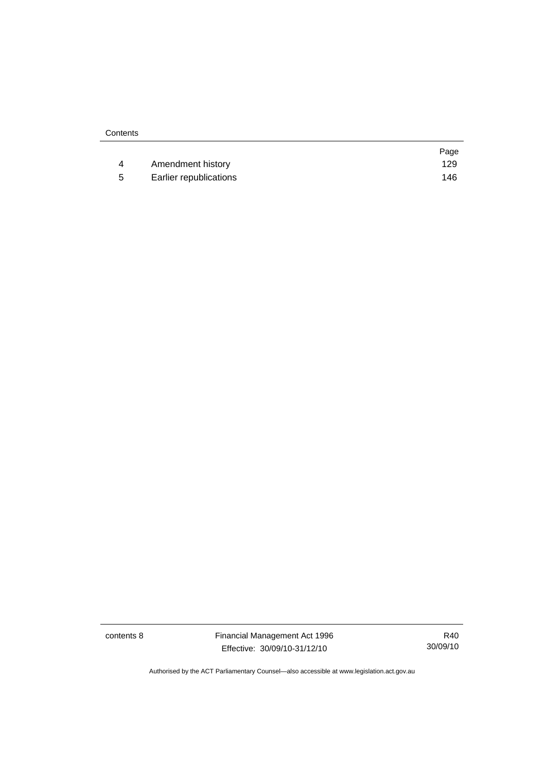|    |                        | Page |
|----|------------------------|------|
|    | Amendment history      | 129  |
| -5 | Earlier republications | 146  |

contents 8 Financial Management Act 1996 Effective: 30/09/10-31/12/10

R40 30/09/10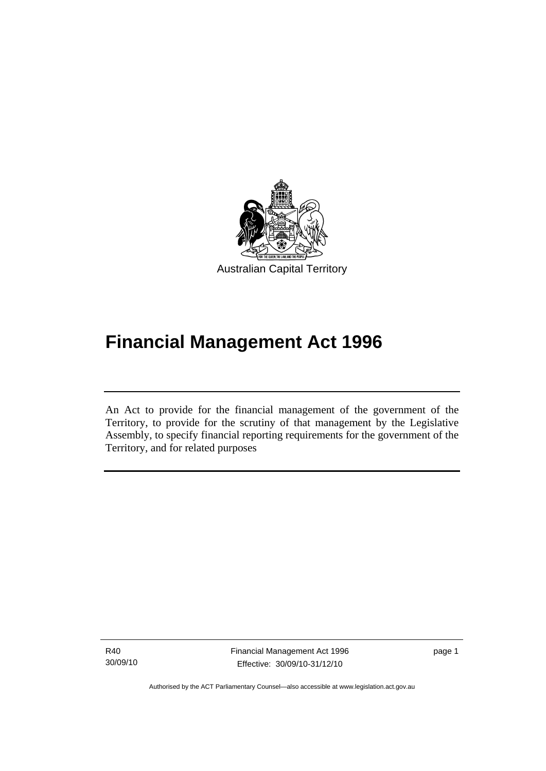<span id="page-10-0"></span>

# **Financial Management Act 1996**

An Act to provide for the financial management of the government of the Territory, to provide for the scrutiny of that management by the Legislative Assembly, to specify financial reporting requirements for the government of the Territory, and for related purposes

R40 30/09/10

I

Financial Management Act 1996 Effective: 30/09/10-31/12/10

page 1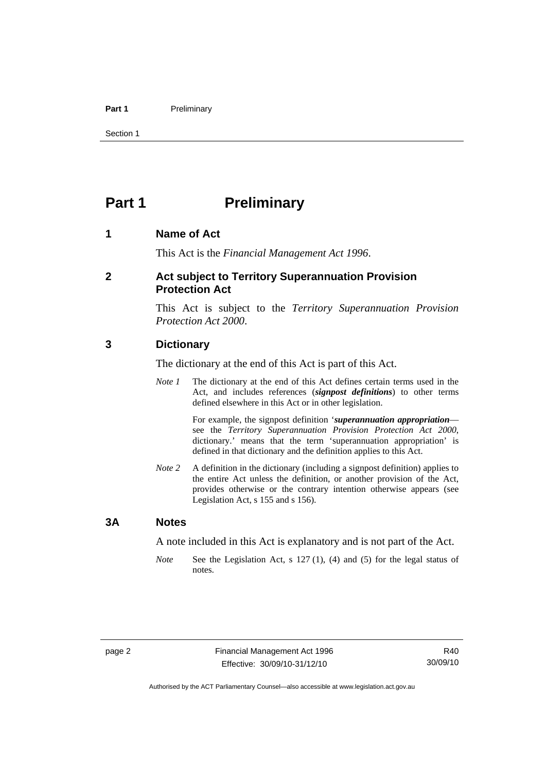#### <span id="page-11-0"></span>Part 1 **Preliminary**

Section 1

# **Part 1** Preliminary

#### **1 Name of Act**

This Act is the *Financial Management Act 1996*.

#### **2 Act subject to Territory Superannuation Provision Protection Act**

This Act is subject to the *Territory Superannuation Provision Protection Act 2000*.

#### **3 Dictionary**

The dictionary at the end of this Act is part of this Act.

*Note 1* The dictionary at the end of this Act defines certain terms used in the Act, and includes references (*signpost definitions*) to other terms defined elsewhere in this Act or in other legislation.

> For example, the signpost definition '*superannuation appropriation* see the *Territory Superannuation Provision Protection Act 2000*, dictionary.' means that the term 'superannuation appropriation' is defined in that dictionary and the definition applies to this Act.

*Note 2* A definition in the dictionary (including a signpost definition) applies to the entire Act unless the definition, or another provision of the Act, provides otherwise or the contrary intention otherwise appears (see Legislation Act, s 155 and s 156).

#### **3A Notes**

A note included in this Act is explanatory and is not part of the Act.

*Note* See the Legislation Act, s 127 (1), (4) and (5) for the legal status of notes.

R40 30/09/10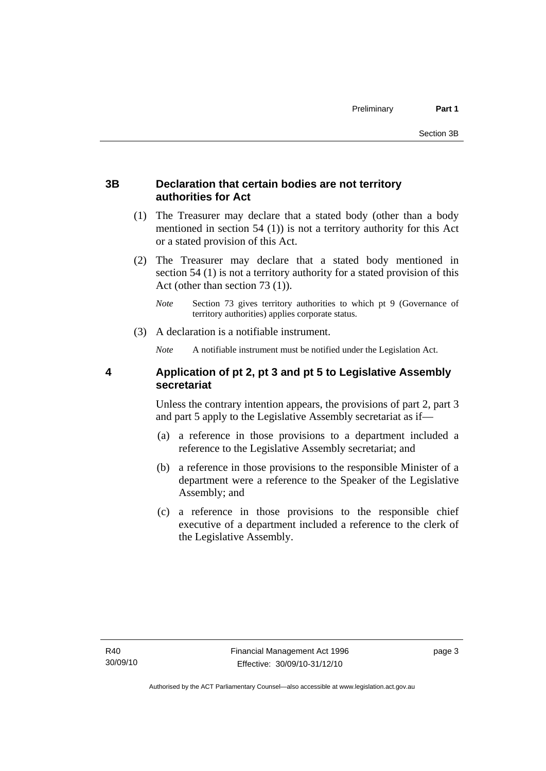# <span id="page-12-0"></span>**3B Declaration that certain bodies are not territory authorities for Act**

- (1) The Treasurer may declare that a stated body (other than a body mentioned in section 54 (1)) is not a territory authority for this Act or a stated provision of this Act.
- (2) The Treasurer may declare that a stated body mentioned in section 54 (1) is not a territory authority for a stated provision of this Act (other than section 73 (1)).
	- *Note* Section 73 gives territory authorities to which pt 9 (Governance of territory authorities) applies corporate status.
- (3) A declaration is a notifiable instrument.

*Note* A notifiable instrument must be notified under the Legislation Act.

# **4 Application of pt 2, pt 3 and pt 5 to Legislative Assembly secretariat**

Unless the contrary intention appears, the provisions of part 2, part 3 and part 5 apply to the Legislative Assembly secretariat as if—

- (a) a reference in those provisions to a department included a reference to the Legislative Assembly secretariat; and
- (b) a reference in those provisions to the responsible Minister of a department were a reference to the Speaker of the Legislative Assembly; and
- (c) a reference in those provisions to the responsible chief executive of a department included a reference to the clerk of the Legislative Assembly.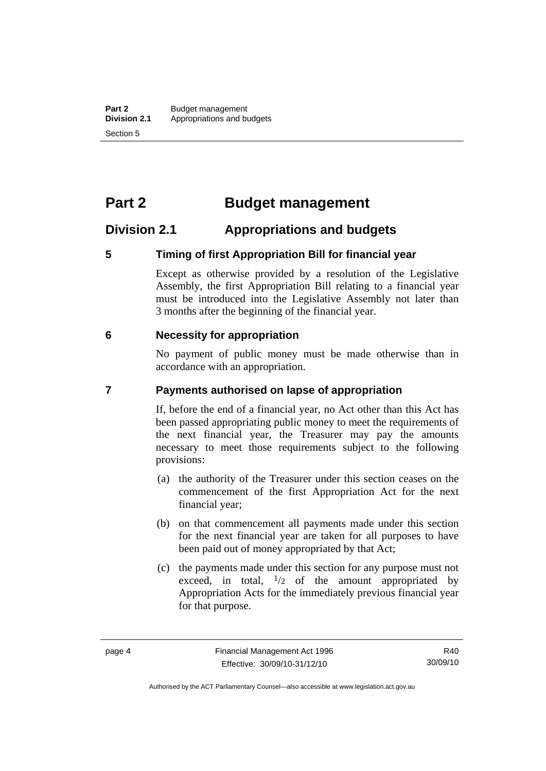# <span id="page-13-0"></span>**Part 2 Budget management**

# **Division 2.1 Appropriations and budgets**

### **5 Timing of first Appropriation Bill for financial year**

Except as otherwise provided by a resolution of the Legislative Assembly, the first Appropriation Bill relating to a financial year must be introduced into the Legislative Assembly not later than 3 months after the beginning of the financial year.

### **6 Necessity for appropriation**

No payment of public money must be made otherwise than in accordance with an appropriation.

### **7 Payments authorised on lapse of appropriation**

If, before the end of a financial year, no Act other than this Act has been passed appropriating public money to meet the requirements of the next financial year, the Treasurer may pay the amounts necessary to meet those requirements subject to the following provisions:

- (a) the authority of the Treasurer under this section ceases on the commencement of the first Appropriation Act for the next financial year;
- (b) on that commencement all payments made under this section for the next financial year are taken for all purposes to have been paid out of money appropriated by that Act;
- (c) the payments made under this section for any purpose must not exceed, in total,  $\frac{1}{2}$  of the amount appropriated by Appropriation Acts for the immediately previous financial year for that purpose.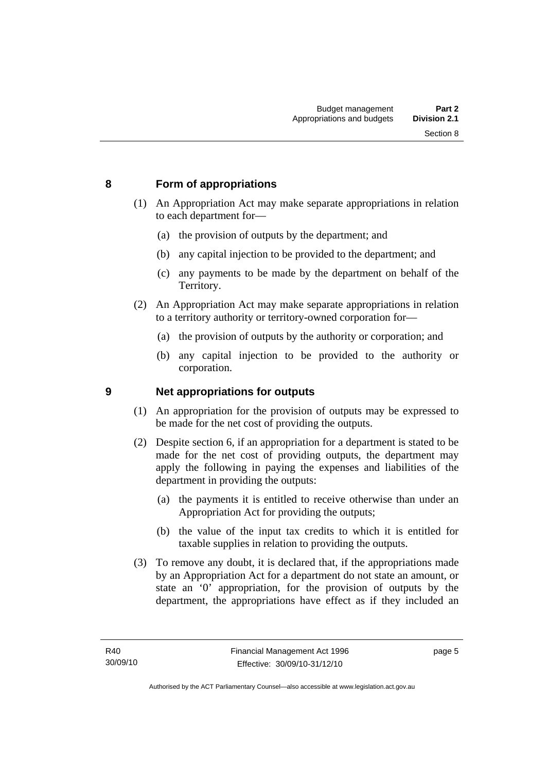# <span id="page-14-0"></span>**8 Form of appropriations**

- (1) An Appropriation Act may make separate appropriations in relation to each department for—
	- (a) the provision of outputs by the department; and
	- (b) any capital injection to be provided to the department; and
	- (c) any payments to be made by the department on behalf of the Territory.
- (2) An Appropriation Act may make separate appropriations in relation to a territory authority or territory-owned corporation for—
	- (a) the provision of outputs by the authority or corporation; and
	- (b) any capital injection to be provided to the authority or corporation.

# **9 Net appropriations for outputs**

- (1) An appropriation for the provision of outputs may be expressed to be made for the net cost of providing the outputs.
- (2) Despite section 6, if an appropriation for a department is stated to be made for the net cost of providing outputs, the department may apply the following in paying the expenses and liabilities of the department in providing the outputs:
	- (a) the payments it is entitled to receive otherwise than under an Appropriation Act for providing the outputs;
	- (b) the value of the input tax credits to which it is entitled for taxable supplies in relation to providing the outputs.
- (3) To remove any doubt, it is declared that, if the appropriations made by an Appropriation Act for a department do not state an amount, or state an '0' appropriation, for the provision of outputs by the department, the appropriations have effect as if they included an

page 5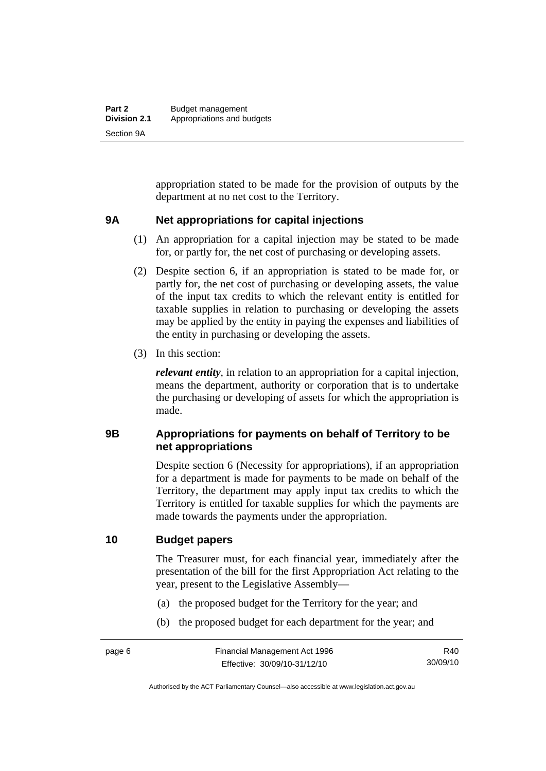<span id="page-15-0"></span>appropriation stated to be made for the provision of outputs by the department at no net cost to the Territory.

#### **9A Net appropriations for capital injections**

- (1) An appropriation for a capital injection may be stated to be made for, or partly for, the net cost of purchasing or developing assets.
- (2) Despite section 6, if an appropriation is stated to be made for, or partly for, the net cost of purchasing or developing assets, the value of the input tax credits to which the relevant entity is entitled for taxable supplies in relation to purchasing or developing the assets may be applied by the entity in paying the expenses and liabilities of the entity in purchasing or developing the assets.
- (3) In this section:

*relevant entity*, in relation to an appropriation for a capital injection, means the department, authority or corporation that is to undertake the purchasing or developing of assets for which the appropriation is made.

# **9B Appropriations for payments on behalf of Territory to be net appropriations**

Despite section 6 (Necessity for appropriations), if an appropriation for a department is made for payments to be made on behalf of the Territory, the department may apply input tax credits to which the Territory is entitled for taxable supplies for which the payments are made towards the payments under the appropriation.

# **10 Budget papers**

The Treasurer must, for each financial year, immediately after the presentation of the bill for the first Appropriation Act relating to the year, present to the Legislative Assembly—

- (a) the proposed budget for the Territory for the year; and
- (b) the proposed budget for each department for the year; and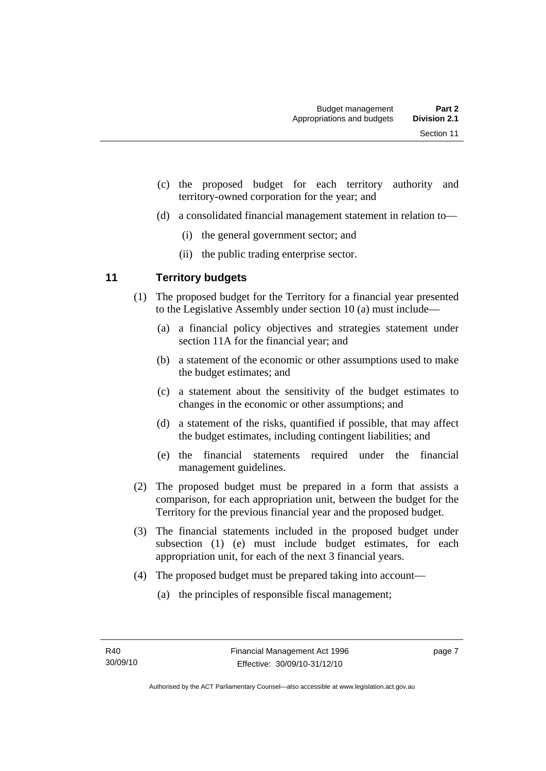- <span id="page-16-0"></span> (c) the proposed budget for each territory authority and territory-owned corporation for the year; and
- (d) a consolidated financial management statement in relation to—
	- (i) the general government sector; and
	- (ii) the public trading enterprise sector.

# **11 Territory budgets**

- (1) The proposed budget for the Territory for a financial year presented to the Legislative Assembly under section 10 (a) must include—
	- (a) a financial policy objectives and strategies statement under section 11A for the financial year; and
	- (b) a statement of the economic or other assumptions used to make the budget estimates; and
	- (c) a statement about the sensitivity of the budget estimates to changes in the economic or other assumptions; and
	- (d) a statement of the risks, quantified if possible, that may affect the budget estimates, including contingent liabilities; and
	- (e) the financial statements required under the financial management guidelines.
- (2) The proposed budget must be prepared in a form that assists a comparison, for each appropriation unit, between the budget for the Territory for the previous financial year and the proposed budget.
- (3) The financial statements included in the proposed budget under subsection (1) (e) must include budget estimates, for each appropriation unit, for each of the next 3 financial years.
- (4) The proposed budget must be prepared taking into account—
	- (a) the principles of responsible fiscal management;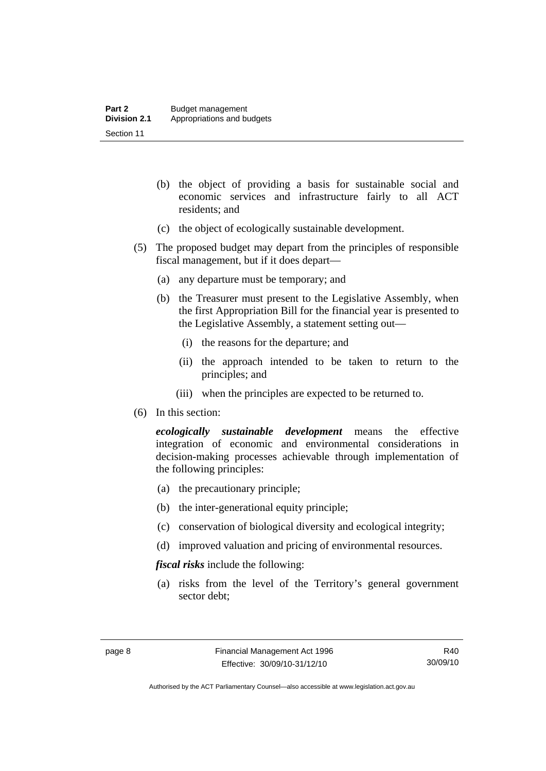- (b) the object of providing a basis for sustainable social and economic services and infrastructure fairly to all ACT residents; and
- (c) the object of ecologically sustainable development.
- (5) The proposed budget may depart from the principles of responsible fiscal management, but if it does depart—
	- (a) any departure must be temporary; and
	- (b) the Treasurer must present to the Legislative Assembly, when the first Appropriation Bill for the financial year is presented to the Legislative Assembly, a statement setting out—
		- (i) the reasons for the departure; and
		- (ii) the approach intended to be taken to return to the principles; and
		- (iii) when the principles are expected to be returned to.
- (6) In this section:

*ecologically sustainable development* means the effective integration of economic and environmental considerations in decision-making processes achievable through implementation of the following principles:

- (a) the precautionary principle;
- (b) the inter-generational equity principle;
- (c) conservation of biological diversity and ecological integrity;
- (d) improved valuation and pricing of environmental resources.

*fiscal risks* include the following:

 (a) risks from the level of the Territory's general government sector debt;

R40 30/09/10

Authorised by the ACT Parliamentary Counsel—also accessible at www.legislation.act.gov.au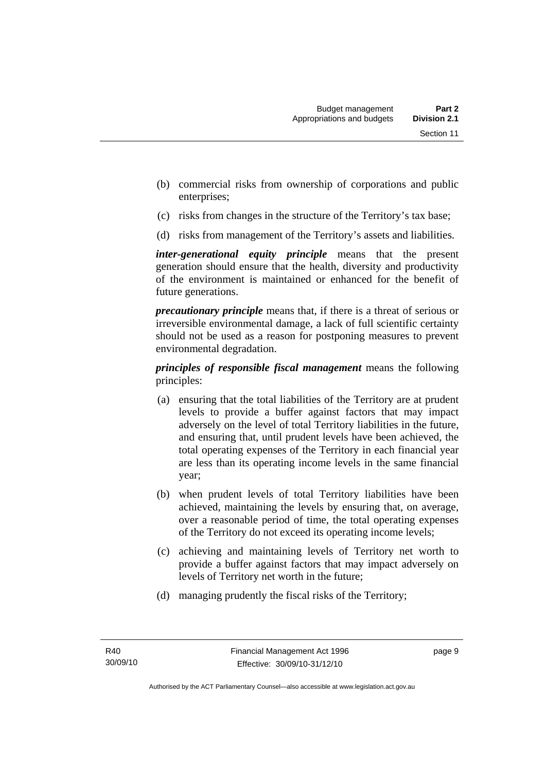- (b) commercial risks from ownership of corporations and public enterprises;
- (c) risks from changes in the structure of the Territory's tax base;
- (d) risks from management of the Territory's assets and liabilities.

*inter-generational equity principle* means that the present generation should ensure that the health, diversity and productivity of the environment is maintained or enhanced for the benefit of future generations.

*precautionary principle* means that, if there is a threat of serious or irreversible environmental damage, a lack of full scientific certainty should not be used as a reason for postponing measures to prevent environmental degradation.

*principles of responsible fiscal management* means the following principles:

- (a) ensuring that the total liabilities of the Territory are at prudent levels to provide a buffer against factors that may impact adversely on the level of total Territory liabilities in the future, and ensuring that, until prudent levels have been achieved, the total operating expenses of the Territory in each financial year are less than its operating income levels in the same financial year;
- (b) when prudent levels of total Territory liabilities have been achieved, maintaining the levels by ensuring that, on average, over a reasonable period of time, the total operating expenses of the Territory do not exceed its operating income levels;
- (c) achieving and maintaining levels of Territory net worth to provide a buffer against factors that may impact adversely on levels of Territory net worth in the future;
- (d) managing prudently the fiscal risks of the Territory;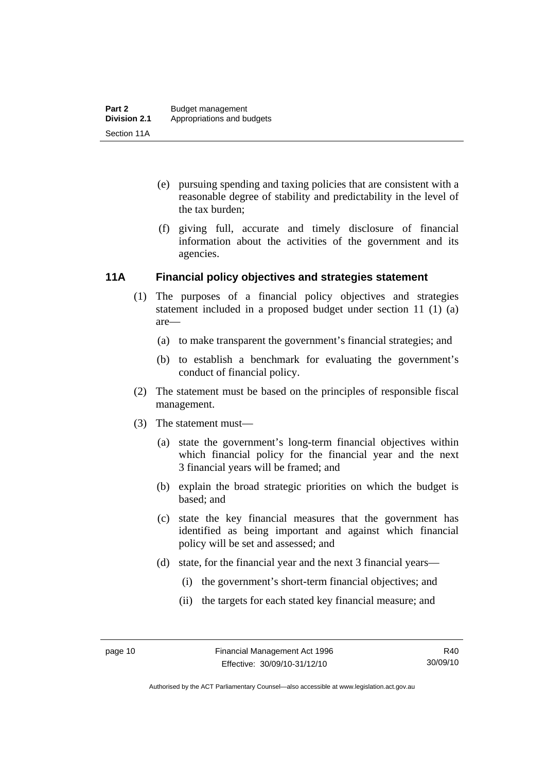- <span id="page-19-0"></span> (e) pursuing spending and taxing policies that are consistent with a reasonable degree of stability and predictability in the level of the tax burden;
- (f) giving full, accurate and timely disclosure of financial information about the activities of the government and its agencies.

### **11A Financial policy objectives and strategies statement**

- (1) The purposes of a financial policy objectives and strategies statement included in a proposed budget under section 11 (1) (a) are—
	- (a) to make transparent the government's financial strategies; and
	- (b) to establish a benchmark for evaluating the government's conduct of financial policy.
- (2) The statement must be based on the principles of responsible fiscal management.
- (3) The statement must—
	- (a) state the government's long-term financial objectives within which financial policy for the financial year and the next 3 financial years will be framed; and
	- (b) explain the broad strategic priorities on which the budget is based; and
	- (c) state the key financial measures that the government has identified as being important and against which financial policy will be set and assessed; and
	- (d) state, for the financial year and the next 3 financial years—
		- (i) the government's short-term financial objectives; and
		- (ii) the targets for each stated key financial measure; and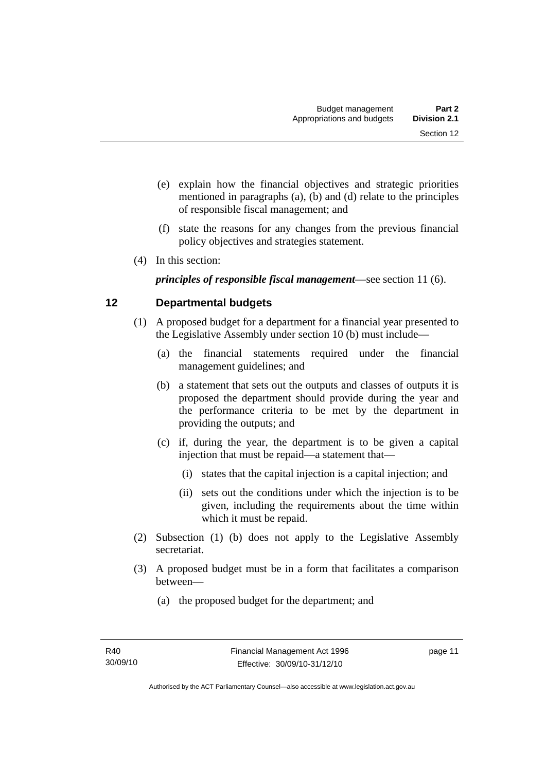- <span id="page-20-0"></span> (e) explain how the financial objectives and strategic priorities mentioned in paragraphs (a), (b) and (d) relate to the principles of responsible fiscal management; and
- (f) state the reasons for any changes from the previous financial policy objectives and strategies statement.
- (4) In this section:

*principles of responsible fiscal management*—see section 11 (6).

# **12 Departmental budgets**

- (1) A proposed budget for a department for a financial year presented to the Legislative Assembly under section 10 (b) must include—
	- (a) the financial statements required under the financial management guidelines; and
	- (b) a statement that sets out the outputs and classes of outputs it is proposed the department should provide during the year and the performance criteria to be met by the department in providing the outputs; and
	- (c) if, during the year, the department is to be given a capital injection that must be repaid—a statement that—
		- (i) states that the capital injection is a capital injection; and
		- (ii) sets out the conditions under which the injection is to be given, including the requirements about the time within which it must be repaid.
- (2) Subsection (1) (b) does not apply to the Legislative Assembly secretariat.
- (3) A proposed budget must be in a form that facilitates a comparison between—
	- (a) the proposed budget for the department; and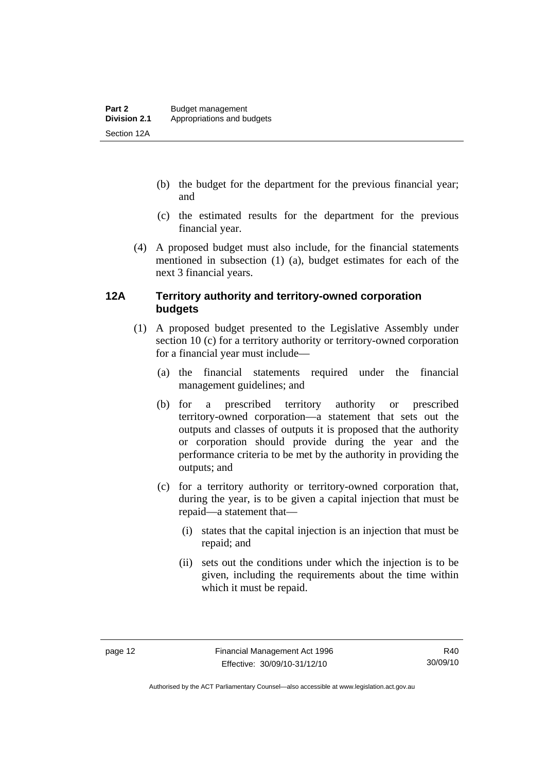- <span id="page-21-0"></span> (b) the budget for the department for the previous financial year; and
- (c) the estimated results for the department for the previous financial year.
- (4) A proposed budget must also include, for the financial statements mentioned in subsection (1) (a), budget estimates for each of the next 3 financial years.

# **12A Territory authority and territory-owned corporation budgets**

- (1) A proposed budget presented to the Legislative Assembly under section 10 (c) for a territory authority or territory-owned corporation for a financial year must include—
	- (a) the financial statements required under the financial management guidelines; and
	- (b) for a prescribed territory authority or prescribed territory-owned corporation—a statement that sets out the outputs and classes of outputs it is proposed that the authority or corporation should provide during the year and the performance criteria to be met by the authority in providing the outputs; and
	- (c) for a territory authority or territory-owned corporation that, during the year, is to be given a capital injection that must be repaid—a statement that—
		- (i) states that the capital injection is an injection that must be repaid; and
		- (ii) sets out the conditions under which the injection is to be given, including the requirements about the time within which it must be repaid.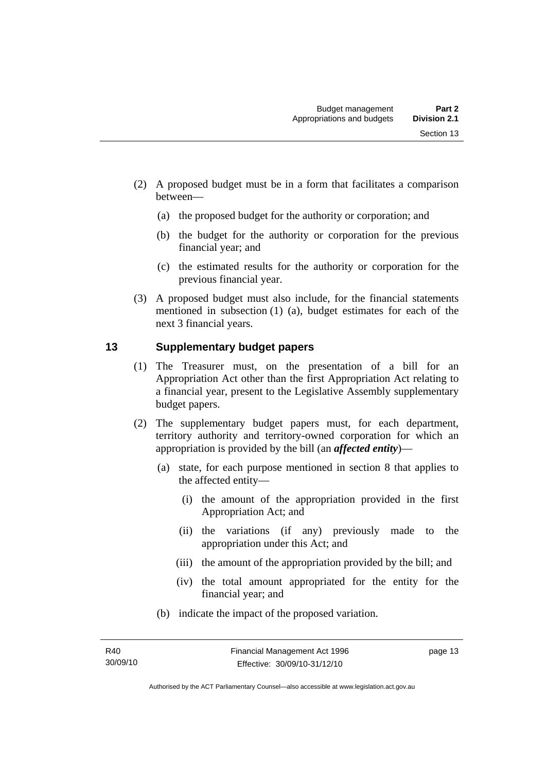- <span id="page-22-0"></span> (2) A proposed budget must be in a form that facilitates a comparison between—
	- (a) the proposed budget for the authority or corporation; and
	- (b) the budget for the authority or corporation for the previous financial year; and
	- (c) the estimated results for the authority or corporation for the previous financial year.
- (3) A proposed budget must also include, for the financial statements mentioned in subsection (1) (a), budget estimates for each of the next 3 financial years.

# **13 Supplementary budget papers**

- (1) The Treasurer must, on the presentation of a bill for an Appropriation Act other than the first Appropriation Act relating to a financial year, present to the Legislative Assembly supplementary budget papers.
- (2) The supplementary budget papers must, for each department, territory authority and territory-owned corporation for which an appropriation is provided by the bill (an *affected entity*)—
	- (a) state, for each purpose mentioned in section 8 that applies to the affected entity—
		- (i) the amount of the appropriation provided in the first Appropriation Act; and
		- (ii) the variations (if any) previously made to the appropriation under this Act; and
		- (iii) the amount of the appropriation provided by the bill; and
		- (iv) the total amount appropriated for the entity for the financial year; and
	- (b) indicate the impact of the proposed variation.

page 13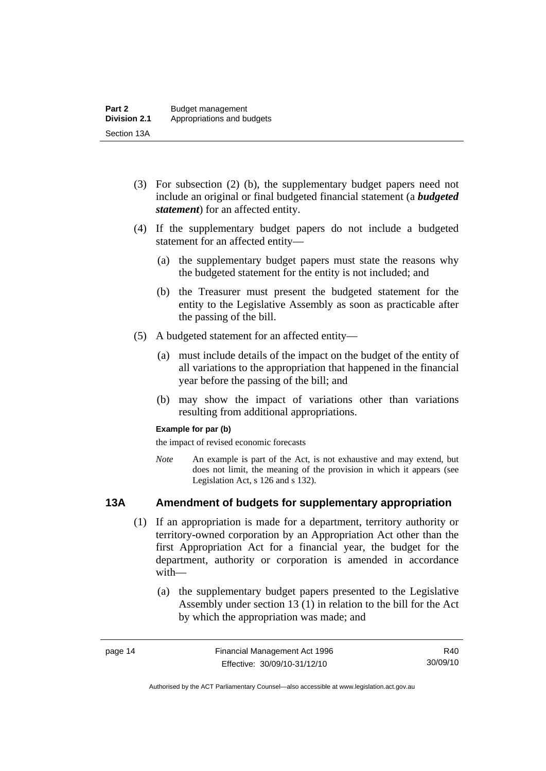- <span id="page-23-0"></span> (3) For subsection (2) (b), the supplementary budget papers need not include an original or final budgeted financial statement (a *budgeted statement*) for an affected entity.
- (4) If the supplementary budget papers do not include a budgeted statement for an affected entity—
	- (a) the supplementary budget papers must state the reasons why the budgeted statement for the entity is not included; and
	- (b) the Treasurer must present the budgeted statement for the entity to the Legislative Assembly as soon as practicable after the passing of the bill.
- (5) A budgeted statement for an affected entity—
	- (a) must include details of the impact on the budget of the entity of all variations to the appropriation that happened in the financial year before the passing of the bill; and
	- (b) may show the impact of variations other than variations resulting from additional appropriations.

#### **Example for par (b)**

the impact of revised economic forecasts

*Note* An example is part of the Act, is not exhaustive and may extend, but does not limit, the meaning of the provision in which it appears (see Legislation Act, s 126 and s 132).

# **13A Amendment of budgets for supplementary appropriation**

- (1) If an appropriation is made for a department, territory authority or territory-owned corporation by an Appropriation Act other than the first Appropriation Act for a financial year, the budget for the department, authority or corporation is amended in accordance with—
	- (a) the supplementary budget papers presented to the Legislative Assembly under section 13 (1) in relation to the bill for the Act by which the appropriation was made; and

R40 30/09/10

Authorised by the ACT Parliamentary Counsel—also accessible at www.legislation.act.gov.au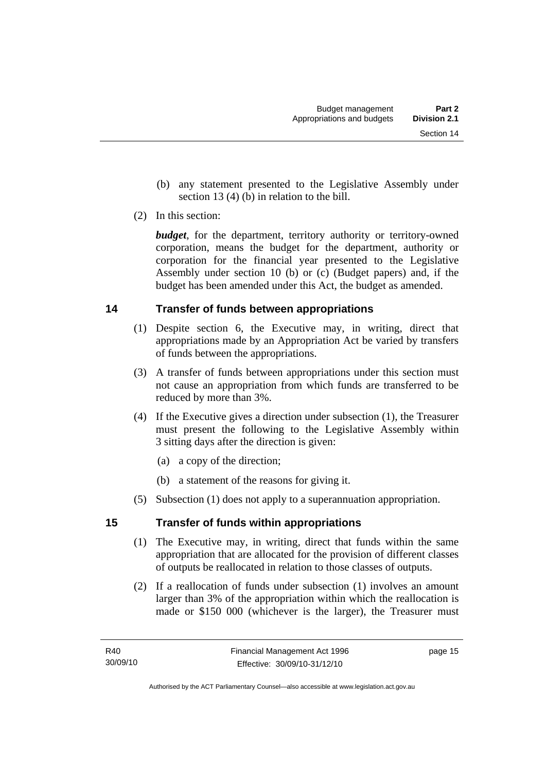- <span id="page-24-0"></span> (b) any statement presented to the Legislative Assembly under section 13 (4) (b) in relation to the bill.
- (2) In this section:

*budget*, for the department, territory authority or territory-owned corporation, means the budget for the department, authority or corporation for the financial year presented to the Legislative Assembly under section 10 (b) or (c) (Budget papers) and, if the budget has been amended under this Act, the budget as amended.

# **14 Transfer of funds between appropriations**

- (1) Despite section 6, the Executive may, in writing, direct that appropriations made by an Appropriation Act be varied by transfers of funds between the appropriations.
- (3) A transfer of funds between appropriations under this section must not cause an appropriation from which funds are transferred to be reduced by more than 3%.
- (4) If the Executive gives a direction under subsection (1), the Treasurer must present the following to the Legislative Assembly within 3 sitting days after the direction is given:
	- (a) a copy of the direction;
	- (b) a statement of the reasons for giving it.
- (5) Subsection (1) does not apply to a superannuation appropriation.

# **15 Transfer of funds within appropriations**

- (1) The Executive may, in writing, direct that funds within the same appropriation that are allocated for the provision of different classes of outputs be reallocated in relation to those classes of outputs.
- (2) If a reallocation of funds under subsection (1) involves an amount larger than 3% of the appropriation within which the reallocation is made or \$150 000 (whichever is the larger), the Treasurer must

page 15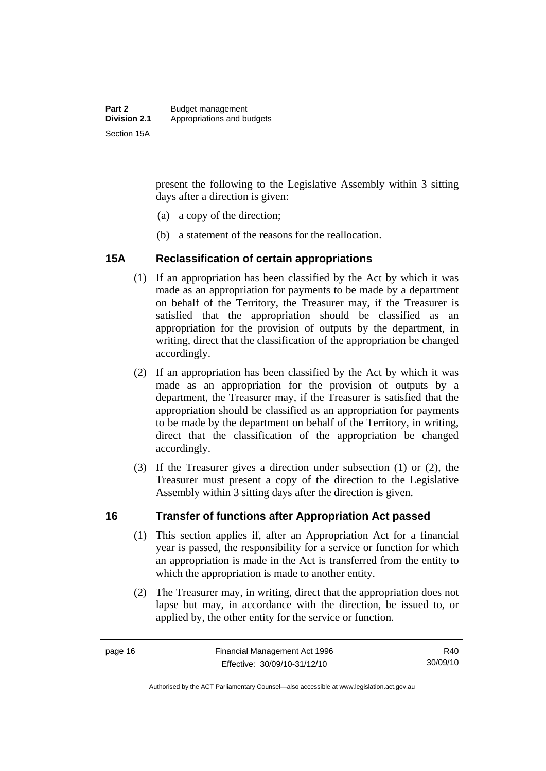<span id="page-25-0"></span>present the following to the Legislative Assembly within 3 sitting days after a direction is given:

- (a) a copy of the direction;
- (b) a statement of the reasons for the reallocation.

#### **15A Reclassification of certain appropriations**

- (1) If an appropriation has been classified by the Act by which it was made as an appropriation for payments to be made by a department on behalf of the Territory, the Treasurer may, if the Treasurer is satisfied that the appropriation should be classified as an appropriation for the provision of outputs by the department, in writing, direct that the classification of the appropriation be changed accordingly.
- (2) If an appropriation has been classified by the Act by which it was made as an appropriation for the provision of outputs by a department, the Treasurer may, if the Treasurer is satisfied that the appropriation should be classified as an appropriation for payments to be made by the department on behalf of the Territory, in writing, direct that the classification of the appropriation be changed accordingly.
- (3) If the Treasurer gives a direction under subsection (1) or (2), the Treasurer must present a copy of the direction to the Legislative Assembly within 3 sitting days after the direction is given.

#### **16 Transfer of functions after Appropriation Act passed**

- (1) This section applies if, after an Appropriation Act for a financial year is passed, the responsibility for a service or function for which an appropriation is made in the Act is transferred from the entity to which the appropriation is made to another entity.
- (2) The Treasurer may, in writing, direct that the appropriation does not lapse but may, in accordance with the direction, be issued to, or applied by, the other entity for the service or function.

Authorised by the ACT Parliamentary Counsel—also accessible at www.legislation.act.gov.au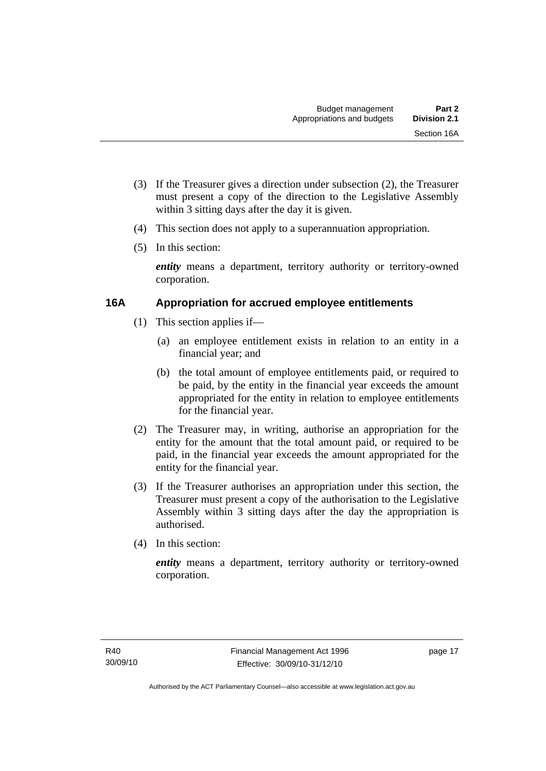- <span id="page-26-0"></span> (3) If the Treasurer gives a direction under subsection (2), the Treasurer must present a copy of the direction to the Legislative Assembly within 3 sitting days after the day it is given.
- (4) This section does not apply to a superannuation appropriation.
- (5) In this section:

*entity* means a department, territory authority or territory-owned corporation.

# **16A Appropriation for accrued employee entitlements**

- (1) This section applies if—
	- (a) an employee entitlement exists in relation to an entity in a financial year; and
	- (b) the total amount of employee entitlements paid, or required to be paid, by the entity in the financial year exceeds the amount appropriated for the entity in relation to employee entitlements for the financial year.
- (2) The Treasurer may, in writing, authorise an appropriation for the entity for the amount that the total amount paid, or required to be paid, in the financial year exceeds the amount appropriated for the entity for the financial year.
- (3) If the Treasurer authorises an appropriation under this section, the Treasurer must present a copy of the authorisation to the Legislative Assembly within 3 sitting days after the day the appropriation is authorised.
- (4) In this section:

*entity* means a department, territory authority or territory-owned corporation.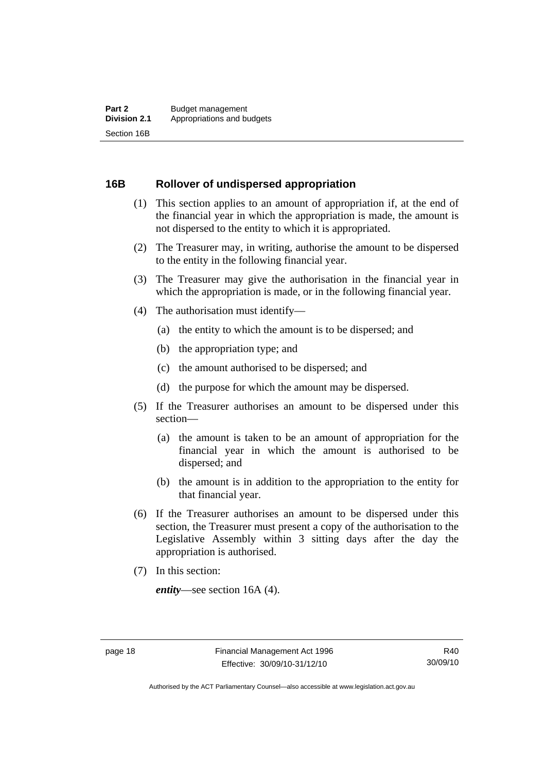#### <span id="page-27-0"></span>**16B Rollover of undispersed appropriation**

- (1) This section applies to an amount of appropriation if, at the end of the financial year in which the appropriation is made, the amount is not dispersed to the entity to which it is appropriated.
- (2) The Treasurer may, in writing, authorise the amount to be dispersed to the entity in the following financial year.
- (3) The Treasurer may give the authorisation in the financial year in which the appropriation is made, or in the following financial year.
- (4) The authorisation must identify—
	- (a) the entity to which the amount is to be dispersed; and
	- (b) the appropriation type; and
	- (c) the amount authorised to be dispersed; and
	- (d) the purpose for which the amount may be dispersed.
- (5) If the Treasurer authorises an amount to be dispersed under this section—
	- (a) the amount is taken to be an amount of appropriation for the financial year in which the amount is authorised to be dispersed; and
	- (b) the amount is in addition to the appropriation to the entity for that financial year.
- (6) If the Treasurer authorises an amount to be dispersed under this section, the Treasurer must present a copy of the authorisation to the Legislative Assembly within 3 sitting days after the day the appropriation is authorised.
- (7) In this section:

*entity*—see section 16A (4).

Authorised by the ACT Parliamentary Counsel—also accessible at www.legislation.act.gov.au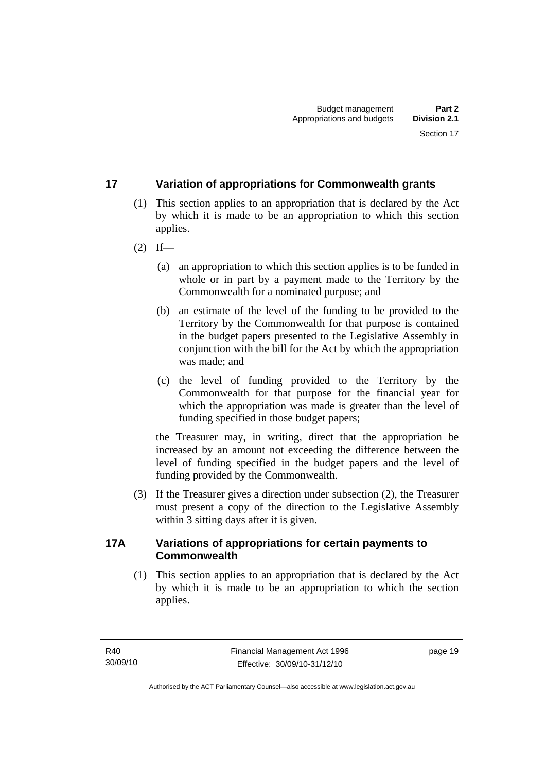# <span id="page-28-0"></span>**17 Variation of appropriations for Commonwealth grants**

- (1) This section applies to an appropriation that is declared by the Act by which it is made to be an appropriation to which this section applies.
- $(2)$  If—
	- (a) an appropriation to which this section applies is to be funded in whole or in part by a payment made to the Territory by the Commonwealth for a nominated purpose; and
	- (b) an estimate of the level of the funding to be provided to the Territory by the Commonwealth for that purpose is contained in the budget papers presented to the Legislative Assembly in conjunction with the bill for the Act by which the appropriation was made; and
	- (c) the level of funding provided to the Territory by the Commonwealth for that purpose for the financial year for which the appropriation was made is greater than the level of funding specified in those budget papers;

the Treasurer may, in writing, direct that the appropriation be increased by an amount not exceeding the difference between the level of funding specified in the budget papers and the level of funding provided by the Commonwealth.

 (3) If the Treasurer gives a direction under subsection (2), the Treasurer must present a copy of the direction to the Legislative Assembly within 3 sitting days after it is given.

# **17A Variations of appropriations for certain payments to Commonwealth**

 (1) This section applies to an appropriation that is declared by the Act by which it is made to be an appropriation to which the section applies.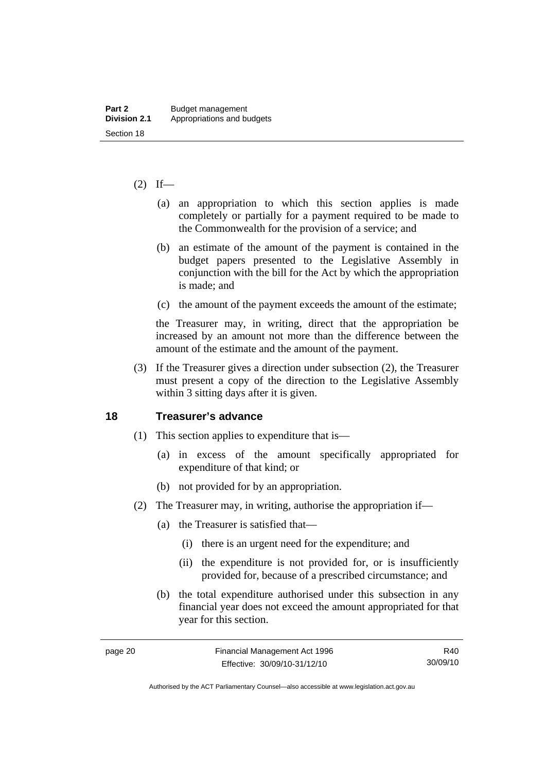#### <span id="page-29-0"></span> $(2)$  If—

- (a) an appropriation to which this section applies is made completely or partially for a payment required to be made to the Commonwealth for the provision of a service; and
- (b) an estimate of the amount of the payment is contained in the budget papers presented to the Legislative Assembly in conjunction with the bill for the Act by which the appropriation is made; and
- (c) the amount of the payment exceeds the amount of the estimate;

the Treasurer may, in writing, direct that the appropriation be increased by an amount not more than the difference between the amount of the estimate and the amount of the payment.

 (3) If the Treasurer gives a direction under subsection (2), the Treasurer must present a copy of the direction to the Legislative Assembly within 3 sitting days after it is given.

#### **18 Treasurer's advance**

- (1) This section applies to expenditure that is—
	- (a) in excess of the amount specifically appropriated for expenditure of that kind; or
	- (b) not provided for by an appropriation.
- (2) The Treasurer may, in writing, authorise the appropriation if—
	- (a) the Treasurer is satisfied that—
		- (i) there is an urgent need for the expenditure; and
		- (ii) the expenditure is not provided for, or is insufficiently provided for, because of a prescribed circumstance; and
	- (b) the total expenditure authorised under this subsection in any financial year does not exceed the amount appropriated for that year for this section.

R40 30/09/10

Authorised by the ACT Parliamentary Counsel—also accessible at www.legislation.act.gov.au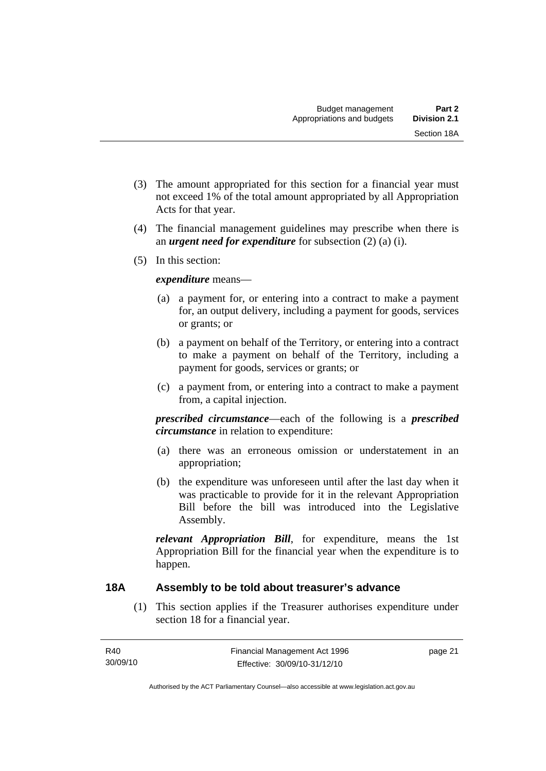- <span id="page-30-0"></span> (3) The amount appropriated for this section for a financial year must not exceed 1% of the total amount appropriated by all Appropriation Acts for that year.
- (4) The financial management guidelines may prescribe when there is an *urgent need for expenditure* for subsection (2) (a) (i).
- (5) In this section:

### *expenditure* means—

- (a) a payment for, or entering into a contract to make a payment for, an output delivery, including a payment for goods, services or grants; or
- (b) a payment on behalf of the Territory, or entering into a contract to make a payment on behalf of the Territory, including a payment for goods, services or grants; or
- (c) a payment from, or entering into a contract to make a payment from, a capital injection.

*prescribed circumstance*—each of the following is a *prescribed circumstance* in relation to expenditure:

- (a) there was an erroneous omission or understatement in an appropriation;
- (b) the expenditure was unforeseen until after the last day when it was practicable to provide for it in the relevant Appropriation Bill before the bill was introduced into the Legislative Assembly.

*relevant Appropriation Bill*, for expenditure, means the 1st Appropriation Bill for the financial year when the expenditure is to happen.

# **18A Assembly to be told about treasurer's advance**

 (1) This section applies if the Treasurer authorises expenditure under section 18 for a financial year.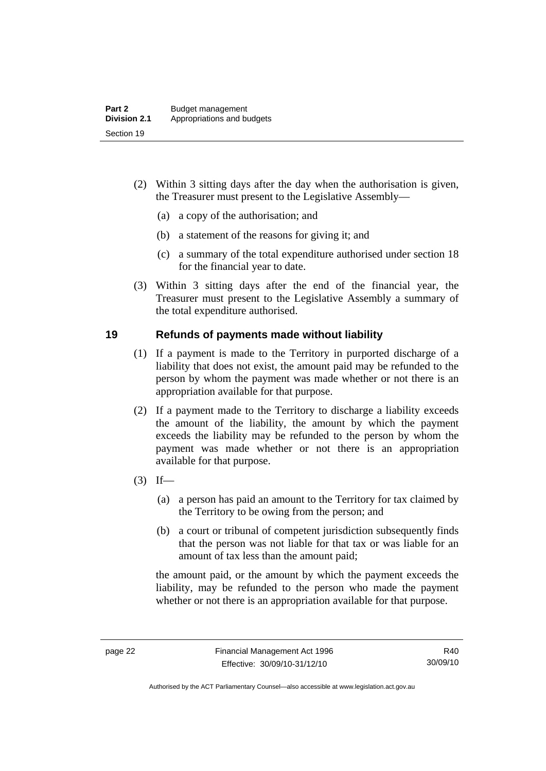- <span id="page-31-0"></span> (2) Within 3 sitting days after the day when the authorisation is given, the Treasurer must present to the Legislative Assembly—
	- (a) a copy of the authorisation; and
	- (b) a statement of the reasons for giving it; and
	- (c) a summary of the total expenditure authorised under section 18 for the financial year to date.
- (3) Within 3 sitting days after the end of the financial year, the Treasurer must present to the Legislative Assembly a summary of the total expenditure authorised.

#### **19 Refunds of payments made without liability**

- (1) If a payment is made to the Territory in purported discharge of a liability that does not exist, the amount paid may be refunded to the person by whom the payment was made whether or not there is an appropriation available for that purpose.
- (2) If a payment made to the Territory to discharge a liability exceeds the amount of the liability, the amount by which the payment exceeds the liability may be refunded to the person by whom the payment was made whether or not there is an appropriation available for that purpose.
- $(3)$  If—
	- (a) a person has paid an amount to the Territory for tax claimed by the Territory to be owing from the person; and
	- (b) a court or tribunal of competent jurisdiction subsequently finds that the person was not liable for that tax or was liable for an amount of tax less than the amount paid;

the amount paid, or the amount by which the payment exceeds the liability, may be refunded to the person who made the payment whether or not there is an appropriation available for that purpose.

Authorised by the ACT Parliamentary Counsel—also accessible at www.legislation.act.gov.au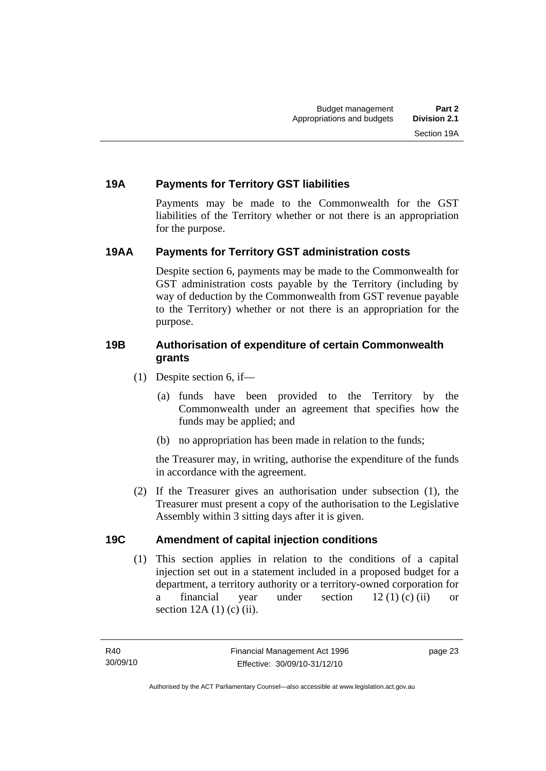# <span id="page-32-0"></span>**19A Payments for Territory GST liabilities**

Payments may be made to the Commonwealth for the GST liabilities of the Territory whether or not there is an appropriation for the purpose.

# **19AA Payments for Territory GST administration costs**

Despite section 6, payments may be made to the Commonwealth for GST administration costs payable by the Territory (including by way of deduction by the Commonwealth from GST revenue payable to the Territory) whether or not there is an appropriation for the purpose.

# **19B Authorisation of expenditure of certain Commonwealth grants**

- (1) Despite section 6, if—
	- (a) funds have been provided to the Territory by the Commonwealth under an agreement that specifies how the funds may be applied; and
	- (b) no appropriation has been made in relation to the funds;

the Treasurer may, in writing, authorise the expenditure of the funds in accordance with the agreement.

 (2) If the Treasurer gives an authorisation under subsection (1), the Treasurer must present a copy of the authorisation to the Legislative Assembly within 3 sitting days after it is given.

# **19C Amendment of capital injection conditions**

 (1) This section applies in relation to the conditions of a capital injection set out in a statement included in a proposed budget for a department, a territory authority or a territory-owned corporation for a financial year under section 12 (1) (c) (ii) or section  $12A(1)$  (c) (ii).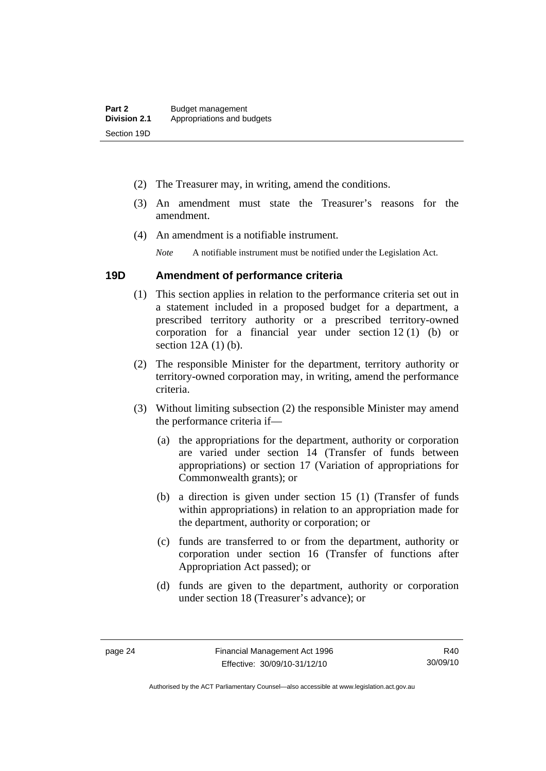- <span id="page-33-0"></span>(2) The Treasurer may, in writing, amend the conditions.
- (3) An amendment must state the Treasurer's reasons for the amendment.
- (4) An amendment is a notifiable instrument.

*Note* A notifiable instrument must be notified under the Legislation Act.

#### **19D Amendment of performance criteria**

- (1) This section applies in relation to the performance criteria set out in a statement included in a proposed budget for a department, a prescribed territory authority or a prescribed territory-owned corporation for a financial year under section 12 (1) (b) or section 12A (1) (b).
- (2) The responsible Minister for the department, territory authority or territory-owned corporation may, in writing, amend the performance criteria.
- (3) Without limiting subsection (2) the responsible Minister may amend the performance criteria if—
	- (a) the appropriations for the department, authority or corporation are varied under section 14 (Transfer of funds between appropriations) or section 17 (Variation of appropriations for Commonwealth grants); or
	- (b) a direction is given under section 15 (1) (Transfer of funds within appropriations) in relation to an appropriation made for the department, authority or corporation; or
	- (c) funds are transferred to or from the department, authority or corporation under section 16 (Transfer of functions after Appropriation Act passed); or
	- (d) funds are given to the department, authority or corporation under section 18 (Treasurer's advance); or

Authorised by the ACT Parliamentary Counsel—also accessible at www.legislation.act.gov.au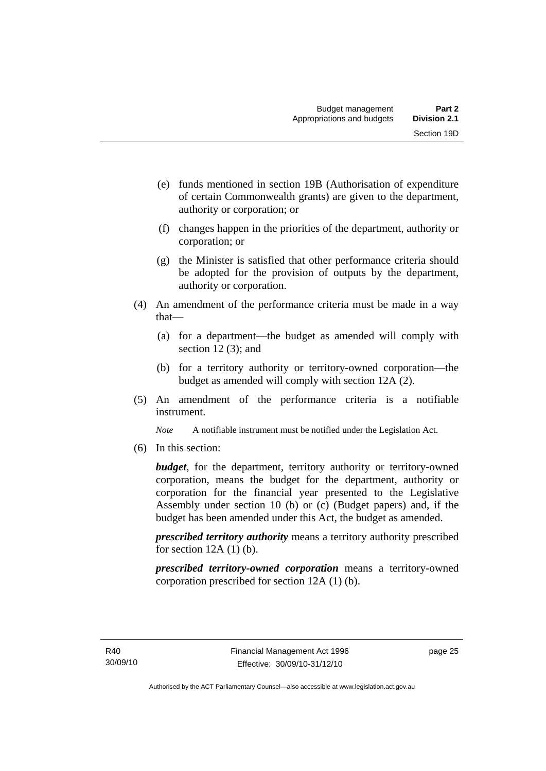- (e) funds mentioned in section 19B (Authorisation of expenditure of certain Commonwealth grants) are given to the department, authority or corporation; or
- (f) changes happen in the priorities of the department, authority or corporation; or
- (g) the Minister is satisfied that other performance criteria should be adopted for the provision of outputs by the department, authority or corporation.
- (4) An amendment of the performance criteria must be made in a way that—
	- (a) for a department—the budget as amended will comply with section 12(3); and
	- (b) for a territory authority or territory-owned corporation—the budget as amended will comply with section 12A (2).
- (5) An amendment of the performance criteria is a notifiable instrument.

*Note* A notifiable instrument must be notified under the Legislation Act.

(6) In this section:

*budget*, for the department, territory authority or territory-owned corporation, means the budget for the department, authority or corporation for the financial year presented to the Legislative Assembly under section 10 (b) or (c) (Budget papers) and, if the budget has been amended under this Act, the budget as amended.

*prescribed territory authority* means a territory authority prescribed for section  $12A(1)$  (b).

*prescribed territory-owned corporation* means a territory-owned corporation prescribed for section 12A (1) (b).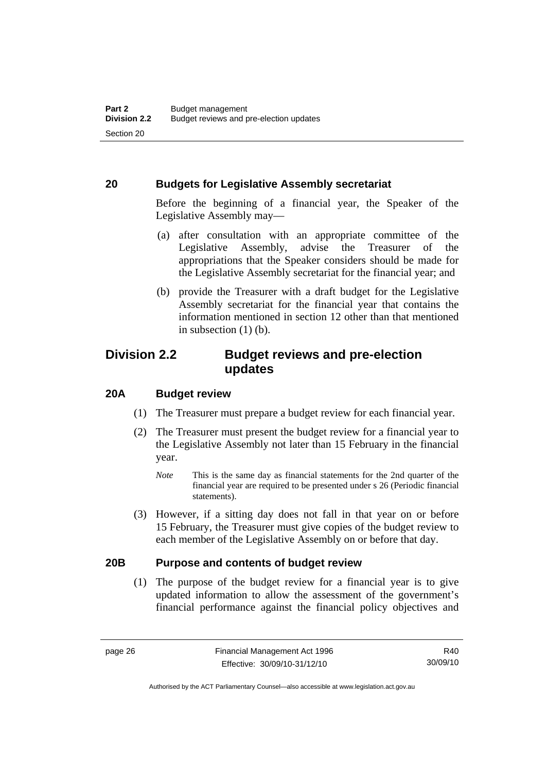# <span id="page-35-0"></span>**20 Budgets for Legislative Assembly secretariat**

Before the beginning of a financial year, the Speaker of the Legislative Assembly may—

- (a) after consultation with an appropriate committee of the Legislative Assembly, advise the Treasurer of the appropriations that the Speaker considers should be made for the Legislative Assembly secretariat for the financial year; and
- (b) provide the Treasurer with a draft budget for the Legislative Assembly secretariat for the financial year that contains the information mentioned in section 12 other than that mentioned in subsection  $(1)$  (b).

# **Division 2.2 Budget reviews and pre-election updates**

# **20A Budget review**

- (1) The Treasurer must prepare a budget review for each financial year.
- (2) The Treasurer must present the budget review for a financial year to the Legislative Assembly not later than 15 February in the financial year.
	- *Note* This is the same day as financial statements for the 2nd quarter of the financial year are required to be presented under s 26 (Periodic financial statements).
- (3) However, if a sitting day does not fall in that year on or before 15 February, the Treasurer must give copies of the budget review to each member of the Legislative Assembly on or before that day.

# **20B Purpose and contents of budget review**

 (1) The purpose of the budget review for a financial year is to give updated information to allow the assessment of the government's financial performance against the financial policy objectives and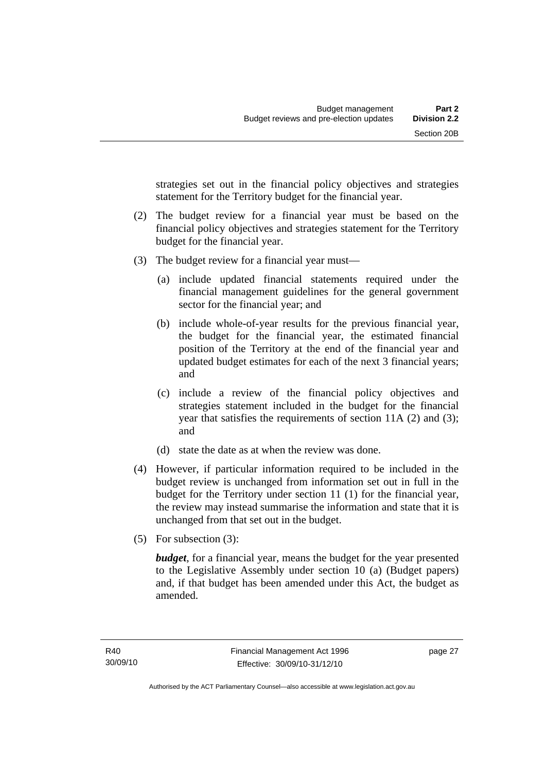strategies set out in the financial policy objectives and strategies statement for the Territory budget for the financial year.

- (2) The budget review for a financial year must be based on the financial policy objectives and strategies statement for the Territory budget for the financial year.
- (3) The budget review for a financial year must—
	- (a) include updated financial statements required under the financial management guidelines for the general government sector for the financial year; and
	- (b) include whole-of-year results for the previous financial year, the budget for the financial year, the estimated financial position of the Territory at the end of the financial year and updated budget estimates for each of the next 3 financial years; and
	- (c) include a review of the financial policy objectives and strategies statement included in the budget for the financial year that satisfies the requirements of section 11A (2) and (3); and
	- (d) state the date as at when the review was done.
- (4) However, if particular information required to be included in the budget review is unchanged from information set out in full in the budget for the Territory under section 11 (1) for the financial year, the review may instead summarise the information and state that it is unchanged from that set out in the budget.
- (5) For subsection (3):

*budget*, for a financial year, means the budget for the year presented to the Legislative Assembly under section 10 (a) (Budget papers) and, if that budget has been amended under this Act, the budget as amended.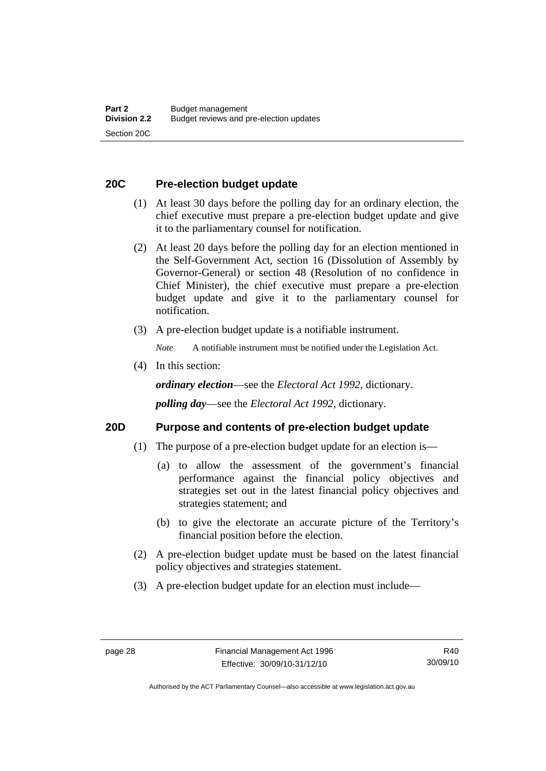# **20C Pre-election budget update**

- (1) At least 30 days before the polling day for an ordinary election, the chief executive must prepare a pre-election budget update and give it to the parliamentary counsel for notification.
- (2) At least 20 days before the polling day for an election mentioned in the Self-Government Act, section 16 (Dissolution of Assembly by Governor-General) or section 48 (Resolution of no confidence in Chief Minister), the chief executive must prepare a pre-election budget update and give it to the parliamentary counsel for notification.
- (3) A pre-election budget update is a notifiable instrument.

*Note* A notifiable instrument must be notified under the Legislation Act.

(4) In this section:

*ordinary election*—see the *Electoral Act 1992*, dictionary.

*polling day*—see the *Electoral Act 1992*, dictionary.

### **20D Purpose and contents of pre-election budget update**

- (1) The purpose of a pre-election budget update for an election is—
	- (a) to allow the assessment of the government's financial performance against the financial policy objectives and strategies set out in the latest financial policy objectives and strategies statement; and
	- (b) to give the electorate an accurate picture of the Territory's financial position before the election.
- (2) A pre-election budget update must be based on the latest financial policy objectives and strategies statement.
- (3) A pre-election budget update for an election must include—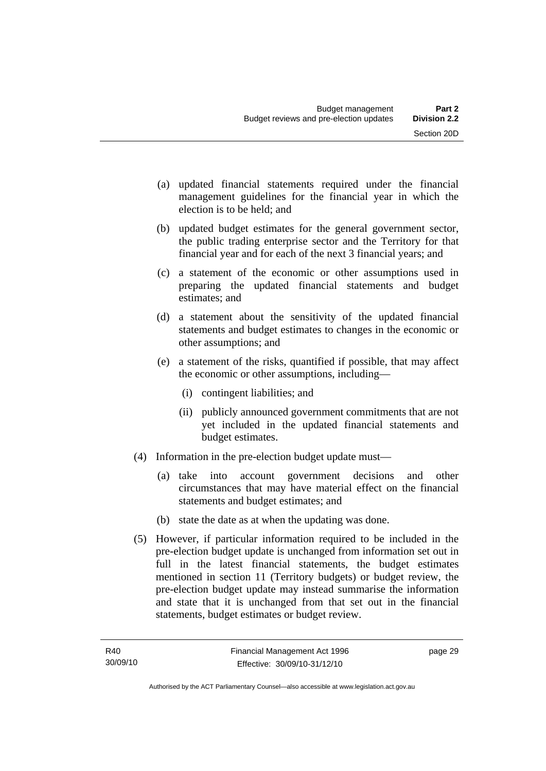- (a) updated financial statements required under the financial management guidelines for the financial year in which the election is to be held; and
- (b) updated budget estimates for the general government sector, the public trading enterprise sector and the Territory for that financial year and for each of the next 3 financial years; and
- (c) a statement of the economic or other assumptions used in preparing the updated financial statements and budget estimates; and
- (d) a statement about the sensitivity of the updated financial statements and budget estimates to changes in the economic or other assumptions; and
- (e) a statement of the risks, quantified if possible, that may affect the economic or other assumptions, including—
	- (i) contingent liabilities; and
	- (ii) publicly announced government commitments that are not yet included in the updated financial statements and budget estimates.
- (4) Information in the pre-election budget update must—
	- (a) take into account government decisions and other circumstances that may have material effect on the financial statements and budget estimates; and
	- (b) state the date as at when the updating was done.
- (5) However, if particular information required to be included in the pre-election budget update is unchanged from information set out in full in the latest financial statements, the budget estimates mentioned in section 11 (Territory budgets) or budget review, the pre-election budget update may instead summarise the information and state that it is unchanged from that set out in the financial statements, budget estimates or budget review.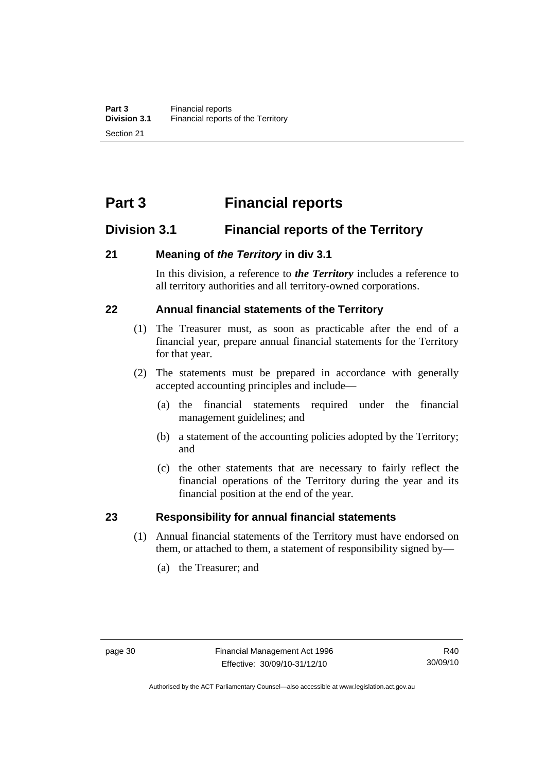# **Part 3 Financial reports**

# **Division 3.1 Financial reports of the Territory**

# **21 Meaning of** *the Territory* **in div 3.1**

In this division, a reference to *the Territory* includes a reference to all territory authorities and all territory-owned corporations.

# **22 Annual financial statements of the Territory**

- (1) The Treasurer must, as soon as practicable after the end of a financial year, prepare annual financial statements for the Territory for that year.
- (2) The statements must be prepared in accordance with generally accepted accounting principles and include—
	- (a) the financial statements required under the financial management guidelines; and
	- (b) a statement of the accounting policies adopted by the Territory; and
	- (c) the other statements that are necessary to fairly reflect the financial operations of the Territory during the year and its financial position at the end of the year.

### **23 Responsibility for annual financial statements**

- (1) Annual financial statements of the Territory must have endorsed on them, or attached to them, a statement of responsibility signed by—
	- (a) the Treasurer; and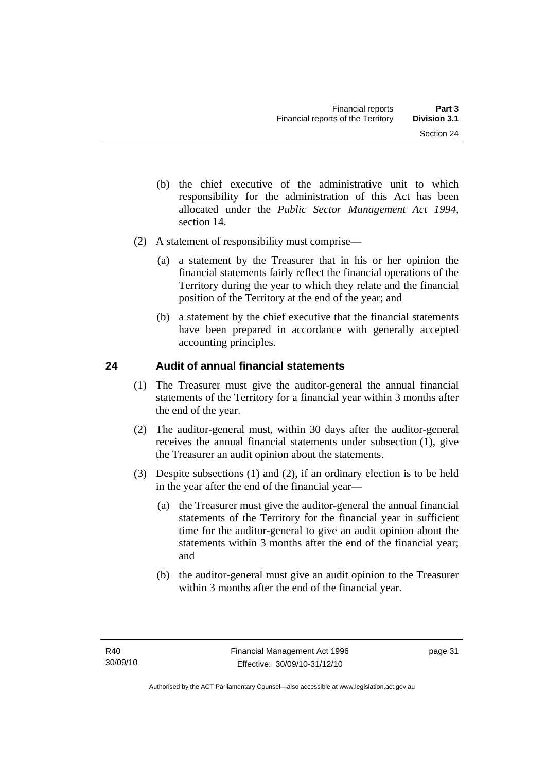- (b) the chief executive of the administrative unit to which responsibility for the administration of this Act has been allocated under the *Public Sector Management Act 1994*, section 14.
- (2) A statement of responsibility must comprise—
	- (a) a statement by the Treasurer that in his or her opinion the financial statements fairly reflect the financial operations of the Territory during the year to which they relate and the financial position of the Territory at the end of the year; and
	- (b) a statement by the chief executive that the financial statements have been prepared in accordance with generally accepted accounting principles.

# **24 Audit of annual financial statements**

- (1) The Treasurer must give the auditor-general the annual financial statements of the Territory for a financial year within 3 months after the end of the year.
- (2) The auditor-general must, within 30 days after the auditor-general receives the annual financial statements under subsection (1), give the Treasurer an audit opinion about the statements.
- (3) Despite subsections (1) and (2), if an ordinary election is to be held in the year after the end of the financial year—
	- (a) the Treasurer must give the auditor-general the annual financial statements of the Territory for the financial year in sufficient time for the auditor-general to give an audit opinion about the statements within 3 months after the end of the financial year; and
	- (b) the auditor-general must give an audit opinion to the Treasurer within 3 months after the end of the financial year.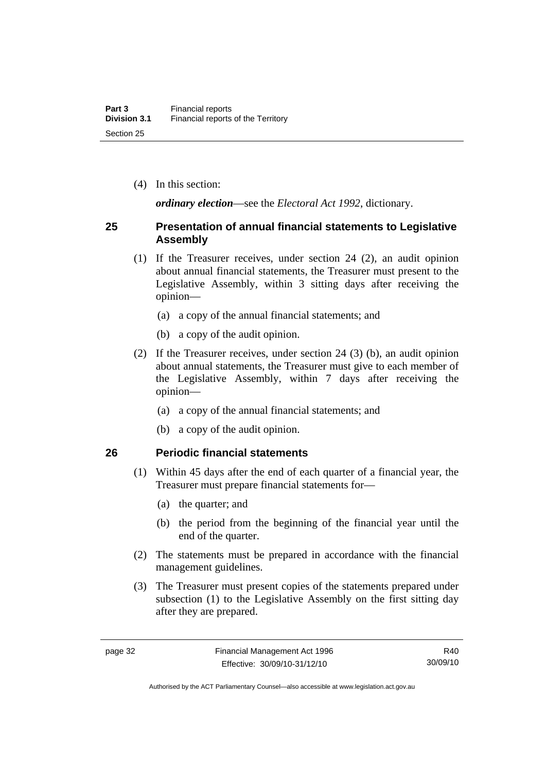(4) In this section:

*ordinary election*—see the *Electoral Act 1992*, dictionary.

## **25 Presentation of annual financial statements to Legislative Assembly**

- (1) If the Treasurer receives, under section 24 (2), an audit opinion about annual financial statements, the Treasurer must present to the Legislative Assembly, within 3 sitting days after receiving the opinion—
	- (a) a copy of the annual financial statements; and
	- (b) a copy of the audit opinion.
- (2) If the Treasurer receives, under section 24 (3) (b), an audit opinion about annual statements, the Treasurer must give to each member of the Legislative Assembly, within 7 days after receiving the opinion—
	- (a) a copy of the annual financial statements; and
	- (b) a copy of the audit opinion.

### **26 Periodic financial statements**

- (1) Within 45 days after the end of each quarter of a financial year, the Treasurer must prepare financial statements for—
	- (a) the quarter; and
	- (b) the period from the beginning of the financial year until the end of the quarter.
- (2) The statements must be prepared in accordance with the financial management guidelines.
- (3) The Treasurer must present copies of the statements prepared under subsection (1) to the Legislative Assembly on the first sitting day after they are prepared.

R40 30/09/10

Authorised by the ACT Parliamentary Counsel—also accessible at www.legislation.act.gov.au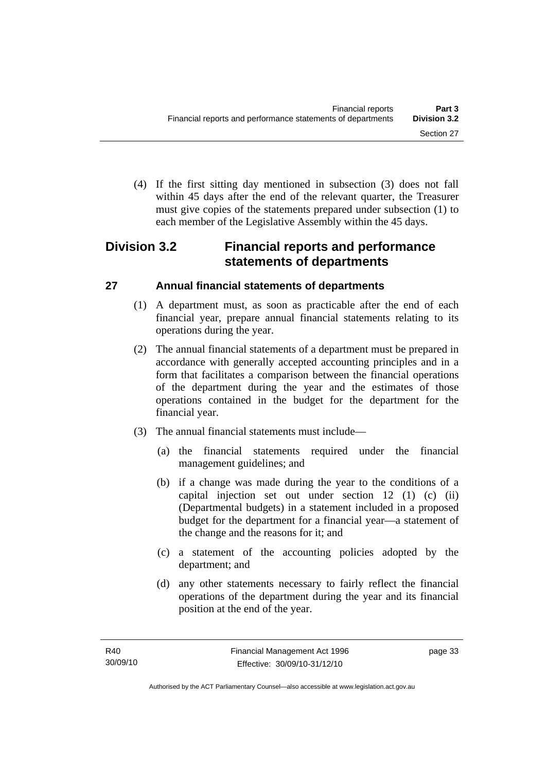(4) If the first sitting day mentioned in subsection (3) does not fall within 45 days after the end of the relevant quarter, the Treasurer must give copies of the statements prepared under subsection (1) to each member of the Legislative Assembly within the 45 days.

# **Division 3.2 Financial reports and performance statements of departments**

# **27 Annual financial statements of departments**

- (1) A department must, as soon as practicable after the end of each financial year, prepare annual financial statements relating to its operations during the year.
- (2) The annual financial statements of a department must be prepared in accordance with generally accepted accounting principles and in a form that facilitates a comparison between the financial operations of the department during the year and the estimates of those operations contained in the budget for the department for the financial year.
- (3) The annual financial statements must include—
	- (a) the financial statements required under the financial management guidelines; and
	- (b) if a change was made during the year to the conditions of a capital injection set out under section 12 (1) (c) (ii) (Departmental budgets) in a statement included in a proposed budget for the department for a financial year—a statement of the change and the reasons for it; and
	- (c) a statement of the accounting policies adopted by the department; and
	- (d) any other statements necessary to fairly reflect the financial operations of the department during the year and its financial position at the end of the year.

page 33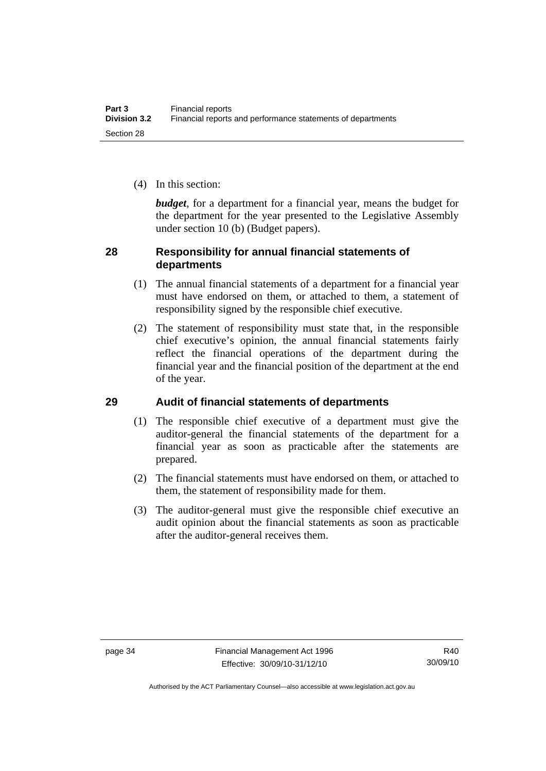(4) In this section:

*budget*, for a department for a financial year, means the budget for the department for the year presented to the Legislative Assembly under section 10 (b) (Budget papers).

# **28 Responsibility for annual financial statements of departments**

- (1) The annual financial statements of a department for a financial year must have endorsed on them, or attached to them, a statement of responsibility signed by the responsible chief executive.
- (2) The statement of responsibility must state that, in the responsible chief executive's opinion, the annual financial statements fairly reflect the financial operations of the department during the financial year and the financial position of the department at the end of the year.

# **29 Audit of financial statements of departments**

- (1) The responsible chief executive of a department must give the auditor-general the financial statements of the department for a financial year as soon as practicable after the statements are prepared.
- (2) The financial statements must have endorsed on them, or attached to them, the statement of responsibility made for them.
- (3) The auditor-general must give the responsible chief executive an audit opinion about the financial statements as soon as practicable after the auditor-general receives them.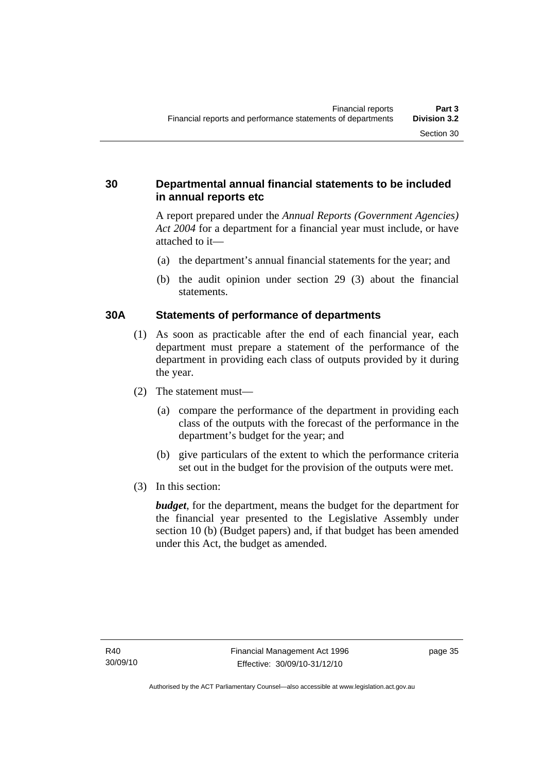# **30 Departmental annual financial statements to be included in annual reports etc**

A report prepared under the *Annual Reports (Government Agencies) Act 2004* for a department for a financial year must include, or have attached to it—

- (a) the department's annual financial statements for the year; and
- (b) the audit opinion under section 29 (3) about the financial statements.

# **30A Statements of performance of departments**

- (1) As soon as practicable after the end of each financial year, each department must prepare a statement of the performance of the department in providing each class of outputs provided by it during the year.
- (2) The statement must—
	- (a) compare the performance of the department in providing each class of the outputs with the forecast of the performance in the department's budget for the year; and
	- (b) give particulars of the extent to which the performance criteria set out in the budget for the provision of the outputs were met.
- (3) In this section:

*budget*, for the department, means the budget for the department for the financial year presented to the Legislative Assembly under section 10 (b) (Budget papers) and, if that budget has been amended under this Act, the budget as amended.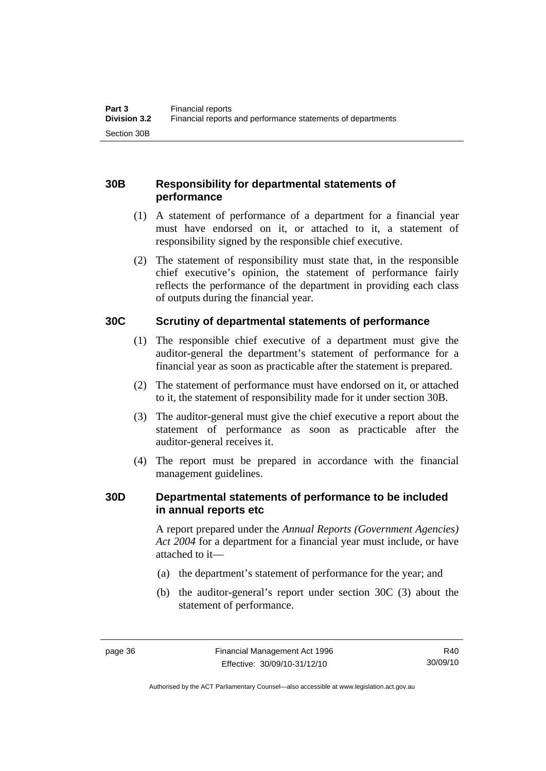# **30B Responsibility for departmental statements of performance**

- (1) A statement of performance of a department for a financial year must have endorsed on it, or attached to it, a statement of responsibility signed by the responsible chief executive.
- (2) The statement of responsibility must state that, in the responsible chief executive's opinion, the statement of performance fairly reflects the performance of the department in providing each class of outputs during the financial year.

# **30C Scrutiny of departmental statements of performance**

- (1) The responsible chief executive of a department must give the auditor-general the department's statement of performance for a financial year as soon as practicable after the statement is prepared.
- (2) The statement of performance must have endorsed on it, or attached to it, the statement of responsibility made for it under section 30B.
- (3) The auditor-general must give the chief executive a report about the statement of performance as soon as practicable after the auditor-general receives it.
- (4) The report must be prepared in accordance with the financial management guidelines.

### **30D Departmental statements of performance to be included in annual reports etc**

A report prepared under the *Annual Reports (Government Agencies) Act 2004* for a department for a financial year must include, or have attached to it—

- (a) the department's statement of performance for the year; and
- (b) the auditor-general's report under section 30C (3) about the statement of performance.

R40 30/09/10

Authorised by the ACT Parliamentary Counsel—also accessible at www.legislation.act.gov.au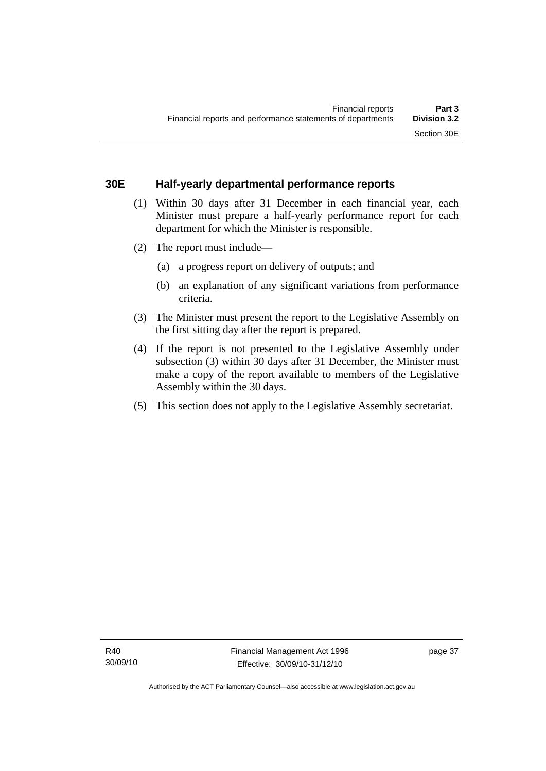## **30E Half-yearly departmental performance reports**

- (1) Within 30 days after 31 December in each financial year, each Minister must prepare a half-yearly performance report for each department for which the Minister is responsible.
- (2) The report must include—
	- (a) a progress report on delivery of outputs; and
	- (b) an explanation of any significant variations from performance criteria.
- (3) The Minister must present the report to the Legislative Assembly on the first sitting day after the report is prepared.
- (4) If the report is not presented to the Legislative Assembly under subsection (3) within 30 days after 31 December, the Minister must make a copy of the report available to members of the Legislative Assembly within the 30 days.
- (5) This section does not apply to the Legislative Assembly secretariat.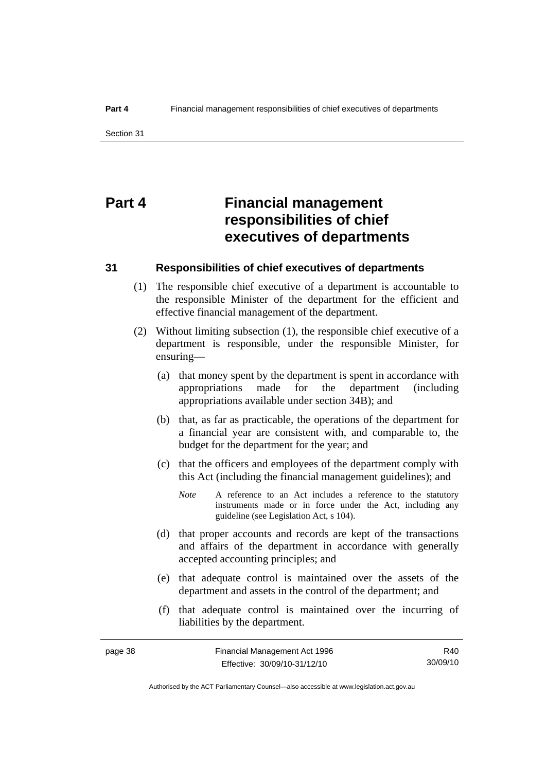# **Part 4 Financial management responsibilities of chief executives of departments**

#### **31 Responsibilities of chief executives of departments**

- (1) The responsible chief executive of a department is accountable to the responsible Minister of the department for the efficient and effective financial management of the department.
- (2) Without limiting subsection (1), the responsible chief executive of a department is responsible, under the responsible Minister, for ensuring—
	- (a) that money spent by the department is spent in accordance with appropriations made for the department (including appropriations available under section 34B); and
	- (b) that, as far as practicable, the operations of the department for a financial year are consistent with, and comparable to, the budget for the department for the year; and
	- (c) that the officers and employees of the department comply with this Act (including the financial management guidelines); and
		- *Note* A reference to an Act includes a reference to the statutory instruments made or in force under the Act, including any guideline (see Legislation Act, s 104).
	- (d) that proper accounts and records are kept of the transactions and affairs of the department in accordance with generally accepted accounting principles; and
	- (e) that adequate control is maintained over the assets of the department and assets in the control of the department; and
	- (f) that adequate control is maintained over the incurring of liabilities by the department.

Authorised by the ACT Parliamentary Counsel—also accessible at www.legislation.act.gov.au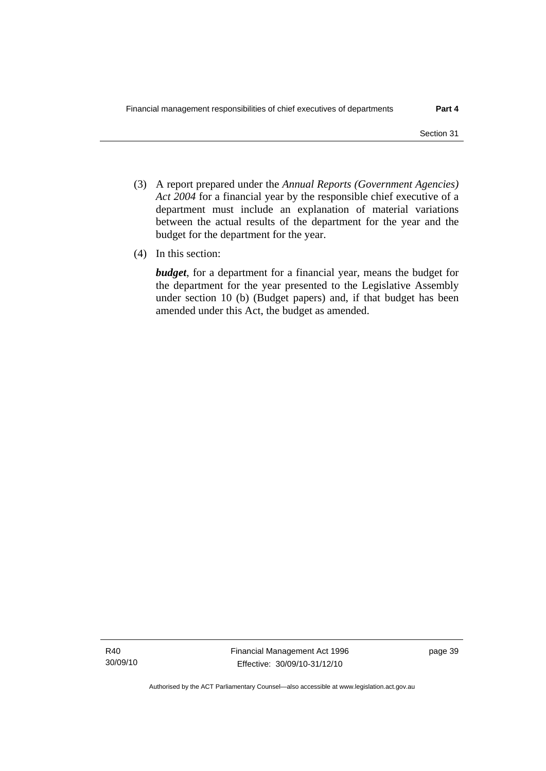- (3) A report prepared under the *Annual Reports (Government Agencies) Act 2004* for a financial year by the responsible chief executive of a department must include an explanation of material variations between the actual results of the department for the year and the budget for the department for the year.
- (4) In this section:

*budget*, for a department for a financial year, means the budget for the department for the year presented to the Legislative Assembly under section 10 (b) (Budget papers) and, if that budget has been amended under this Act, the budget as amended.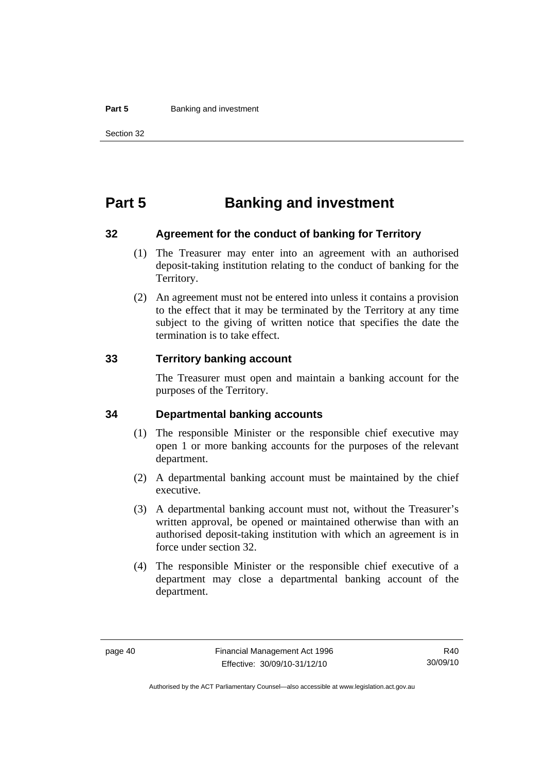#### **Part 5 Banking and investment**

# **Part 5 Banking and investment**

#### **32 Agreement for the conduct of banking for Territory**

- (1) The Treasurer may enter into an agreement with an authorised deposit-taking institution relating to the conduct of banking for the Territory.
- (2) An agreement must not be entered into unless it contains a provision to the effect that it may be terminated by the Territory at any time subject to the giving of written notice that specifies the date the termination is to take effect.

#### **33 Territory banking account**

The Treasurer must open and maintain a banking account for the purposes of the Territory.

#### **34 Departmental banking accounts**

- (1) The responsible Minister or the responsible chief executive may open 1 or more banking accounts for the purposes of the relevant department.
- (2) A departmental banking account must be maintained by the chief executive.
- (3) A departmental banking account must not, without the Treasurer's written approval, be opened or maintained otherwise than with an authorised deposit-taking institution with which an agreement is in force under section 32.
- (4) The responsible Minister or the responsible chief executive of a department may close a departmental banking account of the department.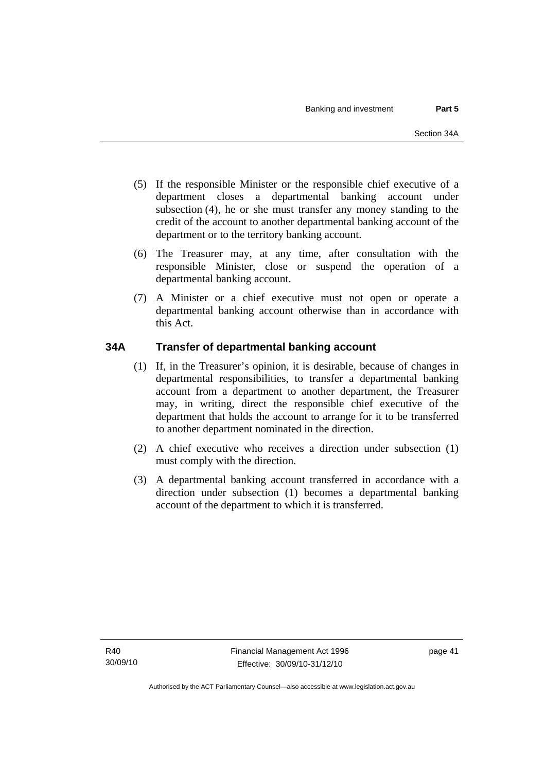- (5) If the responsible Minister or the responsible chief executive of a department closes a departmental banking account under subsection (4), he or she must transfer any money standing to the credit of the account to another departmental banking account of the department or to the territory banking account.
- (6) The Treasurer may, at any time, after consultation with the responsible Minister, close or suspend the operation of a departmental banking account.
- (7) A Minister or a chief executive must not open or operate a departmental banking account otherwise than in accordance with this Act.

# **34A Transfer of departmental banking account**

- (1) If, in the Treasurer's opinion, it is desirable, because of changes in departmental responsibilities, to transfer a departmental banking account from a department to another department, the Treasurer may, in writing, direct the responsible chief executive of the department that holds the account to arrange for it to be transferred to another department nominated in the direction.
- (2) A chief executive who receives a direction under subsection (1) must comply with the direction.
- (3) A departmental banking account transferred in accordance with a direction under subsection (1) becomes a departmental banking account of the department to which it is transferred.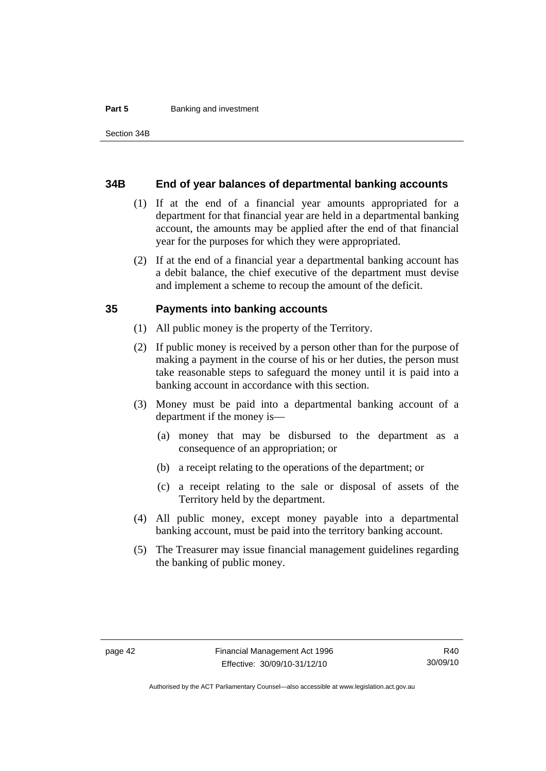#### **Part 5 Banking and investment**

#### **34B End of year balances of departmental banking accounts**

- (1) If at the end of a financial year amounts appropriated for a department for that financial year are held in a departmental banking account, the amounts may be applied after the end of that financial year for the purposes for which they were appropriated.
- (2) If at the end of a financial year a departmental banking account has a debit balance, the chief executive of the department must devise and implement a scheme to recoup the amount of the deficit.

#### **35 Payments into banking accounts**

- (1) All public money is the property of the Territory.
- (2) If public money is received by a person other than for the purpose of making a payment in the course of his or her duties, the person must take reasonable steps to safeguard the money until it is paid into a banking account in accordance with this section.
- (3) Money must be paid into a departmental banking account of a department if the money is—
	- (a) money that may be disbursed to the department as a consequence of an appropriation; or
	- (b) a receipt relating to the operations of the department; or
	- (c) a receipt relating to the sale or disposal of assets of the Territory held by the department.
- (4) All public money, except money payable into a departmental banking account, must be paid into the territory banking account.
- (5) The Treasurer may issue financial management guidelines regarding the banking of public money.

Authorised by the ACT Parliamentary Counsel—also accessible at www.legislation.act.gov.au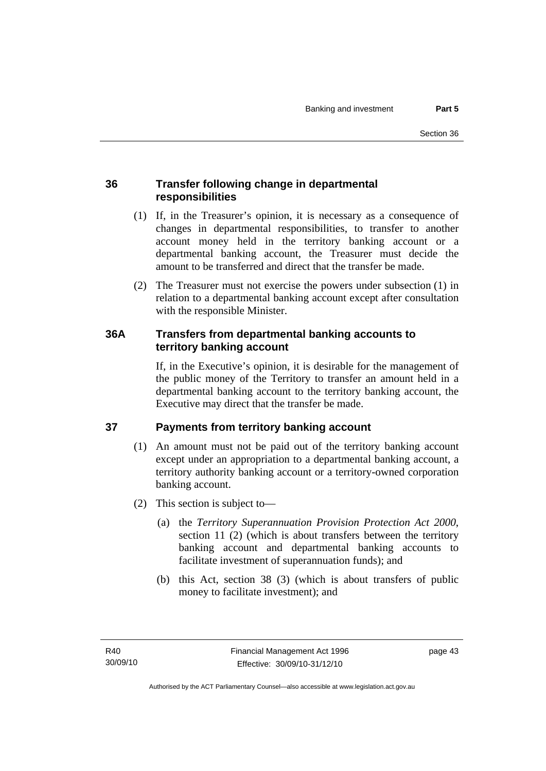# **36 Transfer following change in departmental responsibilities**

- (1) If, in the Treasurer's opinion, it is necessary as a consequence of changes in departmental responsibilities, to transfer to another account money held in the territory banking account or a departmental banking account, the Treasurer must decide the amount to be transferred and direct that the transfer be made.
- (2) The Treasurer must not exercise the powers under subsection (1) in relation to a departmental banking account except after consultation with the responsible Minister.

# **36A Transfers from departmental banking accounts to territory banking account**

If, in the Executive's opinion, it is desirable for the management of the public money of the Territory to transfer an amount held in a departmental banking account to the territory banking account, the Executive may direct that the transfer be made.

# **37 Payments from territory banking account**

- (1) An amount must not be paid out of the territory banking account except under an appropriation to a departmental banking account, a territory authority banking account or a territory-owned corporation banking account.
- (2) This section is subject to—
	- (a) the *Territory Superannuation Provision Protection Act 2000*, section 11 (2) (which is about transfers between the territory banking account and departmental banking accounts to facilitate investment of superannuation funds); and
	- (b) this Act, section 38 (3) (which is about transfers of public money to facilitate investment); and

page 43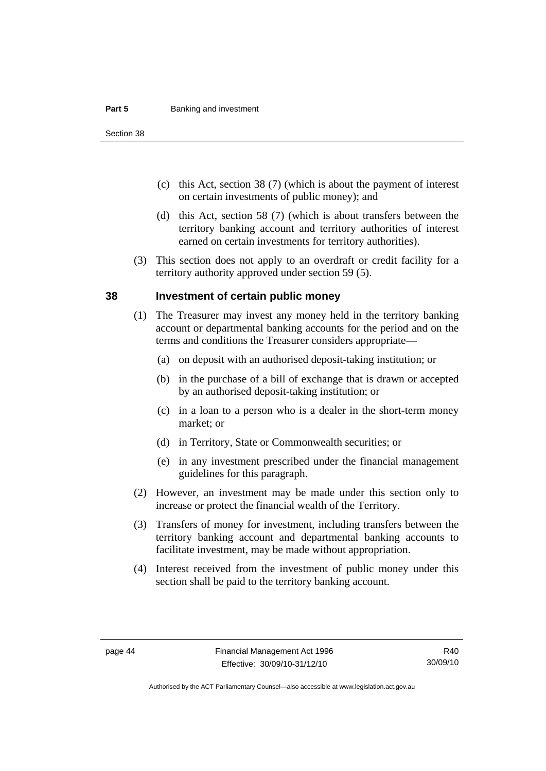#### **Part 5 Banking and investment**

Section 38

- (c) this Act, section 38 (7) (which is about the payment of interest on certain investments of public money); and
- (d) this Act, section 58 (7) (which is about transfers between the territory banking account and territory authorities of interest earned on certain investments for territory authorities).
- (3) This section does not apply to an overdraft or credit facility for a territory authority approved under section 59 (5).

#### **38 Investment of certain public money**

- (1) The Treasurer may invest any money held in the territory banking account or departmental banking accounts for the period and on the terms and conditions the Treasurer considers appropriate—
	- (a) on deposit with an authorised deposit-taking institution; or
	- (b) in the purchase of a bill of exchange that is drawn or accepted by an authorised deposit-taking institution; or
	- (c) in a loan to a person who is a dealer in the short-term money market; or
	- (d) in Territory, State or Commonwealth securities; or
	- (e) in any investment prescribed under the financial management guidelines for this paragraph.
- (2) However, an investment may be made under this section only to increase or protect the financial wealth of the Territory.
- (3) Transfers of money for investment, including transfers between the territory banking account and departmental banking accounts to facilitate investment, may be made without appropriation.
- (4) Interest received from the investment of public money under this section shall be paid to the territory banking account.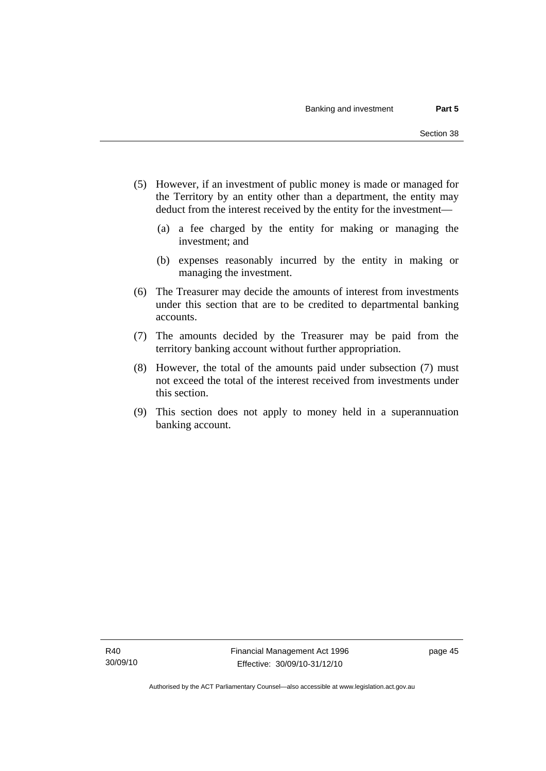- (5) However, if an investment of public money is made or managed for the Territory by an entity other than a department, the entity may deduct from the interest received by the entity for the investment—
	- (a) a fee charged by the entity for making or managing the investment; and
	- (b) expenses reasonably incurred by the entity in making or managing the investment.
- (6) The Treasurer may decide the amounts of interest from investments under this section that are to be credited to departmental banking accounts.
- (7) The amounts decided by the Treasurer may be paid from the territory banking account without further appropriation.
- (8) However, the total of the amounts paid under subsection (7) must not exceed the total of the interest received from investments under this section.
- (9) This section does not apply to money held in a superannuation banking account.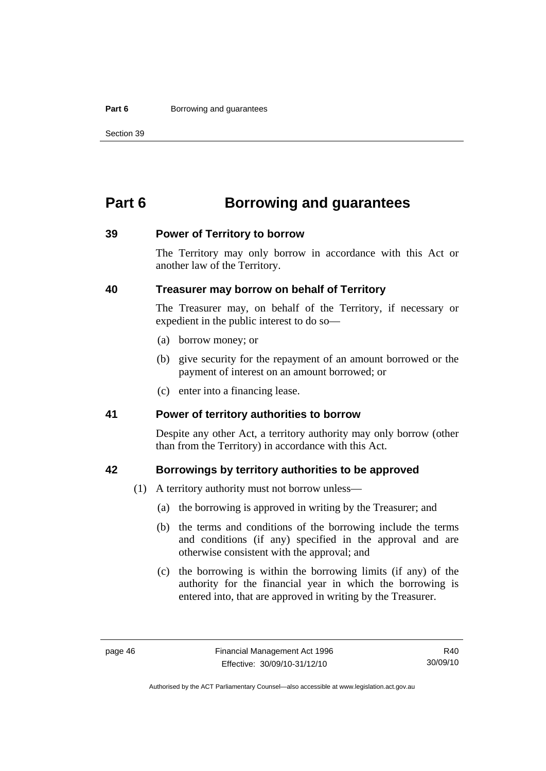#### **Part 6 Borrowing and guarantees**

Section 39

# **Part 6 Borrowing and guarantees**

#### **39 Power of Territory to borrow**

The Territory may only borrow in accordance with this Act or another law of the Territory.

# **40 Treasurer may borrow on behalf of Territory**

The Treasurer may, on behalf of the Territory, if necessary or expedient in the public interest to do so—

- (a) borrow money; or
- (b) give security for the repayment of an amount borrowed or the payment of interest on an amount borrowed; or
- (c) enter into a financing lease.

### **41 Power of territory authorities to borrow**

Despite any other Act, a territory authority may only borrow (other than from the Territory) in accordance with this Act.

### **42 Borrowings by territory authorities to be approved**

- (1) A territory authority must not borrow unless—
	- (a) the borrowing is approved in writing by the Treasurer; and
	- (b) the terms and conditions of the borrowing include the terms and conditions (if any) specified in the approval and are otherwise consistent with the approval; and
	- (c) the borrowing is within the borrowing limits (if any) of the authority for the financial year in which the borrowing is entered into, that are approved in writing by the Treasurer.

Authorised by the ACT Parliamentary Counsel—also accessible at www.legislation.act.gov.au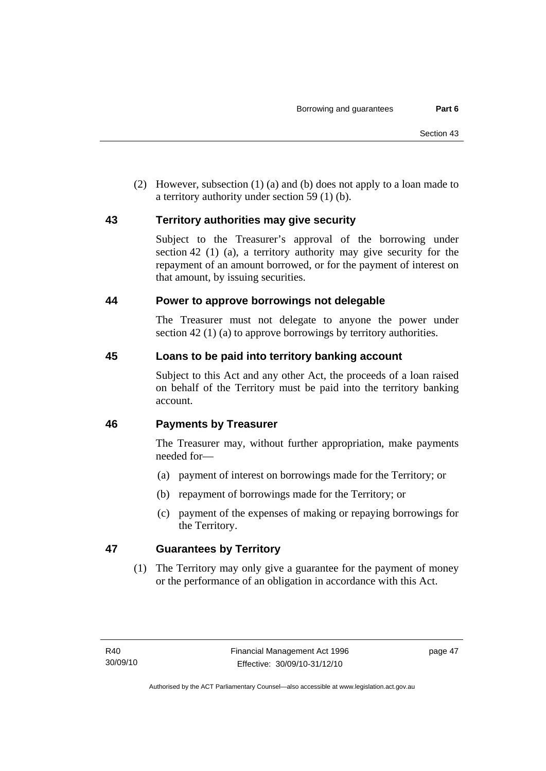(2) However, subsection (1) (a) and (b) does not apply to a loan made to a territory authority under section 59 (1) (b).

# **43 Territory authorities may give security**

Subject to the Treasurer's approval of the borrowing under section 42 (1) (a), a territory authority may give security for the repayment of an amount borrowed, or for the payment of interest on that amount, by issuing securities.

# **44 Power to approve borrowings not delegable**

The Treasurer must not delegate to anyone the power under section 42 (1) (a) to approve borrowings by territory authorities.

# **45 Loans to be paid into territory banking account**

Subject to this Act and any other Act, the proceeds of a loan raised on behalf of the Territory must be paid into the territory banking account.

# **46 Payments by Treasurer**

The Treasurer may, without further appropriation, make payments needed for—

- (a) payment of interest on borrowings made for the Territory; or
- (b) repayment of borrowings made for the Territory; or
- (c) payment of the expenses of making or repaying borrowings for the Territory.

# **47 Guarantees by Territory**

 (1) The Territory may only give a guarantee for the payment of money or the performance of an obligation in accordance with this Act.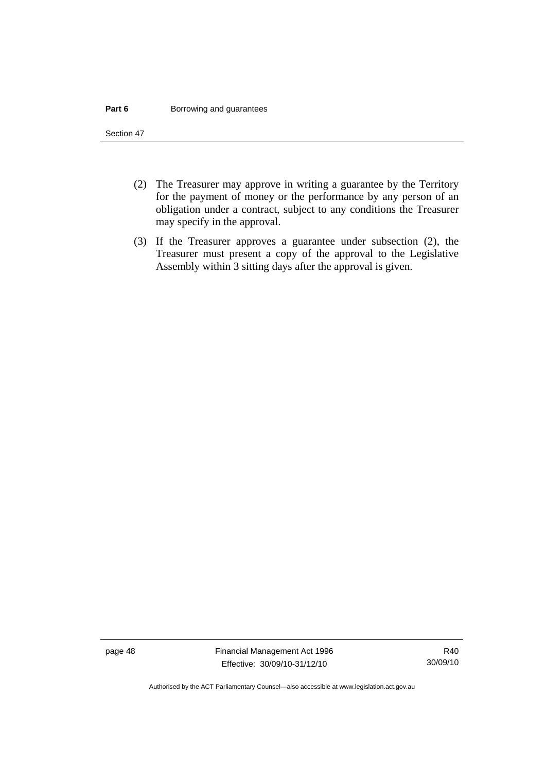#### **Part 6 Borrowing and guarantees**

Section 47

- (2) The Treasurer may approve in writing a guarantee by the Territory for the payment of money or the performance by any person of an obligation under a contract, subject to any conditions the Treasurer may specify in the approval.
- (3) If the Treasurer approves a guarantee under subsection (2), the Treasurer must present a copy of the approval to the Legislative Assembly within 3 sitting days after the approval is given.

page 48 Financial Management Act 1996 Effective: 30/09/10-31/12/10

Authorised by the ACT Parliamentary Counsel—also accessible at www.legislation.act.gov.au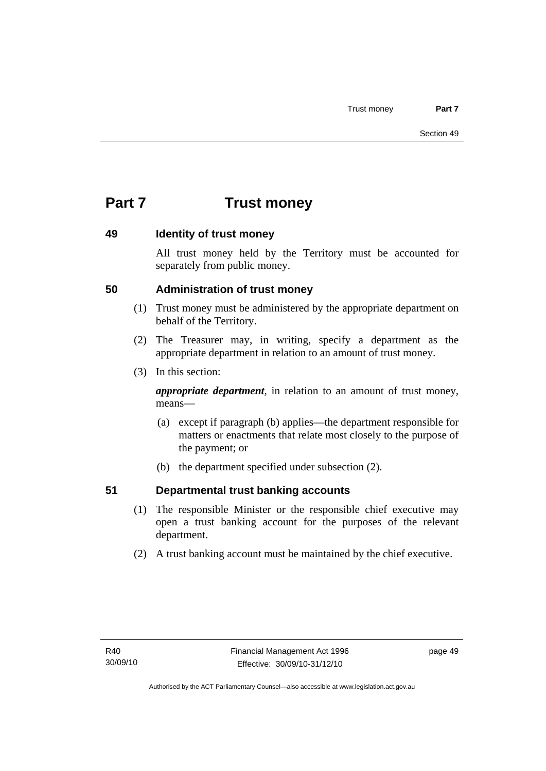# **Part 7 Trust money**

# **49 Identity of trust money**

All trust money held by the Territory must be accounted for separately from public money.

# **50 Administration of trust money**

- (1) Trust money must be administered by the appropriate department on behalf of the Territory.
- (2) The Treasurer may, in writing, specify a department as the appropriate department in relation to an amount of trust money.
- (3) In this section:

*appropriate department*, in relation to an amount of trust money, means—

- (a) except if paragraph (b) applies—the department responsible for matters or enactments that relate most closely to the purpose of the payment; or
- (b) the department specified under subsection (2).

# **51 Departmental trust banking accounts**

- (1) The responsible Minister or the responsible chief executive may open a trust banking account for the purposes of the relevant department.
- (2) A trust banking account must be maintained by the chief executive.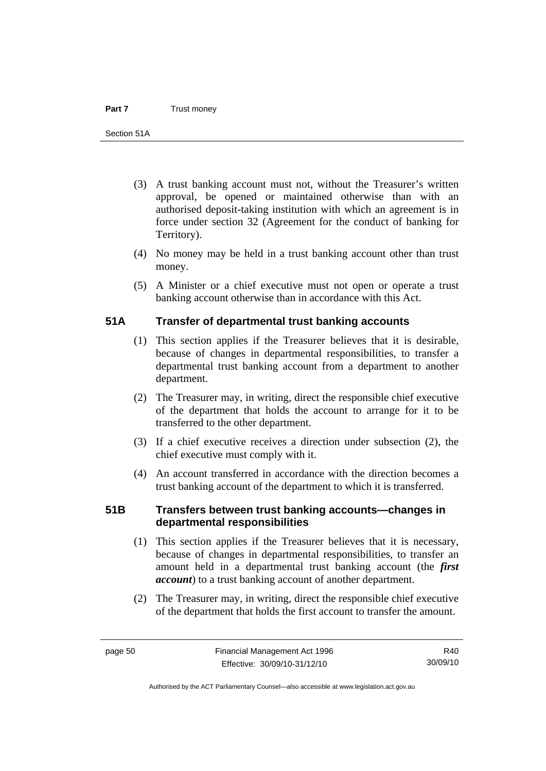- (3) A trust banking account must not, without the Treasurer's written approval, be opened or maintained otherwise than with an authorised deposit-taking institution with which an agreement is in force under section 32 (Agreement for the conduct of banking for Territory).
- (4) No money may be held in a trust banking account other than trust money.
- (5) A Minister or a chief executive must not open or operate a trust banking account otherwise than in accordance with this Act.

# **51A Transfer of departmental trust banking accounts**

- (1) This section applies if the Treasurer believes that it is desirable, because of changes in departmental responsibilities, to transfer a departmental trust banking account from a department to another department.
- (2) The Treasurer may, in writing, direct the responsible chief executive of the department that holds the account to arrange for it to be transferred to the other department.
- (3) If a chief executive receives a direction under subsection (2), the chief executive must comply with it.
- (4) An account transferred in accordance with the direction becomes a trust banking account of the department to which it is transferred.

# **51B Transfers between trust banking accounts—changes in departmental responsibilities**

- (1) This section applies if the Treasurer believes that it is necessary, because of changes in departmental responsibilities, to transfer an amount held in a departmental trust banking account (the *first account*) to a trust banking account of another department.
- (2) The Treasurer may, in writing, direct the responsible chief executive of the department that holds the first account to transfer the amount.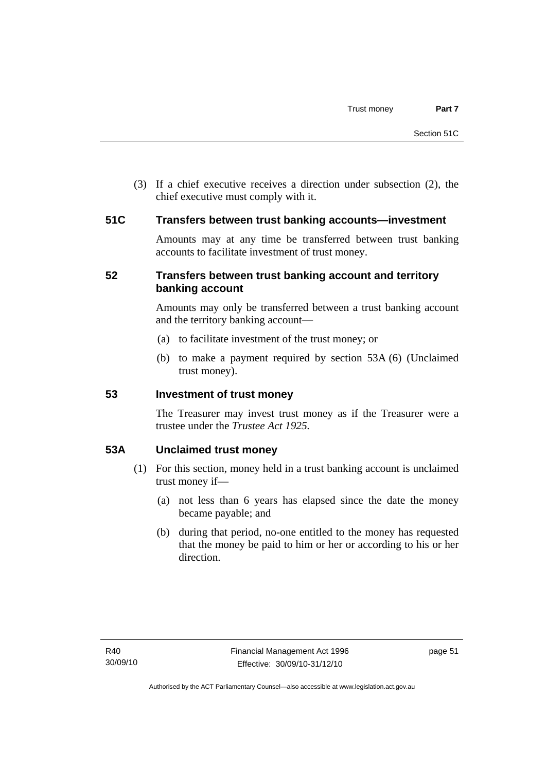(3) If a chief executive receives a direction under subsection (2), the chief executive must comply with it.

### **51C Transfers between trust banking accounts—investment**

Amounts may at any time be transferred between trust banking accounts to facilitate investment of trust money.

# **52 Transfers between trust banking account and territory banking account**

Amounts may only be transferred between a trust banking account and the territory banking account—

- (a) to facilitate investment of the trust money; or
- (b) to make a payment required by section 53A (6) (Unclaimed trust money).

### **53 Investment of trust money**

The Treasurer may invest trust money as if the Treasurer were a trustee under the *Trustee Act 1925.*

# **53A Unclaimed trust money**

- (1) For this section, money held in a trust banking account is unclaimed trust money if—
	- (a) not less than 6 years has elapsed since the date the money became payable; and
	- (b) during that period, no-one entitled to the money has requested that the money be paid to him or her or according to his or her direction.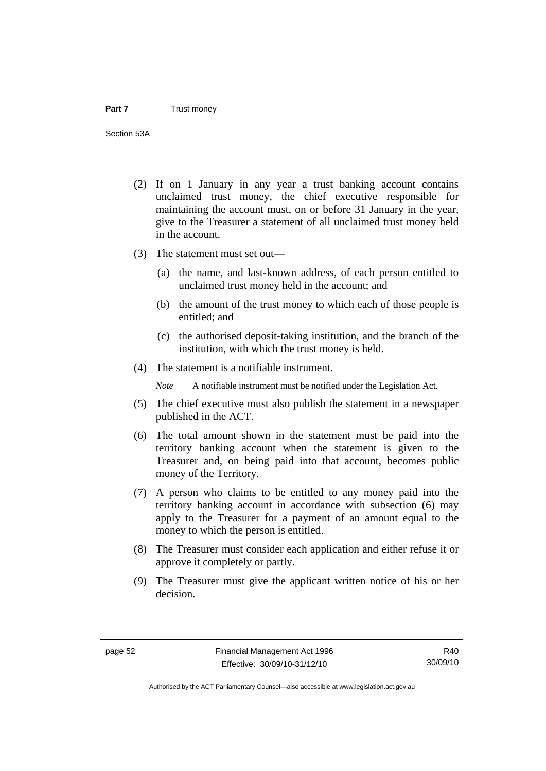Section 53A

- (2) If on 1 January in any year a trust banking account contains unclaimed trust money, the chief executive responsible for maintaining the account must, on or before 31 January in the year, give to the Treasurer a statement of all unclaimed trust money held in the account.
- (3) The statement must set out—
	- (a) the name, and last-known address, of each person entitled to unclaimed trust money held in the account; and
	- (b) the amount of the trust money to which each of those people is entitled; and
	- (c) the authorised deposit-taking institution, and the branch of the institution, with which the trust money is held.
- (4) The statement is a notifiable instrument.

*Note* A notifiable instrument must be notified under the Legislation Act.

- (5) The chief executive must also publish the statement in a newspaper published in the ACT.
- (6) The total amount shown in the statement must be paid into the territory banking account when the statement is given to the Treasurer and, on being paid into that account, becomes public money of the Territory.
- (7) A person who claims to be entitled to any money paid into the territory banking account in accordance with subsection (6) may apply to the Treasurer for a payment of an amount equal to the money to which the person is entitled.
- (8) The Treasurer must consider each application and either refuse it or approve it completely or partly.
- (9) The Treasurer must give the applicant written notice of his or her decision.

Authorised by the ACT Parliamentary Counsel—also accessible at www.legislation.act.gov.au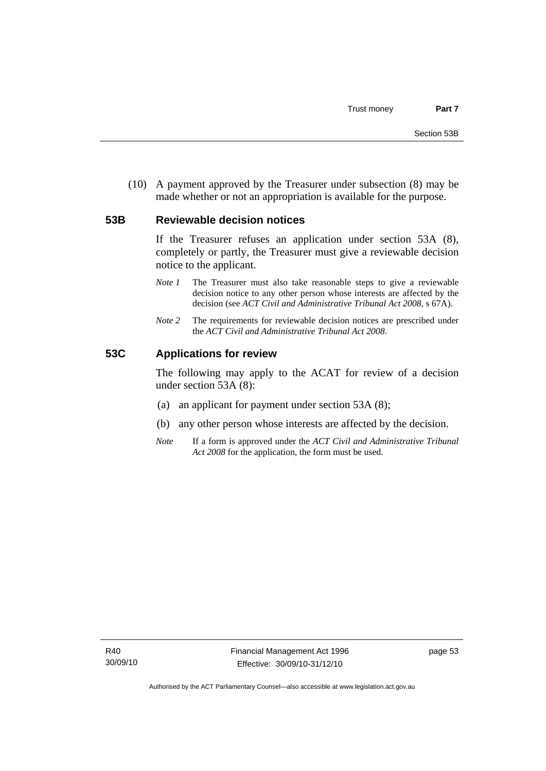(10) A payment approved by the Treasurer under subsection (8) may be made whether or not an appropriation is available for the purpose.

#### **53B Reviewable decision notices**

If the Treasurer refuses an application under section 53A (8), completely or partly, the Treasurer must give a reviewable decision notice to the applicant.

- *Note 1* The Treasurer must also take reasonable steps to give a reviewable decision notice to any other person whose interests are affected by the decision (see *ACT Civil and Administrative Tribunal Act 2008*, s 67A).
- *Note* 2 The requirements for reviewable decision notices are prescribed under the *ACT Civil and Administrative Tribunal Act 2008*.

#### **53C Applications for review**

The following may apply to the ACAT for review of a decision under section 53A (8):

- (a) an applicant for payment under section 53A (8);
- (b) any other person whose interests are affected by the decision.
- *Note* If a form is approved under the *ACT Civil and Administrative Tribunal Act 2008* for the application, the form must be used.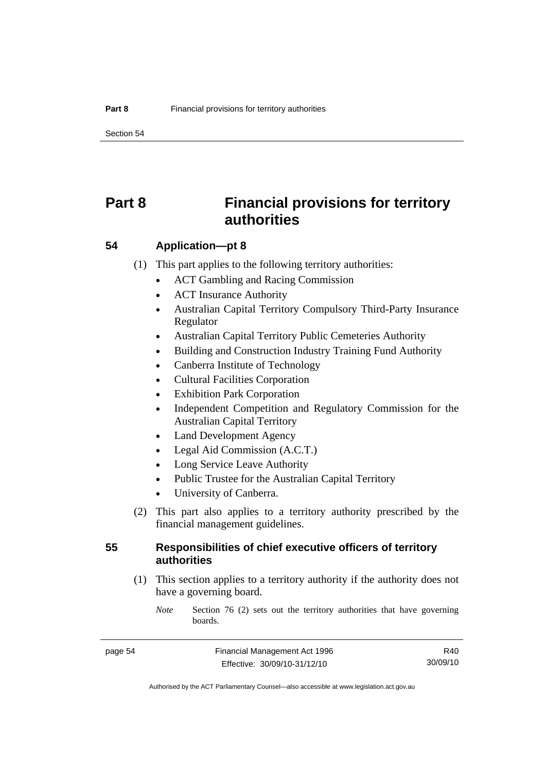Section 54

# **Part 8 Financial provisions for territory authorities**

**54 Application—pt 8** 

(1) This part applies to the following territory authorities:

- ACT Gambling and Racing Commission
- ACT Insurance Authority
- Australian Capital Territory Compulsory Third-Party Insurance Regulator
- Australian Capital Territory Public Cemeteries Authority
- Building and Construction Industry Training Fund Authority
- Canberra Institute of Technology
- Cultural Facilities Corporation
- Exhibition Park Corporation
- Independent Competition and Regulatory Commission for the Australian Capital Territory
- Land Development Agency
- Legal Aid Commission (A.C.T.)
- Long Service Leave Authority
- Public Trustee for the Australian Capital Territory
- University of Canberra.
- (2) This part also applies to a territory authority prescribed by the financial management guidelines.

## **55 Responsibilities of chief executive officers of territory authorities**

- (1) This section applies to a territory authority if the authority does not have a governing board.
	- *Note* Section 76 (2) sets out the territory authorities that have governing boards.

R40 30/09/10

Authorised by the ACT Parliamentary Counsel—also accessible at www.legislation.act.gov.au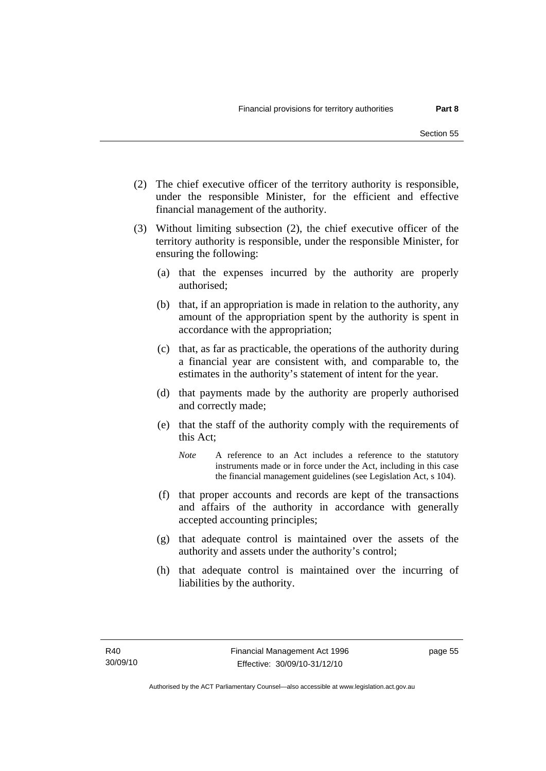- (2) The chief executive officer of the territory authority is responsible, under the responsible Minister, for the efficient and effective financial management of the authority.
- (3) Without limiting subsection (2), the chief executive officer of the territory authority is responsible, under the responsible Minister, for ensuring the following:
	- (a) that the expenses incurred by the authority are properly authorised;
	- (b) that, if an appropriation is made in relation to the authority, any amount of the appropriation spent by the authority is spent in accordance with the appropriation;
	- (c) that, as far as practicable, the operations of the authority during a financial year are consistent with, and comparable to, the estimates in the authority's statement of intent for the year.
	- (d) that payments made by the authority are properly authorised and correctly made;
	- (e) that the staff of the authority comply with the requirements of this Act;
		- *Note* A reference to an Act includes a reference to the statutory instruments made or in force under the Act, including in this case the financial management guidelines (see Legislation Act, s 104).
	- (f) that proper accounts and records are kept of the transactions and affairs of the authority in accordance with generally accepted accounting principles;
	- (g) that adequate control is maintained over the assets of the authority and assets under the authority's control;
	- (h) that adequate control is maintained over the incurring of liabilities by the authority.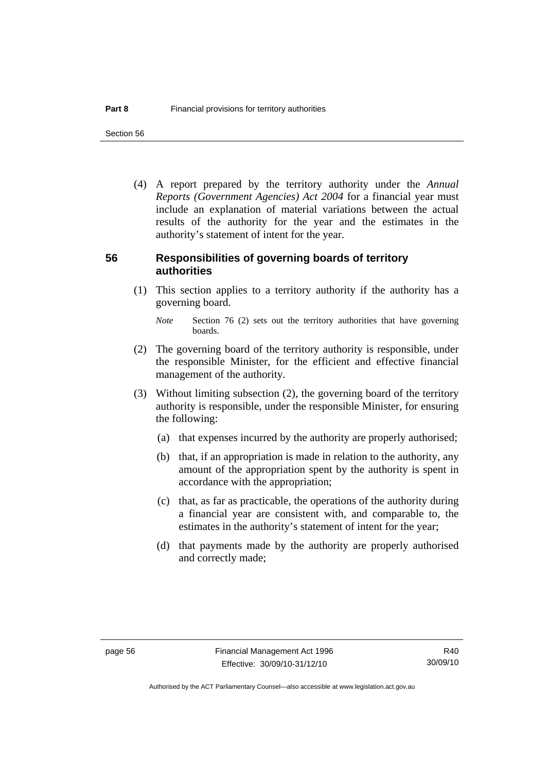Section 56

 (4) A report prepared by the territory authority under the *Annual Reports (Government Agencies) Act 2004* for a financial year must include an explanation of material variations between the actual results of the authority for the year and the estimates in the authority's statement of intent for the year.

### **56 Responsibilities of governing boards of territory authorities**

 (1) This section applies to a territory authority if the authority has a governing board.

- (2) The governing board of the territory authority is responsible, under the responsible Minister, for the efficient and effective financial management of the authority.
- (3) Without limiting subsection (2), the governing board of the territory authority is responsible, under the responsible Minister, for ensuring the following:
	- (a) that expenses incurred by the authority are properly authorised;
	- (b) that, if an appropriation is made in relation to the authority, any amount of the appropriation spent by the authority is spent in accordance with the appropriation;
	- (c) that, as far as practicable, the operations of the authority during a financial year are consistent with, and comparable to, the estimates in the authority's statement of intent for the year;
	- (d) that payments made by the authority are properly authorised and correctly made;

*Note* Section 76 (2) sets out the territory authorities that have governing boards.

R40 30/09/10

Authorised by the ACT Parliamentary Counsel—also accessible at www.legislation.act.gov.au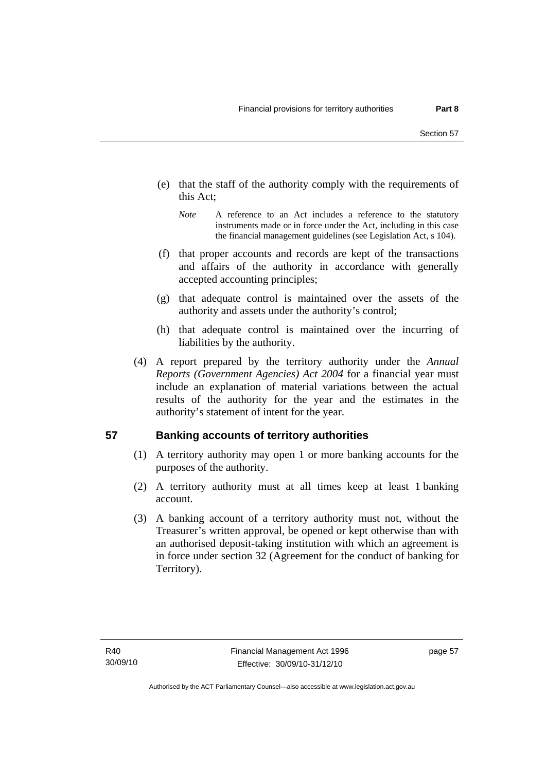- (e) that the staff of the authority comply with the requirements of this Act;
	- *Note* A reference to an Act includes a reference to the statutory instruments made or in force under the Act, including in this case the financial management guidelines (see Legislation Act, s 104).
- (f) that proper accounts and records are kept of the transactions and affairs of the authority in accordance with generally accepted accounting principles;
- (g) that adequate control is maintained over the assets of the authority and assets under the authority's control;
- (h) that adequate control is maintained over the incurring of liabilities by the authority.
- (4) A report prepared by the territory authority under the *Annual Reports (Government Agencies) Act 2004* for a financial year must include an explanation of material variations between the actual results of the authority for the year and the estimates in the authority's statement of intent for the year.

# **57 Banking accounts of territory authorities**

- (1) A territory authority may open 1 or more banking accounts for the purposes of the authority.
- (2) A territory authority must at all times keep at least 1 banking account.
- (3) A banking account of a territory authority must not, without the Treasurer's written approval, be opened or kept otherwise than with an authorised deposit-taking institution with which an agreement is in force under section 32 (Agreement for the conduct of banking for Territory).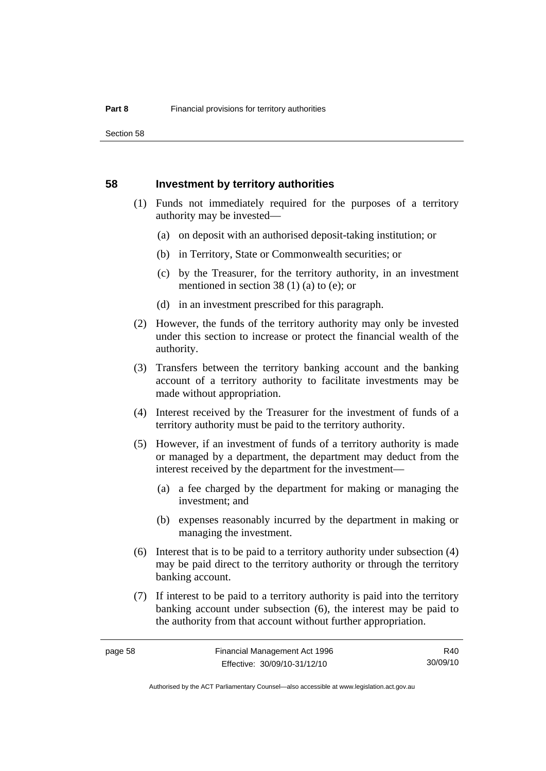#### **58 Investment by territory authorities**

- (1) Funds not immediately required for the purposes of a territory authority may be invested—
	- (a) on deposit with an authorised deposit-taking institution; or
	- (b) in Territory, State or Commonwealth securities; or
	- (c) by the Treasurer, for the territory authority, in an investment mentioned in section 38 (1) (a) to (e); or
	- (d) in an investment prescribed for this paragraph.
- (2) However, the funds of the territory authority may only be invested under this section to increase or protect the financial wealth of the authority.
- (3) Transfers between the territory banking account and the banking account of a territory authority to facilitate investments may be made without appropriation.
- (4) Interest received by the Treasurer for the investment of funds of a territory authority must be paid to the territory authority.
- (5) However, if an investment of funds of a territory authority is made or managed by a department, the department may deduct from the interest received by the department for the investment—
	- (a) a fee charged by the department for making or managing the investment; and
	- (b) expenses reasonably incurred by the department in making or managing the investment.
- (6) Interest that is to be paid to a territory authority under subsection (4) may be paid direct to the territory authority or through the territory banking account.
- (7) If interest to be paid to a territory authority is paid into the territory banking account under subsection (6), the interest may be paid to the authority from that account without further appropriation.

R40 30/09/10

Authorised by the ACT Parliamentary Counsel—also accessible at www.legislation.act.gov.au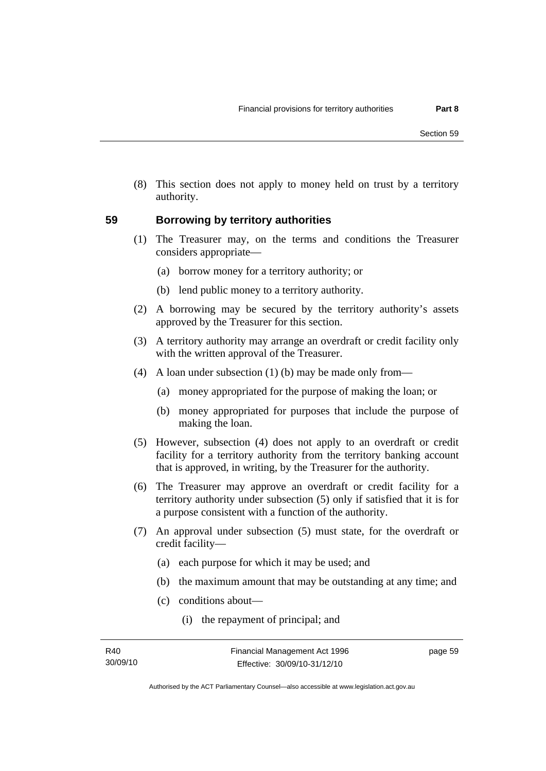(8) This section does not apply to money held on trust by a territory authority.

# **59 Borrowing by territory authorities**

- (1) The Treasurer may, on the terms and conditions the Treasurer considers appropriate—
	- (a) borrow money for a territory authority; or
	- (b) lend public money to a territory authority.
- (2) A borrowing may be secured by the territory authority's assets approved by the Treasurer for this section.
- (3) A territory authority may arrange an overdraft or credit facility only with the written approval of the Treasurer.
- (4) A loan under subsection (1) (b) may be made only from—
	- (a) money appropriated for the purpose of making the loan; or
	- (b) money appropriated for purposes that include the purpose of making the loan.
- (5) However, subsection (4) does not apply to an overdraft or credit facility for a territory authority from the territory banking account that is approved, in writing, by the Treasurer for the authority.
- (6) The Treasurer may approve an overdraft or credit facility for a territory authority under subsection (5) only if satisfied that it is for a purpose consistent with a function of the authority.
- (7) An approval under subsection (5) must state, for the overdraft or credit facility—
	- (a) each purpose for which it may be used; and
	- (b) the maximum amount that may be outstanding at any time; and
	- (c) conditions about—
		- (i) the repayment of principal; and

page 59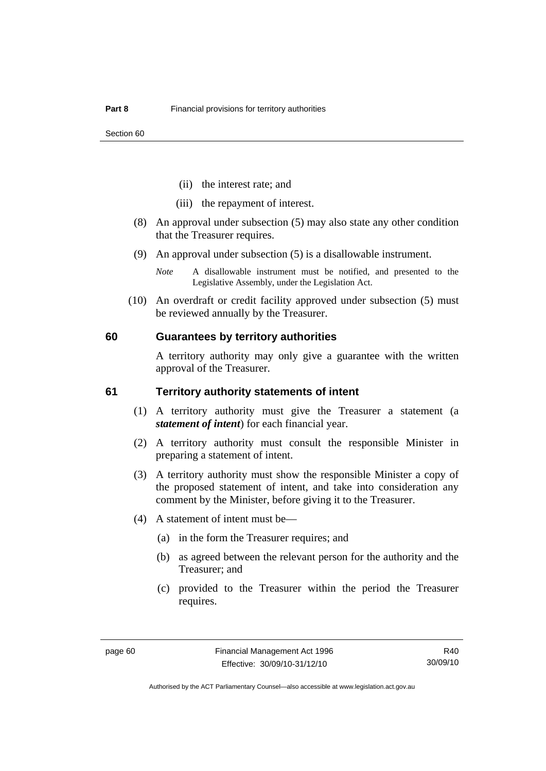- (ii) the interest rate; and
- (iii) the repayment of interest.
- (8) An approval under subsection (5) may also state any other condition that the Treasurer requires.
- (9) An approval under subsection (5) is a disallowable instrument.
	- *Note* A disallowable instrument must be notified, and presented to the Legislative Assembly, under the Legislation Act.
- (10) An overdraft or credit facility approved under subsection (5) must be reviewed annually by the Treasurer.

#### **60 Guarantees by territory authorities**

A territory authority may only give a guarantee with the written approval of the Treasurer.

#### **61 Territory authority statements of intent**

- (1) A territory authority must give the Treasurer a statement (a *statement of intent*) for each financial year.
- (2) A territory authority must consult the responsible Minister in preparing a statement of intent.
- (3) A territory authority must show the responsible Minister a copy of the proposed statement of intent, and take into consideration any comment by the Minister, before giving it to the Treasurer.
- (4) A statement of intent must be—
	- (a) in the form the Treasurer requires; and
	- (b) as agreed between the relevant person for the authority and the Treasurer; and
	- (c) provided to the Treasurer within the period the Treasurer requires.

R40 30/09/10

Authorised by the ACT Parliamentary Counsel—also accessible at www.legislation.act.gov.au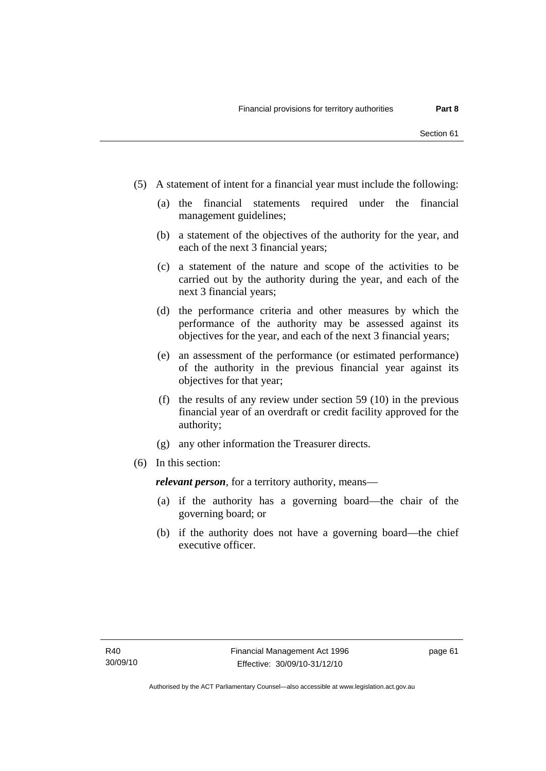- (5) A statement of intent for a financial year must include the following:
	- (a) the financial statements required under the financial management guidelines;
	- (b) a statement of the objectives of the authority for the year, and each of the next 3 financial years;
	- (c) a statement of the nature and scope of the activities to be carried out by the authority during the year, and each of the next 3 financial years;
	- (d) the performance criteria and other measures by which the performance of the authority may be assessed against its objectives for the year, and each of the next 3 financial years;
	- (e) an assessment of the performance (or estimated performance) of the authority in the previous financial year against its objectives for that year;
	- (f) the results of any review under section 59 (10) in the previous financial year of an overdraft or credit facility approved for the authority;
	- (g) any other information the Treasurer directs.
- (6) In this section:

*relevant person*, for a territory authority, means—

- (a) if the authority has a governing board—the chair of the governing board; or
- (b) if the authority does not have a governing board—the chief executive officer.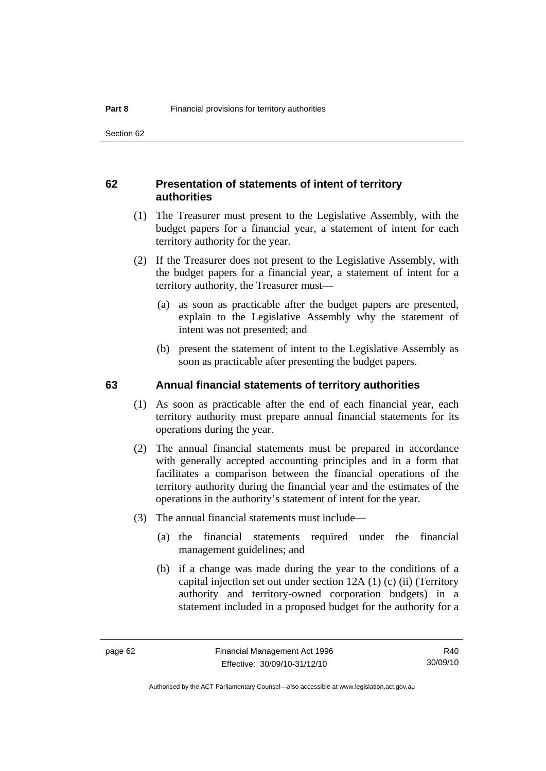## **62 Presentation of statements of intent of territory authorities**

- (1) The Treasurer must present to the Legislative Assembly, with the budget papers for a financial year, a statement of intent for each territory authority for the year.
- (2) If the Treasurer does not present to the Legislative Assembly, with the budget papers for a financial year, a statement of intent for a territory authority, the Treasurer must—
	- (a) as soon as practicable after the budget papers are presented, explain to the Legislative Assembly why the statement of intent was not presented; and
	- (b) present the statement of intent to the Legislative Assembly as soon as practicable after presenting the budget papers.

#### **63 Annual financial statements of territory authorities**

- (1) As soon as practicable after the end of each financial year, each territory authority must prepare annual financial statements for its operations during the year.
- (2) The annual financial statements must be prepared in accordance with generally accepted accounting principles and in a form that facilitates a comparison between the financial operations of the territory authority during the financial year and the estimates of the operations in the authority's statement of intent for the year.
- (3) The annual financial statements must include—
	- (a) the financial statements required under the financial management guidelines; and
	- (b) if a change was made during the year to the conditions of a capital injection set out under section 12A (1) (c) (ii) (Territory authority and territory-owned corporation budgets) in a statement included in a proposed budget for the authority for a

R40 30/09/10

Authorised by the ACT Parliamentary Counsel—also accessible at www.legislation.act.gov.au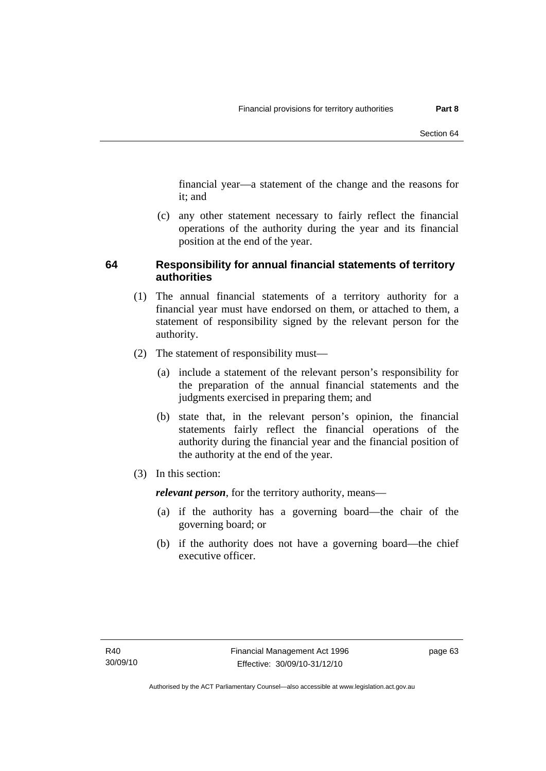financial year—a statement of the change and the reasons for it; and

 (c) any other statement necessary to fairly reflect the financial operations of the authority during the year and its financial position at the end of the year.

# **64 Responsibility for annual financial statements of territory authorities**

- (1) The annual financial statements of a territory authority for a financial year must have endorsed on them, or attached to them, a statement of responsibility signed by the relevant person for the authority.
- (2) The statement of responsibility must—
	- (a) include a statement of the relevant person's responsibility for the preparation of the annual financial statements and the judgments exercised in preparing them; and
	- (b) state that, in the relevant person's opinion, the financial statements fairly reflect the financial operations of the authority during the financial year and the financial position of the authority at the end of the year.
- (3) In this section:

*relevant person*, for the territory authority, means—

- (a) if the authority has a governing board—the chair of the governing board; or
- (b) if the authority does not have a governing board—the chief executive officer.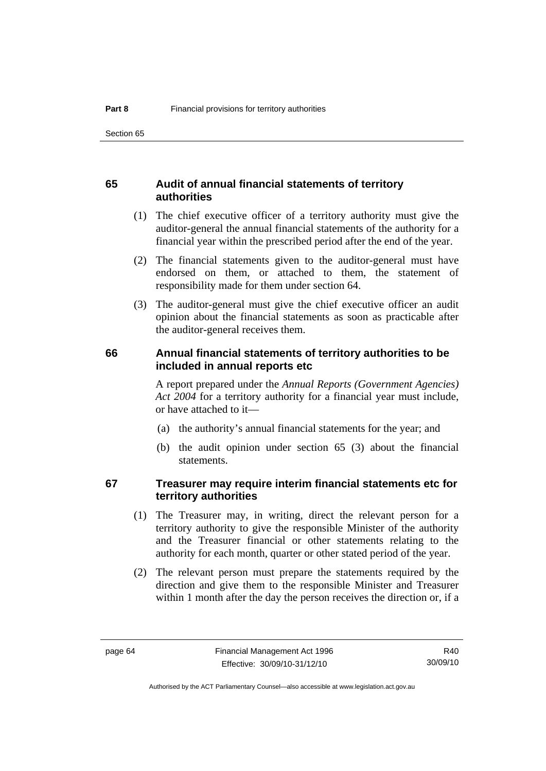# **65 Audit of annual financial statements of territory authorities**

- (1) The chief executive officer of a territory authority must give the auditor-general the annual financial statements of the authority for a financial year within the prescribed period after the end of the year.
- (2) The financial statements given to the auditor-general must have endorsed on them, or attached to them, the statement of responsibility made for them under section 64.
- (3) The auditor-general must give the chief executive officer an audit opinion about the financial statements as soon as practicable after the auditor-general receives them.

#### **66 Annual financial statements of territory authorities to be included in annual reports etc**

A report prepared under the *Annual Reports (Government Agencies) Act 2004* for a territory authority for a financial year must include, or have attached to it—

- (a) the authority's annual financial statements for the year; and
- (b) the audit opinion under section 65 (3) about the financial statements.

# **67 Treasurer may require interim financial statements etc for territory authorities**

- (1) The Treasurer may, in writing, direct the relevant person for a territory authority to give the responsible Minister of the authority and the Treasurer financial or other statements relating to the authority for each month, quarter or other stated period of the year.
- (2) The relevant person must prepare the statements required by the direction and give them to the responsible Minister and Treasurer within 1 month after the day the person receives the direction or, if a

R40 30/09/10

Authorised by the ACT Parliamentary Counsel—also accessible at www.legislation.act.gov.au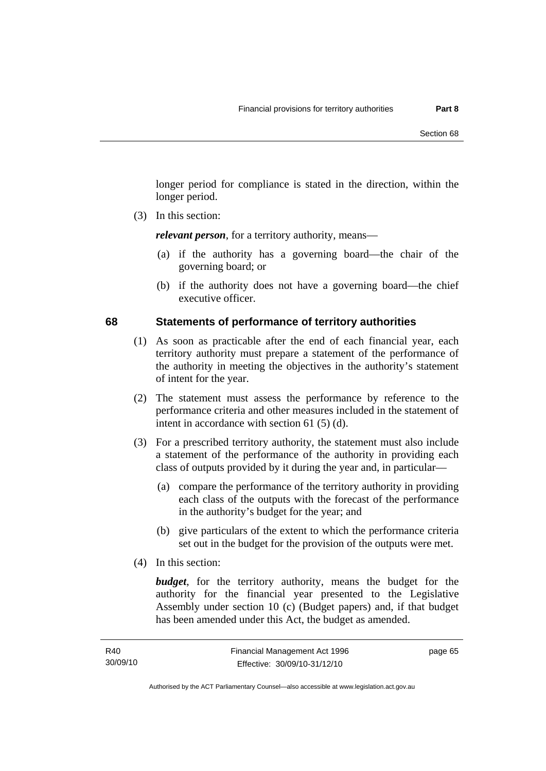longer period for compliance is stated in the direction, within the longer period.

(3) In this section:

*relevant person*, for a territory authority, means—

- (a) if the authority has a governing board—the chair of the governing board; or
- (b) if the authority does not have a governing board—the chief executive officer.

### **68 Statements of performance of territory authorities**

- (1) As soon as practicable after the end of each financial year, each territory authority must prepare a statement of the performance of the authority in meeting the objectives in the authority's statement of intent for the year.
- (2) The statement must assess the performance by reference to the performance criteria and other measures included in the statement of intent in accordance with section 61 (5) (d).
- (3) For a prescribed territory authority, the statement must also include a statement of the performance of the authority in providing each class of outputs provided by it during the year and, in particular—
	- (a) compare the performance of the territory authority in providing each class of the outputs with the forecast of the performance in the authority's budget for the year; and
	- (b) give particulars of the extent to which the performance criteria set out in the budget for the provision of the outputs were met.
- (4) In this section:

*budget*, for the territory authority, means the budget for the authority for the financial year presented to the Legislative Assembly under section 10 (c) (Budget papers) and, if that budget has been amended under this Act, the budget as amended.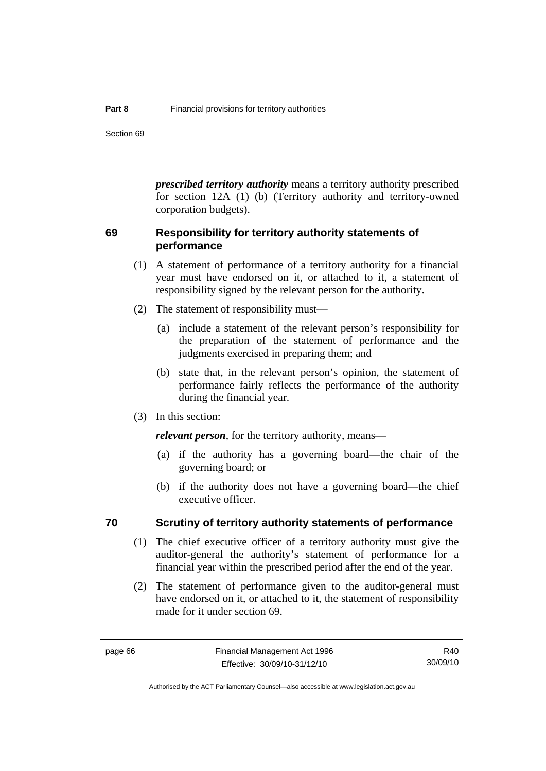Section 69

*prescribed territory authority* means a territory authority prescribed for section 12A (1) (b) (Territory authority and territory-owned corporation budgets).

# **69 Responsibility for territory authority statements of performance**

- (1) A statement of performance of a territory authority for a financial year must have endorsed on it, or attached to it, a statement of responsibility signed by the relevant person for the authority.
- (2) The statement of responsibility must—
	- (a) include a statement of the relevant person's responsibility for the preparation of the statement of performance and the judgments exercised in preparing them; and
	- (b) state that, in the relevant person's opinion, the statement of performance fairly reflects the performance of the authority during the financial year.
- (3) In this section:

*relevant person*, for the territory authority, means—

- (a) if the authority has a governing board—the chair of the governing board; or
- (b) if the authority does not have a governing board—the chief executive officer.

#### **70 Scrutiny of territory authority statements of performance**

- (1) The chief executive officer of a territory authority must give the auditor-general the authority's statement of performance for a financial year within the prescribed period after the end of the year.
- (2) The statement of performance given to the auditor-general must have endorsed on it, or attached to it, the statement of responsibility made for it under section 69.

R40 30/09/10

Authorised by the ACT Parliamentary Counsel—also accessible at www.legislation.act.gov.au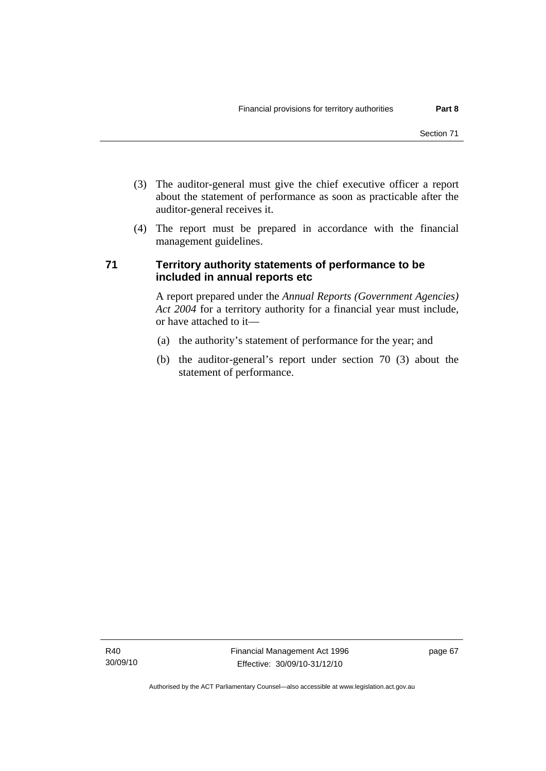- (3) The auditor-general must give the chief executive officer a report about the statement of performance as soon as practicable after the auditor-general receives it.
- (4) The report must be prepared in accordance with the financial management guidelines.

# **71 Territory authority statements of performance to be included in annual reports etc**

A report prepared under the *Annual Reports (Government Agencies) Act 2004* for a territory authority for a financial year must include, or have attached to it—

- (a) the authority's statement of performance for the year; and
- (b) the auditor-general's report under section 70 (3) about the statement of performance.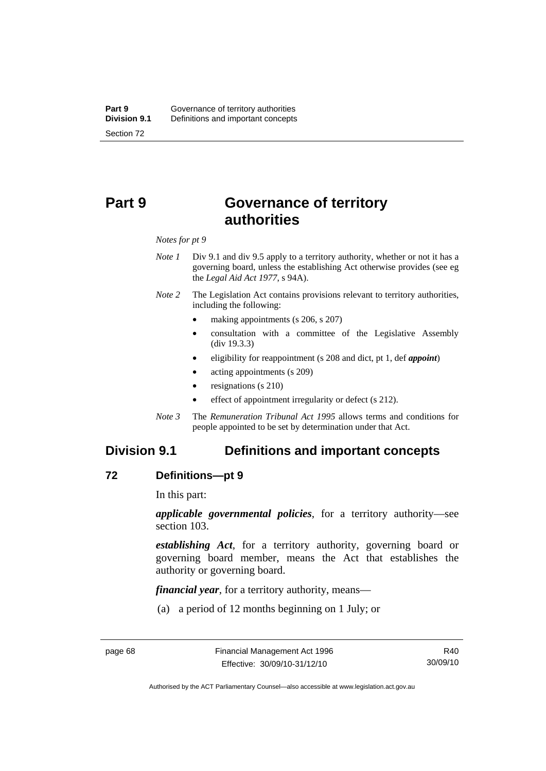# **Part 9 Governance of territory authorities**

*Notes for pt 9* 

- *Note 1* Div 9.1 and div 9.5 apply to a territory authority, whether or not it has a governing board, unless the establishing Act otherwise provides (see eg the *Legal Aid Act 1977*, s 94A).
- *Note 2* The Legislation Act contains provisions relevant to territory authorities, including the following:
	- making appointments (s 206, s 207)
	- consultation with a committee of the Legislative Assembly (div 19.3.3)
	- eligibility for reappointment (s 208 and dict, pt 1, def *appoint*)
	- acting appointments (s 209)
	- resignations (s 210)
	- effect of appointment irregularity or defect (s 212).
- *Note 3* The *Remuneration Tribunal Act 1995* allows terms and conditions for people appointed to be set by determination under that Act.

# **Division 9.1 Definitions and important concepts**

#### **72 Definitions—pt 9**

In this part:

*applicable governmental policies*, for a territory authority—see section 103.

*establishing Act*, for a territory authority, governing board or governing board member, means the Act that establishes the authority or governing board.

*financial year*, for a territory authority, means—

(a) a period of 12 months beginning on 1 July; or

R40 30/09/10

Authorised by the ACT Parliamentary Counsel—also accessible at www.legislation.act.gov.au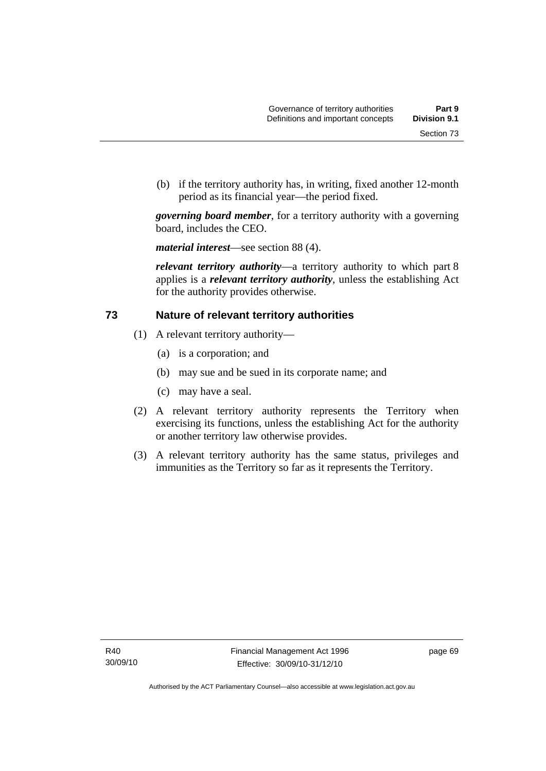(b) if the territory authority has, in writing, fixed another 12-month period as its financial year—the period fixed.

*governing board member*, for a territory authority with a governing board, includes the CEO.

*material interest*—see section 88 (4).

*relevant territory authority*—a territory authority to which part 8 applies is a *relevant territory authority*, unless the establishing Act for the authority provides otherwise.

# **73 Nature of relevant territory authorities**

- (1) A relevant territory authority—
	- (a) is a corporation; and
	- (b) may sue and be sued in its corporate name; and
	- (c) may have a seal.
- (2) A relevant territory authority represents the Territory when exercising its functions, unless the establishing Act for the authority or another territory law otherwise provides.
- (3) A relevant territory authority has the same status, privileges and immunities as the Territory so far as it represents the Territory.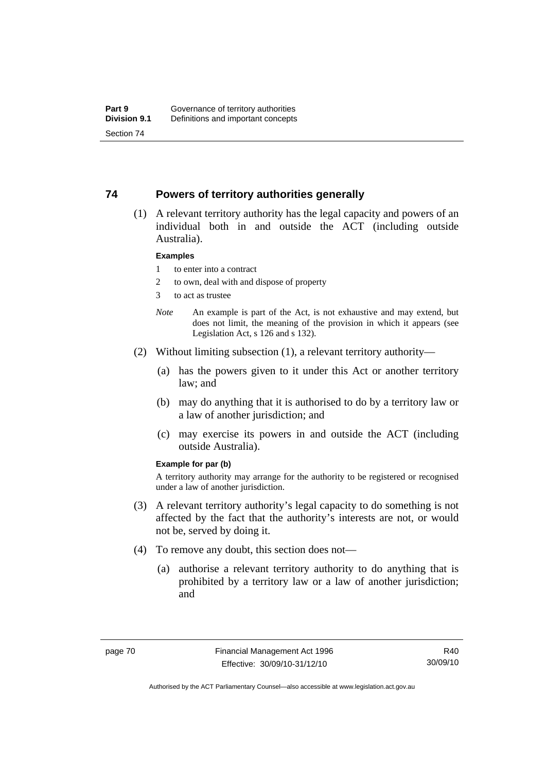#### **74 Powers of territory authorities generally**

 (1) A relevant territory authority has the legal capacity and powers of an individual both in and outside the ACT (including outside Australia).

#### **Examples**

- 1 to enter into a contract
- 2 to own, deal with and dispose of property
- 3 to act as trustee
- *Note* An example is part of the Act, is not exhaustive and may extend, but does not limit, the meaning of the provision in which it appears (see Legislation Act, s 126 and s 132).
- (2) Without limiting subsection (1), a relevant territory authority—
	- (a) has the powers given to it under this Act or another territory law; and
	- (b) may do anything that it is authorised to do by a territory law or a law of another jurisdiction; and
	- (c) may exercise its powers in and outside the ACT (including outside Australia).

#### **Example for par (b)**

A territory authority may arrange for the authority to be registered or recognised under a law of another jurisdiction.

- (3) A relevant territory authority's legal capacity to do something is not affected by the fact that the authority's interests are not, or would not be, served by doing it.
- (4) To remove any doubt, this section does not—
	- (a) authorise a relevant territory authority to do anything that is prohibited by a territory law or a law of another jurisdiction; and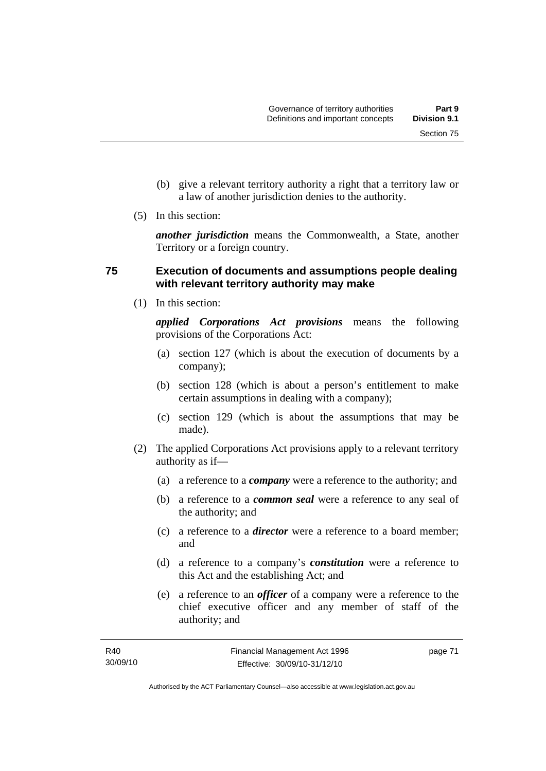Section 75

- (b) give a relevant territory authority a right that a territory law or a law of another jurisdiction denies to the authority.
- (5) In this section:

*another jurisdiction* means the Commonwealth, a State, another Territory or a foreign country.

# **75 Execution of documents and assumptions people dealing with relevant territory authority may make**

(1) In this section:

*applied Corporations Act provisions* means the following provisions of the Corporations Act:

- (a) section 127 (which is about the execution of documents by a company);
- (b) section 128 (which is about a person's entitlement to make certain assumptions in dealing with a company);
- (c) section 129 (which is about the assumptions that may be made).
- (2) The applied Corporations Act provisions apply to a relevant territory authority as if—
	- (a) a reference to a *company* were a reference to the authority; and
	- (b) a reference to a *common seal* were a reference to any seal of the authority; and
	- (c) a reference to a *director* were a reference to a board member; and
	- (d) a reference to a company's *constitution* were a reference to this Act and the establishing Act; and
	- (e) a reference to an *officer* of a company were a reference to the chief executive officer and any member of staff of the authority; and

page 71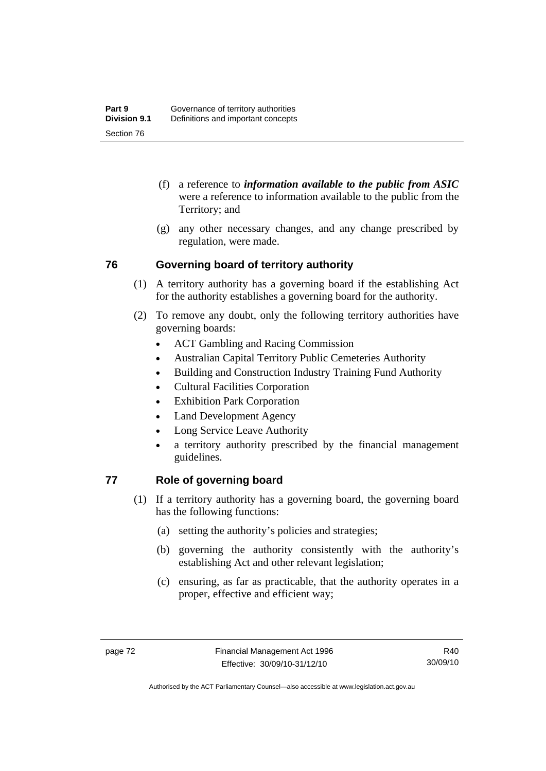- (f) a reference to *information available to the public from ASIC*  were a reference to information available to the public from the Territory; and
- (g) any other necessary changes, and any change prescribed by regulation, were made.

# **76 Governing board of territory authority**

- (1) A territory authority has a governing board if the establishing Act for the authority establishes a governing board for the authority.
- (2) To remove any doubt, only the following territory authorities have governing boards:
	- ACT Gambling and Racing Commission
	- Australian Capital Territory Public Cemeteries Authority
	- Building and Construction Industry Training Fund Authority
	- Cultural Facilities Corporation
	- Exhibition Park Corporation
	- Land Development Agency
	- Long Service Leave Authority
	- a territory authority prescribed by the financial management guidelines.

# **77 Role of governing board**

- (1) If a territory authority has a governing board, the governing board has the following functions:
	- (a) setting the authority's policies and strategies;
	- (b) governing the authority consistently with the authority's establishing Act and other relevant legislation;
	- (c) ensuring, as far as practicable, that the authority operates in a proper, effective and efficient way;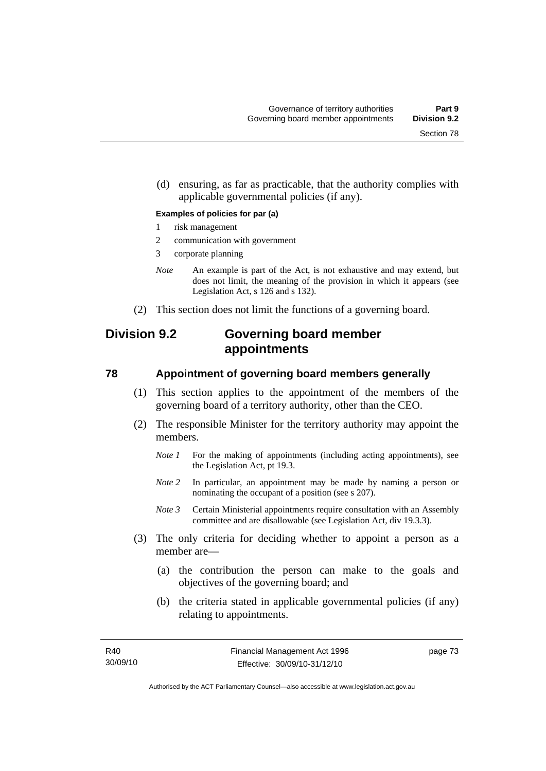(d) ensuring, as far as practicable, that the authority complies with applicable governmental policies (if any).

#### **Examples of policies for par (a)**

- 1 risk management
- 2 communication with government
- 3 corporate planning
- *Note* An example is part of the Act, is not exhaustive and may extend, but does not limit, the meaning of the provision in which it appears (see Legislation Act, s 126 and s 132).
- (2) This section does not limit the functions of a governing board.

# **Division 9.2 Governing board member appointments**

#### **78 Appointment of governing board members generally**

- (1) This section applies to the appointment of the members of the governing board of a territory authority, other than the CEO.
- (2) The responsible Minister for the territory authority may appoint the members.
	- *Note 1* For the making of appointments (including acting appointments), see the Legislation Act, pt 19.3.
	- *Note 2* In particular, an appointment may be made by naming a person or nominating the occupant of a position (see s 207).
	- *Note 3* Certain Ministerial appointments require consultation with an Assembly committee and are disallowable (see Legislation Act, div 19.3.3).
- (3) The only criteria for deciding whether to appoint a person as a member are—
	- (a) the contribution the person can make to the goals and objectives of the governing board; and
	- (b) the criteria stated in applicable governmental policies (if any) relating to appointments.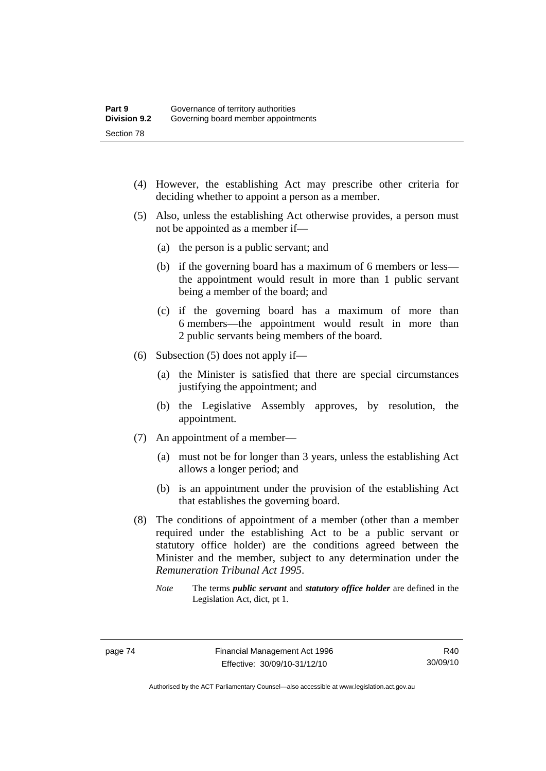- (4) However, the establishing Act may prescribe other criteria for deciding whether to appoint a person as a member.
- (5) Also, unless the establishing Act otherwise provides, a person must not be appointed as a member if—
	- (a) the person is a public servant; and
	- (b) if the governing board has a maximum of 6 members or less the appointment would result in more than 1 public servant being a member of the board; and
	- (c) if the governing board has a maximum of more than 6 members—the appointment would result in more than 2 public servants being members of the board.
- (6) Subsection (5) does not apply if—
	- (a) the Minister is satisfied that there are special circumstances justifying the appointment; and
	- (b) the Legislative Assembly approves, by resolution, the appointment.
- (7) An appointment of a member—
	- (a) must not be for longer than 3 years, unless the establishing Act allows a longer period; and
	- (b) is an appointment under the provision of the establishing Act that establishes the governing board.
- (8) The conditions of appointment of a member (other than a member required under the establishing Act to be a public servant or statutory office holder) are the conditions agreed between the Minister and the member, subject to any determination under the *Remuneration Tribunal Act 1995*.
	- *Note* The terms *public servant* and *statutory office holder* are defined in the Legislation Act, dict, pt 1.

Authorised by the ACT Parliamentary Counsel—also accessible at www.legislation.act.gov.au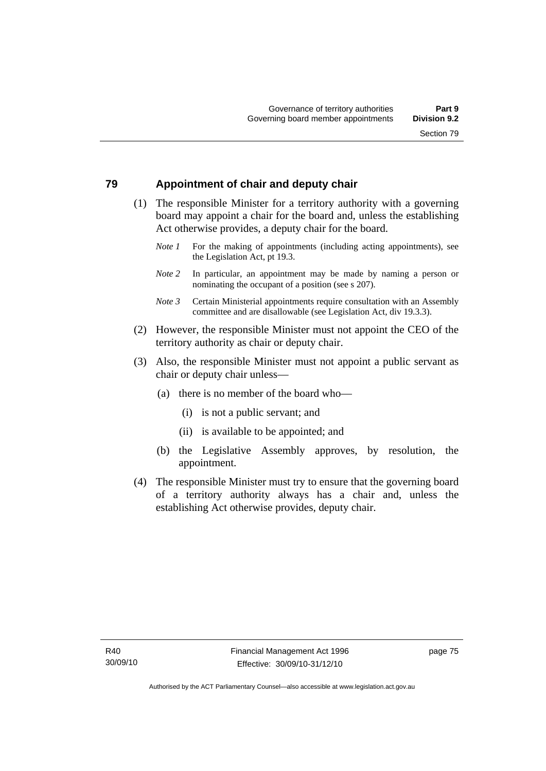# **79 Appointment of chair and deputy chair**

- (1) The responsible Minister for a territory authority with a governing board may appoint a chair for the board and, unless the establishing Act otherwise provides, a deputy chair for the board.
	- *Note 1* For the making of appointments (including acting appointments), see the Legislation Act, pt 19.3.
	- *Note 2* In particular, an appointment may be made by naming a person or nominating the occupant of a position (see s 207).
	- *Note 3* Certain Ministerial appointments require consultation with an Assembly committee and are disallowable (see Legislation Act, div 19.3.3).
- (2) However, the responsible Minister must not appoint the CEO of the territory authority as chair or deputy chair.
- (3) Also, the responsible Minister must not appoint a public servant as chair or deputy chair unless—
	- (a) there is no member of the board who—
		- (i) is not a public servant; and
		- (ii) is available to be appointed; and
	- (b) the Legislative Assembly approves, by resolution, the appointment.
- (4) The responsible Minister must try to ensure that the governing board of a territory authority always has a chair and, unless the establishing Act otherwise provides, deputy chair.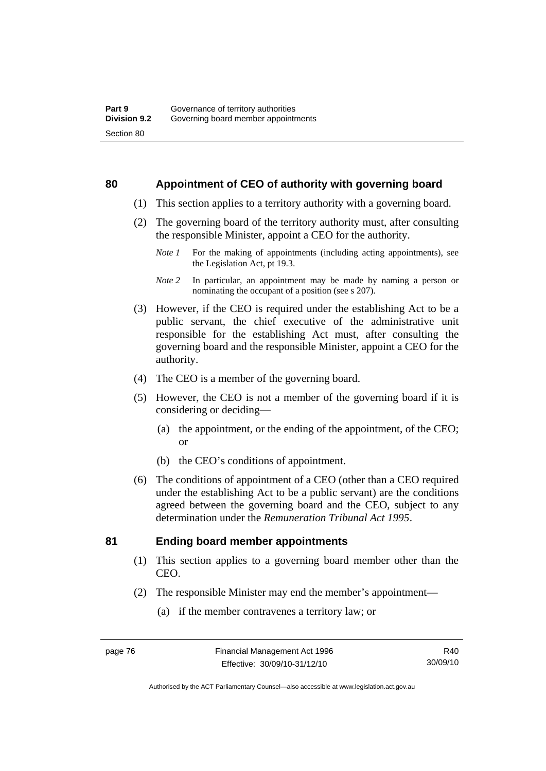#### **80 Appointment of CEO of authority with governing board**

- (1) This section applies to a territory authority with a governing board.
- (2) The governing board of the territory authority must, after consulting the responsible Minister, appoint a CEO for the authority.
	- *Note 1* For the making of appointments (including acting appointments), see the Legislation Act, pt 19.3.
	- *Note 2* In particular, an appointment may be made by naming a person or nominating the occupant of a position (see s 207).
- (3) However, if the CEO is required under the establishing Act to be a public servant, the chief executive of the administrative unit responsible for the establishing Act must, after consulting the governing board and the responsible Minister, appoint a CEO for the authority.
- (4) The CEO is a member of the governing board.
- (5) However, the CEO is not a member of the governing board if it is considering or deciding—
	- (a) the appointment, or the ending of the appointment, of the CEO; or
	- (b) the CEO's conditions of appointment.
- (6) The conditions of appointment of a CEO (other than a CEO required under the establishing Act to be a public servant) are the conditions agreed between the governing board and the CEO, subject to any determination under the *Remuneration Tribunal Act 1995*.

### **81 Ending board member appointments**

- (1) This section applies to a governing board member other than the CEO.
- (2) The responsible Minister may end the member's appointment—
	- (a) if the member contravenes a territory law; or

Authorised by the ACT Parliamentary Counsel—also accessible at www.legislation.act.gov.au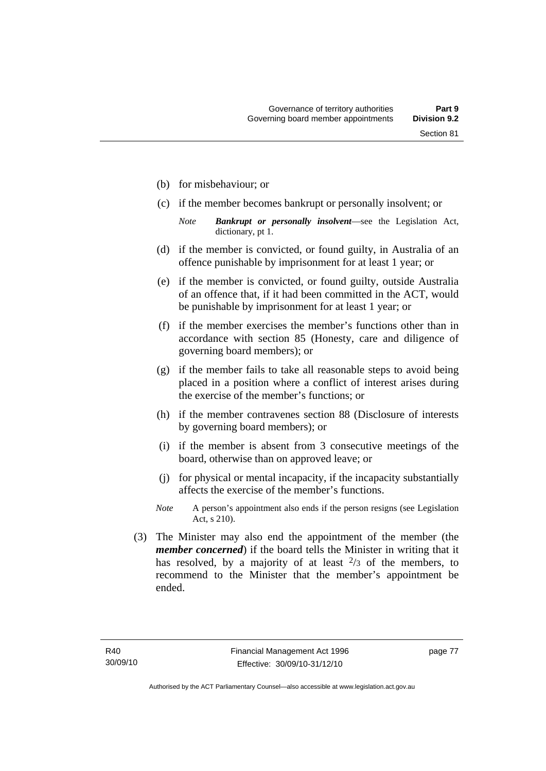- (b) for misbehaviour; or
- (c) if the member becomes bankrupt or personally insolvent; or
	- *Note Bankrupt or personally insolvent*—see the Legislation Act, dictionary, pt 1.
- (d) if the member is convicted, or found guilty, in Australia of an offence punishable by imprisonment for at least 1 year; or
- (e) if the member is convicted, or found guilty, outside Australia of an offence that, if it had been committed in the ACT, would be punishable by imprisonment for at least 1 year; or
- (f) if the member exercises the member's functions other than in accordance with section 85 (Honesty, care and diligence of governing board members); or
- (g) if the member fails to take all reasonable steps to avoid being placed in a position where a conflict of interest arises during the exercise of the member's functions; or
- (h) if the member contravenes section 88 (Disclosure of interests by governing board members); or
- (i) if the member is absent from 3 consecutive meetings of the board, otherwise than on approved leave; or
- (j) for physical or mental incapacity, if the incapacity substantially affects the exercise of the member's functions.
- *Note* A person's appointment also ends if the person resigns (see Legislation Act, s 210).
- (3) The Minister may also end the appointment of the member (the *member concerned*) if the board tells the Minister in writing that it has resolved, by a majority of at least  $\frac{2}{3}$  of the members, to recommend to the Minister that the member's appointment be ended.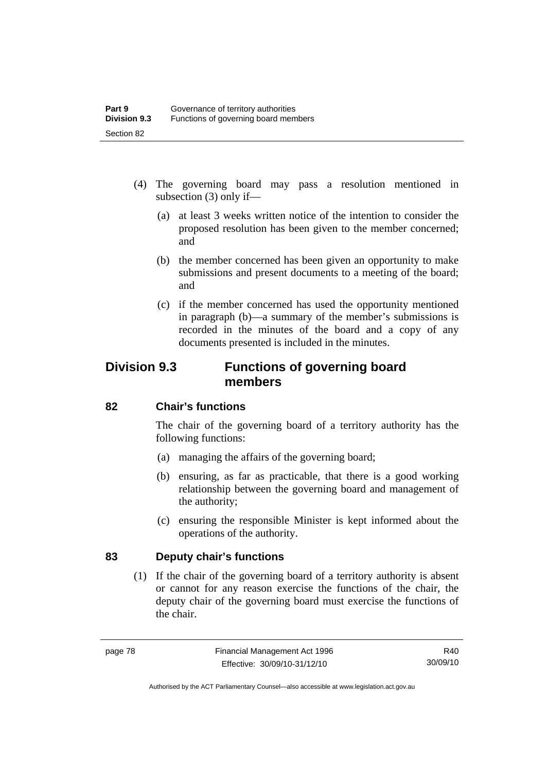- (4) The governing board may pass a resolution mentioned in subsection (3) only if—
	- (a) at least 3 weeks written notice of the intention to consider the proposed resolution has been given to the member concerned; and
	- (b) the member concerned has been given an opportunity to make submissions and present documents to a meeting of the board; and
	- (c) if the member concerned has used the opportunity mentioned in paragraph (b)—a summary of the member's submissions is recorded in the minutes of the board and a copy of any documents presented is included in the minutes.

# **Division 9.3 Functions of governing board members**

# **82 Chair's functions**

The chair of the governing board of a territory authority has the following functions:

- (a) managing the affairs of the governing board;
- (b) ensuring, as far as practicable, that there is a good working relationship between the governing board and management of the authority;
- (c) ensuring the responsible Minister is kept informed about the operations of the authority.

# **83 Deputy chair's functions**

 (1) If the chair of the governing board of a territory authority is absent or cannot for any reason exercise the functions of the chair, the deputy chair of the governing board must exercise the functions of the chair.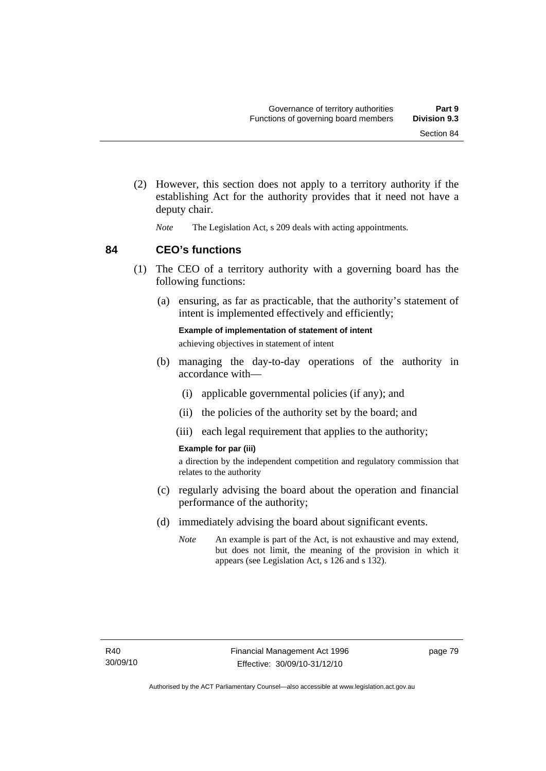- (2) However, this section does not apply to a territory authority if the establishing Act for the authority provides that it need not have a deputy chair.
	- *Note* The Legislation Act, s 209 deals with acting appointments.

**84 CEO's functions** 

- (1) The CEO of a territory authority with a governing board has the following functions:
	- (a) ensuring, as far as practicable, that the authority's statement of intent is implemented effectively and efficiently;

**Example of implementation of statement of intent**  achieving objectives in statement of intent

- (b) managing the day-to-day operations of the authority in accordance with—
	- (i) applicable governmental policies (if any); and
	- (ii) the policies of the authority set by the board; and
	- (iii) each legal requirement that applies to the authority;

#### **Example for par (iii)**

a direction by the independent competition and regulatory commission that relates to the authority

- (c) regularly advising the board about the operation and financial performance of the authority;
- (d) immediately advising the board about significant events.
	- *Note* An example is part of the Act, is not exhaustive and may extend, but does not limit, the meaning of the provision in which it appears (see Legislation Act, s 126 and s 132).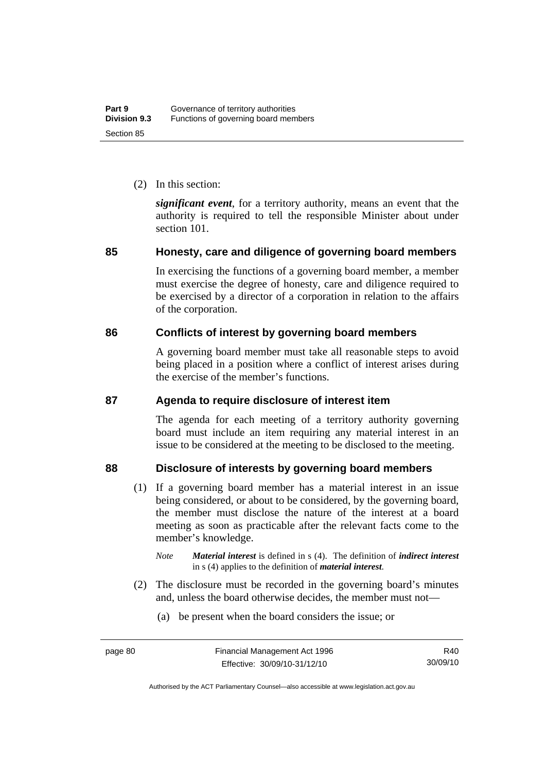(2) In this section:

*significant event*, for a territory authority, means an event that the authority is required to tell the responsible Minister about under section 101.

# **85 Honesty, care and diligence of governing board members**

In exercising the functions of a governing board member, a member must exercise the degree of honesty, care and diligence required to be exercised by a director of a corporation in relation to the affairs of the corporation.

# **86 Conflicts of interest by governing board members**

A governing board member must take all reasonable steps to avoid being placed in a position where a conflict of interest arises during the exercise of the member's functions.

### **87 Agenda to require disclosure of interest item**

The agenda for each meeting of a territory authority governing board must include an item requiring any material interest in an issue to be considered at the meeting to be disclosed to the meeting.

# **88 Disclosure of interests by governing board members**

- (1) If a governing board member has a material interest in an issue being considered, or about to be considered, by the governing board, the member must disclose the nature of the interest at a board meeting as soon as practicable after the relevant facts come to the member's knowledge.
	- *Note Material interest* is defined in s (4). The definition of *indirect interest* in s (4) applies to the definition of *material interest*.
- (2) The disclosure must be recorded in the governing board's minutes and, unless the board otherwise decides, the member must not—
	- (a) be present when the board considers the issue; or

Authorised by the ACT Parliamentary Counsel—also accessible at www.legislation.act.gov.au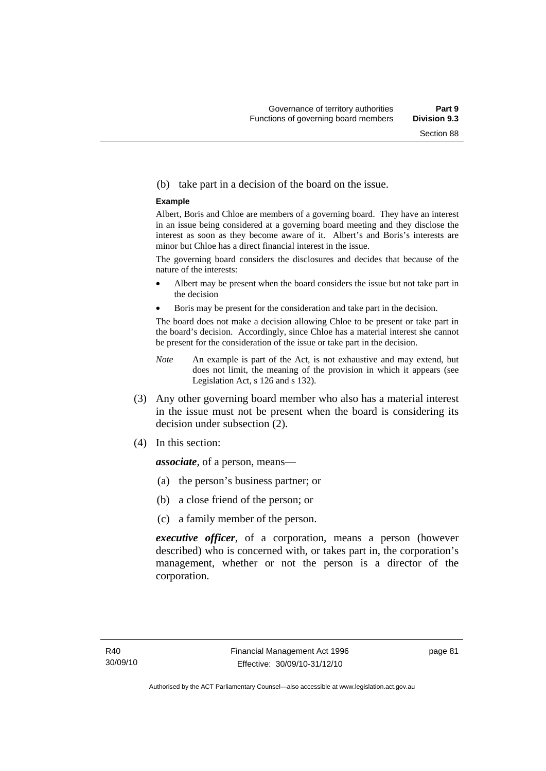#### (b) take part in a decision of the board on the issue.

#### **Example**

Albert, Boris and Chloe are members of a governing board. They have an interest in an issue being considered at a governing board meeting and they disclose the interest as soon as they become aware of it. Albert's and Boris's interests are minor but Chloe has a direct financial interest in the issue.

The governing board considers the disclosures and decides that because of the nature of the interests:

- Albert may be present when the board considers the issue but not take part in the decision
- Boris may be present for the consideration and take part in the decision.

The board does not make a decision allowing Chloe to be present or take part in the board's decision. Accordingly, since Chloe has a material interest she cannot be present for the consideration of the issue or take part in the decision.

- *Note* An example is part of the Act, is not exhaustive and may extend, but does not limit, the meaning of the provision in which it appears (see Legislation Act, s 126 and s 132).
- (3) Any other governing board member who also has a material interest in the issue must not be present when the board is considering its decision under subsection (2).
- (4) In this section:

*associate*, of a person, means—

- (a) the person's business partner; or
- (b) a close friend of the person; or
- (c) a family member of the person.

*executive officer*, of a corporation, means a person (however described) who is concerned with, or takes part in, the corporation's management, whether or not the person is a director of the corporation.

page 81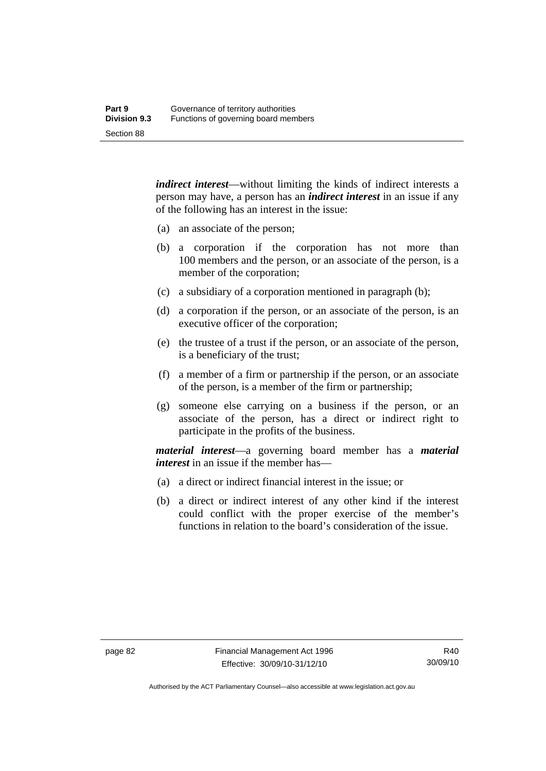*indirect interest*—without limiting the kinds of indirect interests a person may have, a person has an *indirect interest* in an issue if any of the following has an interest in the issue:

- (a) an associate of the person;
- (b) a corporation if the corporation has not more than 100 members and the person, or an associate of the person, is a member of the corporation;
- (c) a subsidiary of a corporation mentioned in paragraph (b);
- (d) a corporation if the person, or an associate of the person, is an executive officer of the corporation;
- (e) the trustee of a trust if the person, or an associate of the person, is a beneficiary of the trust;
- (f) a member of a firm or partnership if the person, or an associate of the person, is a member of the firm or partnership;
- (g) someone else carrying on a business if the person, or an associate of the person, has a direct or indirect right to participate in the profits of the business.

*material interest*—a governing board member has a *material interest* in an issue if the member has—

- (a) a direct or indirect financial interest in the issue; or
- (b) a direct or indirect interest of any other kind if the interest could conflict with the proper exercise of the member's functions in relation to the board's consideration of the issue.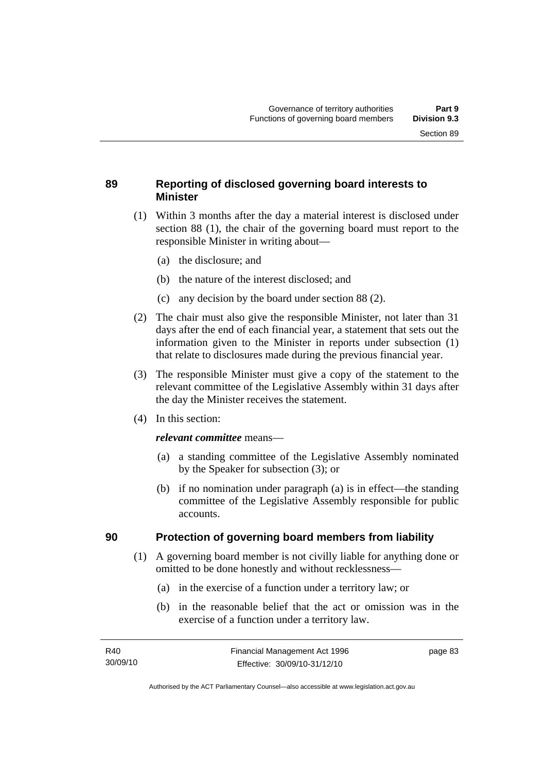# **89 Reporting of disclosed governing board interests to Minister**

- (1) Within 3 months after the day a material interest is disclosed under section 88 (1), the chair of the governing board must report to the responsible Minister in writing about—
	- (a) the disclosure; and
	- (b) the nature of the interest disclosed; and
	- (c) any decision by the board under section 88 (2).
- (2) The chair must also give the responsible Minister, not later than 31 days after the end of each financial year, a statement that sets out the information given to the Minister in reports under subsection (1) that relate to disclosures made during the previous financial year.
- (3) The responsible Minister must give a copy of the statement to the relevant committee of the Legislative Assembly within 31 days after the day the Minister receives the statement.
- (4) In this section:

#### *relevant committee* means—

- (a) a standing committee of the Legislative Assembly nominated by the Speaker for subsection (3); or
- (b) if no nomination under paragraph (a) is in effect—the standing committee of the Legislative Assembly responsible for public accounts.

### **90 Protection of governing board members from liability**

- (1) A governing board member is not civilly liable for anything done or omitted to be done honestly and without recklessness—
	- (a) in the exercise of a function under a territory law; or
	- (b) in the reasonable belief that the act or omission was in the exercise of a function under a territory law.

page 83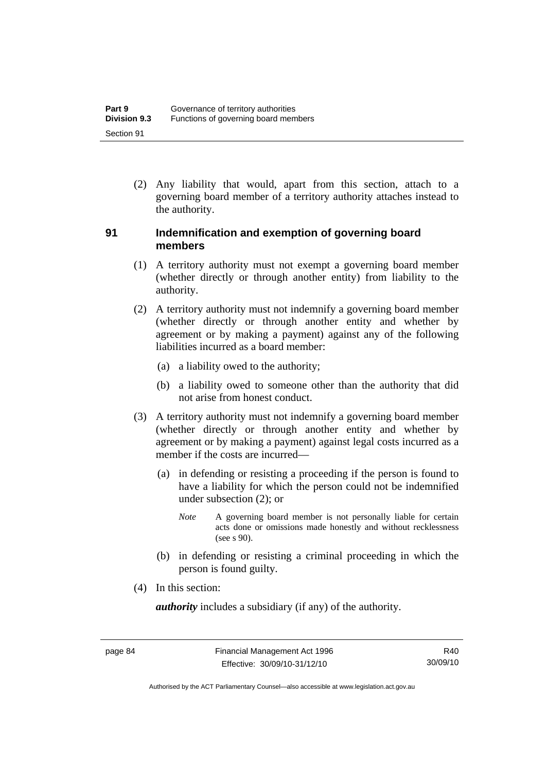(2) Any liability that would, apart from this section, attach to a governing board member of a territory authority attaches instead to the authority.

## **91 Indemnification and exemption of governing board members**

- (1) A territory authority must not exempt a governing board member (whether directly or through another entity) from liability to the authority.
- (2) A territory authority must not indemnify a governing board member (whether directly or through another entity and whether by agreement or by making a payment) against any of the following liabilities incurred as a board member:
	- (a) a liability owed to the authority;
	- (b) a liability owed to someone other than the authority that did not arise from honest conduct.
- (3) A territory authority must not indemnify a governing board member (whether directly or through another entity and whether by agreement or by making a payment) against legal costs incurred as a member if the costs are incurred—
	- (a) in defending or resisting a proceeding if the person is found to have a liability for which the person could not be indemnified under subsection (2); or
		- *Note* A governing board member is not personally liable for certain acts done or omissions made honestly and without recklessness  $($ see s  $90$ ).
	- (b) in defending or resisting a criminal proceeding in which the person is found guilty.
- (4) In this section:

*authority* includes a subsidiary (if any) of the authority.

R40 30/09/10

Authorised by the ACT Parliamentary Counsel—also accessible at www.legislation.act.gov.au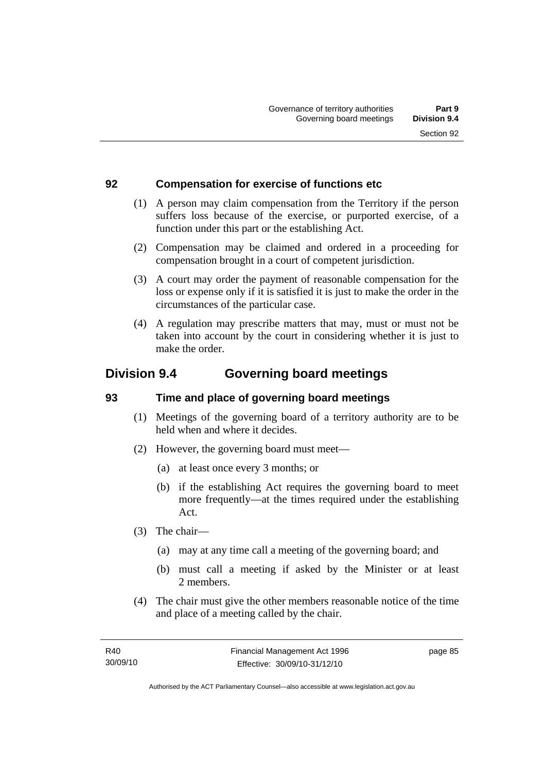# **92 Compensation for exercise of functions etc**

- (1) A person may claim compensation from the Territory if the person suffers loss because of the exercise, or purported exercise, of a function under this part or the establishing Act.
- (2) Compensation may be claimed and ordered in a proceeding for compensation brought in a court of competent jurisdiction.
- (3) A court may order the payment of reasonable compensation for the loss or expense only if it is satisfied it is just to make the order in the circumstances of the particular case.
- (4) A regulation may prescribe matters that may, must or must not be taken into account by the court in considering whether it is just to make the order.

# **Division 9.4 Governing board meetings**

# **93 Time and place of governing board meetings**

- (1) Meetings of the governing board of a territory authority are to be held when and where it decides.
- (2) However, the governing board must meet—
	- (a) at least once every 3 months; or
	- (b) if the establishing Act requires the governing board to meet more frequently—at the times required under the establishing Act.
- (3) The chair—
	- (a) may at any time call a meeting of the governing board; and
	- (b) must call a meeting if asked by the Minister or at least 2 members.
- (4) The chair must give the other members reasonable notice of the time and place of a meeting called by the chair.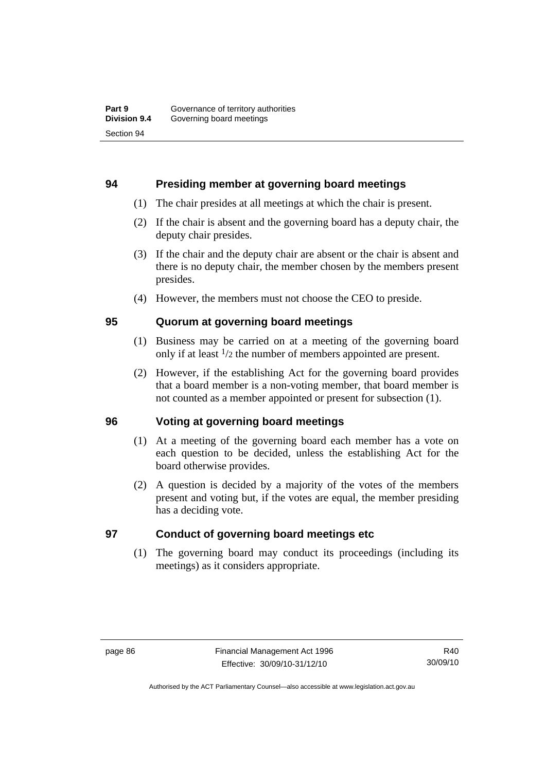## **94 Presiding member at governing board meetings**

- (1) The chair presides at all meetings at which the chair is present.
- (2) If the chair is absent and the governing board has a deputy chair, the deputy chair presides.
- (3) If the chair and the deputy chair are absent or the chair is absent and there is no deputy chair, the member chosen by the members present presides.
- (4) However, the members must not choose the CEO to preside.

# **95 Quorum at governing board meetings**

- (1) Business may be carried on at a meeting of the governing board only if at least 1/2 the number of members appointed are present.
- (2) However, if the establishing Act for the governing board provides that a board member is a non-voting member, that board member is not counted as a member appointed or present for subsection (1).

### **96 Voting at governing board meetings**

- (1) At a meeting of the governing board each member has a vote on each question to be decided, unless the establishing Act for the board otherwise provides.
- (2) A question is decided by a majority of the votes of the members present and voting but, if the votes are equal, the member presiding has a deciding vote.

# **97 Conduct of governing board meetings etc**

 (1) The governing board may conduct its proceedings (including its meetings) as it considers appropriate.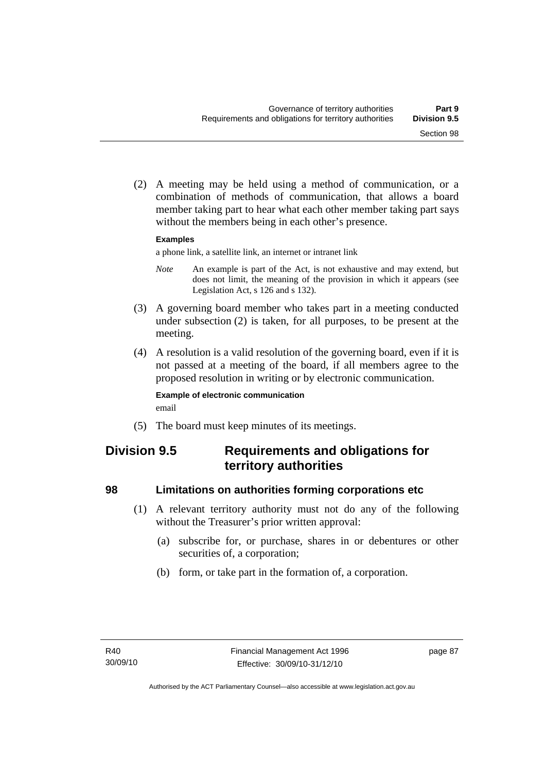(2) A meeting may be held using a method of communication, or a combination of methods of communication, that allows a board member taking part to hear what each other member taking part says without the members being in each other's presence.

#### **Examples**

a phone link, a satellite link, an internet or intranet link

- *Note* An example is part of the Act, is not exhaustive and may extend, but does not limit, the meaning of the provision in which it appears (see Legislation Act, s 126 and s 132).
- (3) A governing board member who takes part in a meeting conducted under subsection (2) is taken, for all purposes, to be present at the meeting.
- (4) A resolution is a valid resolution of the governing board, even if it is not passed at a meeting of the board, if all members agree to the proposed resolution in writing or by electronic communication.

#### **Example of electronic communication**  email

(5) The board must keep minutes of its meetings.

# **Division 9.5 Requirements and obligations for territory authorities**

# **98 Limitations on authorities forming corporations etc**

- (1) A relevant territory authority must not do any of the following without the Treasurer's prior written approval:
	- (a) subscribe for, or purchase, shares in or debentures or other securities of, a corporation;
	- (b) form, or take part in the formation of, a corporation.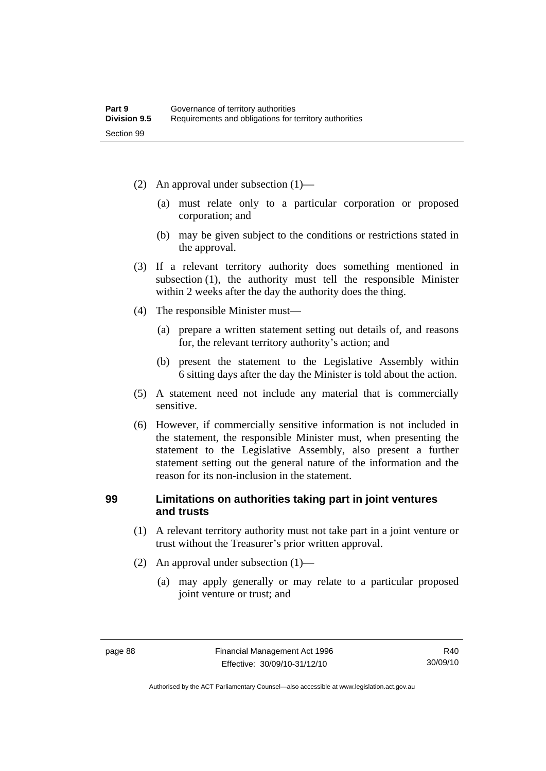- (2) An approval under subsection (1)—
	- (a) must relate only to a particular corporation or proposed corporation; and
	- (b) may be given subject to the conditions or restrictions stated in the approval.
- (3) If a relevant territory authority does something mentioned in subsection (1), the authority must tell the responsible Minister within 2 weeks after the day the authority does the thing.
- (4) The responsible Minister must—
	- (a) prepare a written statement setting out details of, and reasons for, the relevant territory authority's action; and
	- (b) present the statement to the Legislative Assembly within 6 sitting days after the day the Minister is told about the action.
- (5) A statement need not include any material that is commercially sensitive.
- (6) However, if commercially sensitive information is not included in the statement, the responsible Minister must, when presenting the statement to the Legislative Assembly, also present a further statement setting out the general nature of the information and the reason for its non-inclusion in the statement.

# **99 Limitations on authorities taking part in joint ventures and trusts**

- (1) A relevant territory authority must not take part in a joint venture or trust without the Treasurer's prior written approval.
- (2) An approval under subsection (1)—
	- (a) may apply generally or may relate to a particular proposed joint venture or trust; and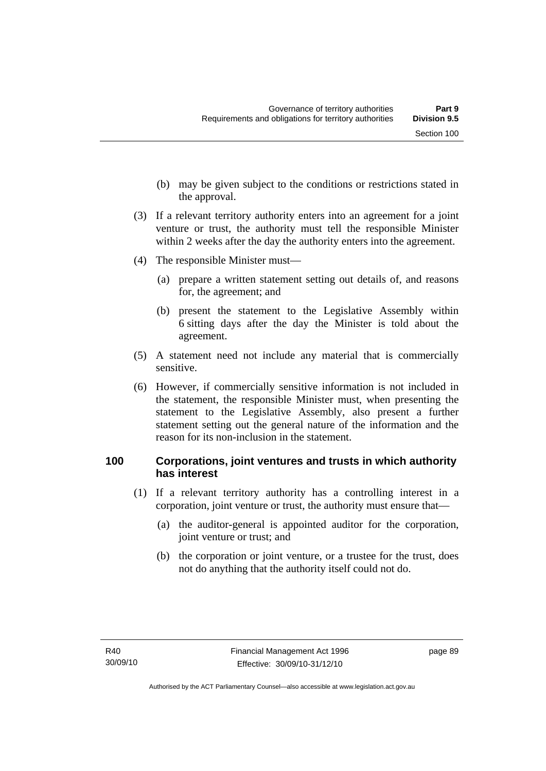- (b) may be given subject to the conditions or restrictions stated in the approval.
- (3) If a relevant territory authority enters into an agreement for a joint venture or trust, the authority must tell the responsible Minister within 2 weeks after the day the authority enters into the agreement.
- (4) The responsible Minister must—
	- (a) prepare a written statement setting out details of, and reasons for, the agreement; and
	- (b) present the statement to the Legislative Assembly within 6 sitting days after the day the Minister is told about the agreement.
- (5) A statement need not include any material that is commercially sensitive.
- (6) However, if commercially sensitive information is not included in the statement, the responsible Minister must, when presenting the statement to the Legislative Assembly, also present a further statement setting out the general nature of the information and the reason for its non-inclusion in the statement.

# **100 Corporations, joint ventures and trusts in which authority has interest**

- (1) If a relevant territory authority has a controlling interest in a corporation, joint venture or trust, the authority must ensure that—
	- (a) the auditor-general is appointed auditor for the corporation, joint venture or trust; and
	- (b) the corporation or joint venture, or a trustee for the trust, does not do anything that the authority itself could not do.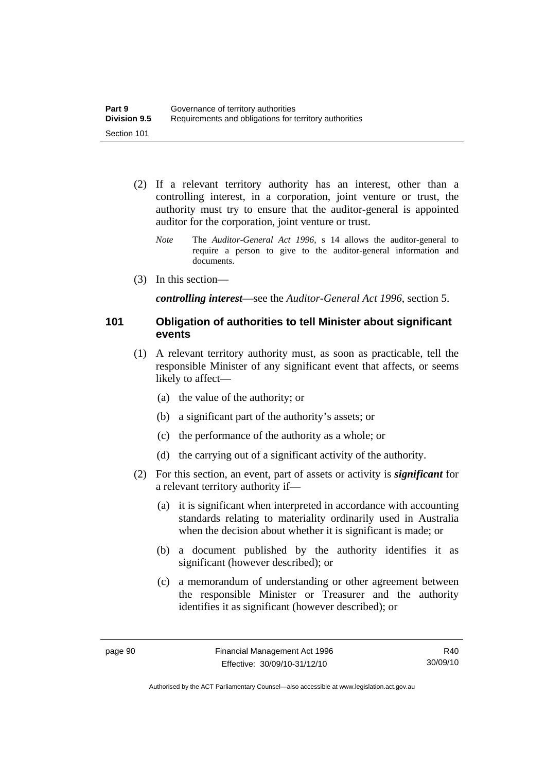- (2) If a relevant territory authority has an interest, other than a controlling interest, in a corporation, joint venture or trust, the authority must try to ensure that the auditor-general is appointed auditor for the corporation, joint venture or trust.
	- *Note* The *Auditor-General Act 1996*, s 14 allows the auditor-general to require a person to give to the auditor-general information and documents.
- (3) In this section—

*controlling interest*—see the *Auditor-General Act 1996*, section 5.

#### **101 Obligation of authorities to tell Minister about significant events**

- (1) A relevant territory authority must, as soon as practicable, tell the responsible Minister of any significant event that affects, or seems likely to affect—
	- (a) the value of the authority; or
	- (b) a significant part of the authority's assets; or
	- (c) the performance of the authority as a whole; or
	- (d) the carrying out of a significant activity of the authority.
- (2) For this section, an event, part of assets or activity is *significant* for a relevant territory authority if—
	- (a) it is significant when interpreted in accordance with accounting standards relating to materiality ordinarily used in Australia when the decision about whether it is significant is made; or
	- (b) a document published by the authority identifies it as significant (however described); or
	- (c) a memorandum of understanding or other agreement between the responsible Minister or Treasurer and the authority identifies it as significant (however described); or

Authorised by the ACT Parliamentary Counsel—also accessible at www.legislation.act.gov.au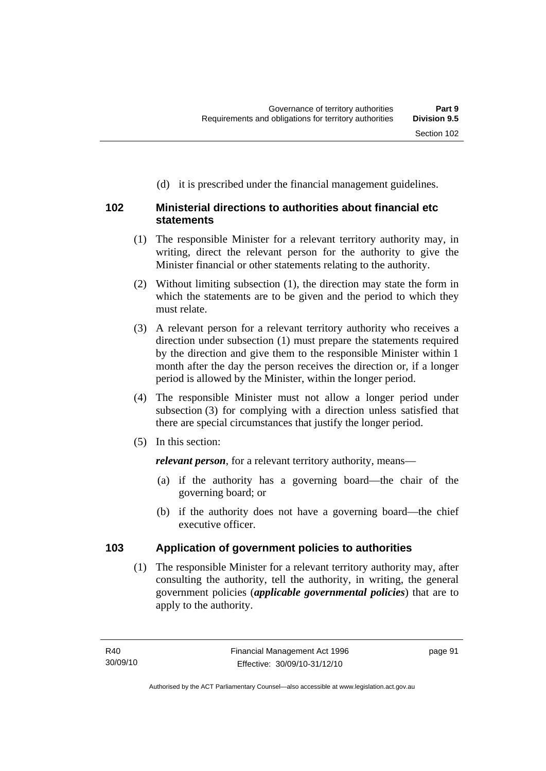# **102 Ministerial directions to authorities about financial etc statements**

 (1) The responsible Minister for a relevant territory authority may, in writing, direct the relevant person for the authority to give the Minister financial or other statements relating to the authority.

(d) it is prescribed under the financial management guidelines.

- (2) Without limiting subsection (1), the direction may state the form in which the statements are to be given and the period to which they must relate.
- (3) A relevant person for a relevant territory authority who receives a direction under subsection (1) must prepare the statements required by the direction and give them to the responsible Minister within 1 month after the day the person receives the direction or, if a longer period is allowed by the Minister, within the longer period.
- (4) The responsible Minister must not allow a longer period under subsection (3) for complying with a direction unless satisfied that there are special circumstances that justify the longer period.
- (5) In this section:

*relevant person*, for a relevant territory authority, means—

- (a) if the authority has a governing board—the chair of the governing board; or
- (b) if the authority does not have a governing board—the chief executive officer.

# **103 Application of government policies to authorities**

 (1) The responsible Minister for a relevant territory authority may, after consulting the authority, tell the authority, in writing, the general government policies (*applicable governmental policies*) that are to apply to the authority.

page 91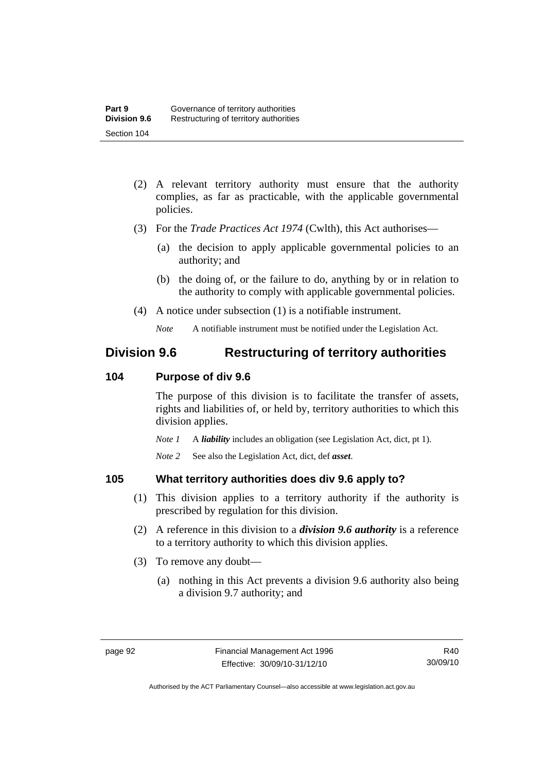- (2) A relevant territory authority must ensure that the authority complies, as far as practicable, with the applicable governmental policies.
- (3) For the *Trade Practices Act 1974* (Cwlth), this Act authorises—
	- (a) the decision to apply applicable governmental policies to an authority; and
	- (b) the doing of, or the failure to do, anything by or in relation to the authority to comply with applicable governmental policies.
- (4) A notice under subsection (1) is a notifiable instrument.

*Note* A notifiable instrument must be notified under the Legislation Act.

# **Division 9.6 Restructuring of territory authorities**

# **104 Purpose of div 9.6**

The purpose of this division is to facilitate the transfer of assets, rights and liabilities of, or held by, territory authorities to which this division applies.

*Note 1* A *liability* includes an obligation (see Legislation Act, dict, pt 1).

*Note 2* See also the Legislation Act, dict, def *asset*.

# **105 What territory authorities does div 9.6 apply to?**

- (1) This division applies to a territory authority if the authority is prescribed by regulation for this division.
- (2) A reference in this division to a *division 9.6 authority* is a reference to a territory authority to which this division applies.
- (3) To remove any doubt—
	- (a) nothing in this Act prevents a division 9.6 authority also being a division 9.7 authority; and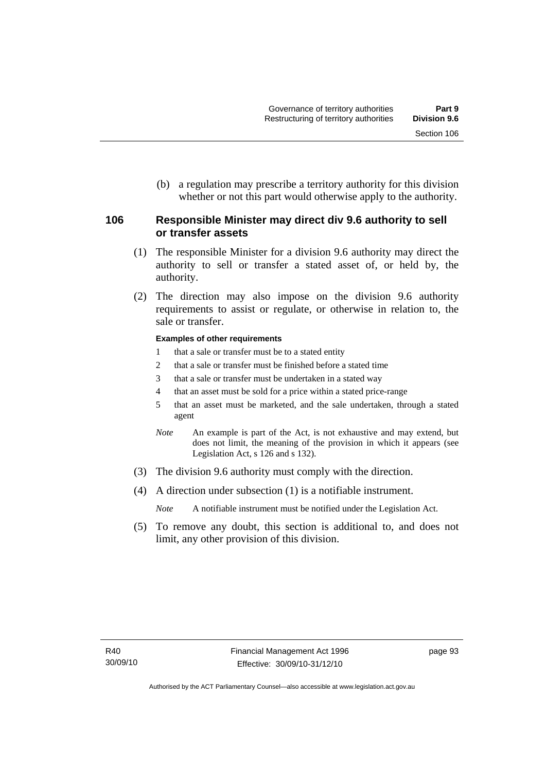(b) a regulation may prescribe a territory authority for this division whether or not this part would otherwise apply to the authority.

# **106 Responsible Minister may direct div 9.6 authority to sell or transfer assets**

- (1) The responsible Minister for a division 9.6 authority may direct the authority to sell or transfer a stated asset of, or held by, the authority.
- (2) The direction may also impose on the division 9.6 authority requirements to assist or regulate, or otherwise in relation to, the sale or transfer.

#### **Examples of other requirements**

- 1 that a sale or transfer must be to a stated entity
- 2 that a sale or transfer must be finished before a stated time
- 3 that a sale or transfer must be undertaken in a stated way
- 4 that an asset must be sold for a price within a stated price-range
- 5 that an asset must be marketed, and the sale undertaken, through a stated agent
- *Note* An example is part of the Act, is not exhaustive and may extend, but does not limit, the meaning of the provision in which it appears (see Legislation Act, s 126 and s 132).
- (3) The division 9.6 authority must comply with the direction.
- (4) A direction under subsection (1) is a notifiable instrument.

*Note* A notifiable instrument must be notified under the Legislation Act.

 (5) To remove any doubt, this section is additional to, and does not limit, any other provision of this division.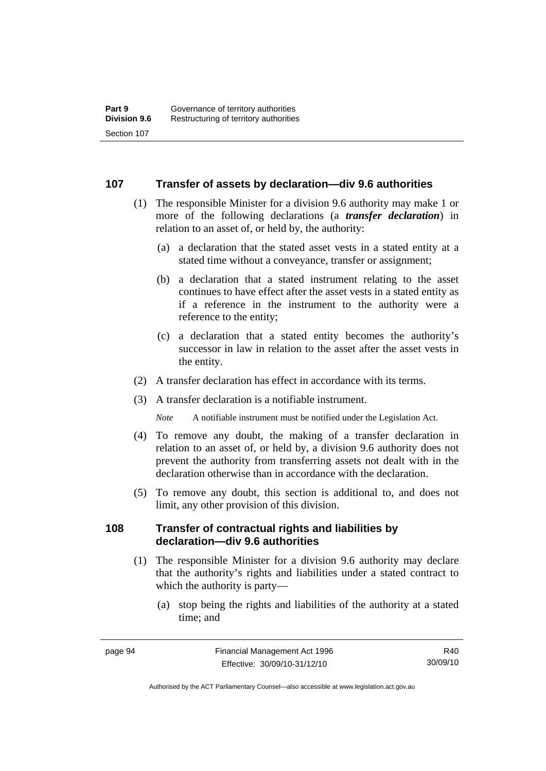#### **107 Transfer of assets by declaration—div 9.6 authorities**

- (1) The responsible Minister for a division 9.6 authority may make 1 or more of the following declarations (a *transfer declaration*) in relation to an asset of, or held by, the authority:
	- (a) a declaration that the stated asset vests in a stated entity at a stated time without a conveyance, transfer or assignment;
	- (b) a declaration that a stated instrument relating to the asset continues to have effect after the asset vests in a stated entity as if a reference in the instrument to the authority were a reference to the entity;
	- (c) a declaration that a stated entity becomes the authority's successor in law in relation to the asset after the asset vests in the entity.
- (2) A transfer declaration has effect in accordance with its terms.
- (3) A transfer declaration is a notifiable instrument.

*Note* A notifiable instrument must be notified under the Legislation Act.

- (4) To remove any doubt, the making of a transfer declaration in relation to an asset of, or held by, a division 9.6 authority does not prevent the authority from transferring assets not dealt with in the declaration otherwise than in accordance with the declaration.
- (5) To remove any doubt, this section is additional to, and does not limit, any other provision of this division.

### **108 Transfer of contractual rights and liabilities by declaration—div 9.6 authorities**

- (1) The responsible Minister for a division 9.6 authority may declare that the authority's rights and liabilities under a stated contract to which the authority is party—
	- (a) stop being the rights and liabilities of the authority at a stated time; and

R40 30/09/10

Authorised by the ACT Parliamentary Counsel—also accessible at www.legislation.act.gov.au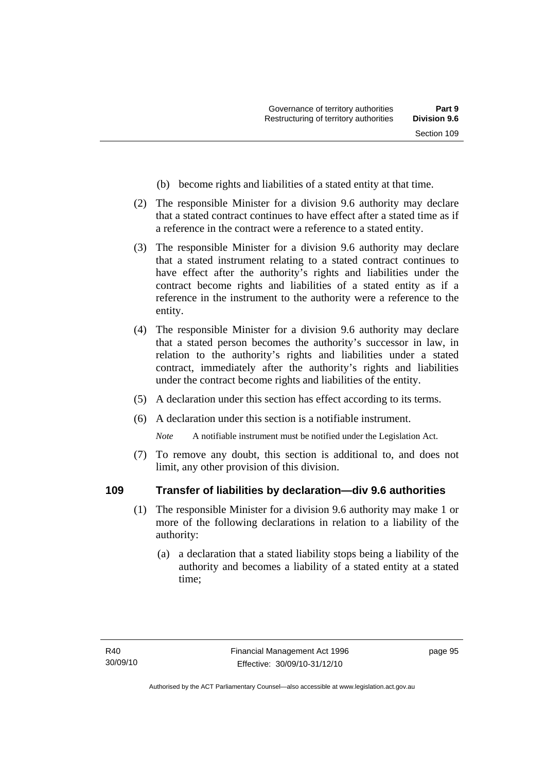- (b) become rights and liabilities of a stated entity at that time.
- (2) The responsible Minister for a division 9.6 authority may declare that a stated contract continues to have effect after a stated time as if a reference in the contract were a reference to a stated entity.
- (3) The responsible Minister for a division 9.6 authority may declare that a stated instrument relating to a stated contract continues to have effect after the authority's rights and liabilities under the contract become rights and liabilities of a stated entity as if a reference in the instrument to the authority were a reference to the entity.
- (4) The responsible Minister for a division 9.6 authority may declare that a stated person becomes the authority's successor in law, in relation to the authority's rights and liabilities under a stated contract, immediately after the authority's rights and liabilities under the contract become rights and liabilities of the entity.
- (5) A declaration under this section has effect according to its terms.
- (6) A declaration under this section is a notifiable instrument.

*Note* A notifiable instrument must be notified under the Legislation Act.

 (7) To remove any doubt, this section is additional to, and does not limit, any other provision of this division.

# **109 Transfer of liabilities by declaration—div 9.6 authorities**

- (1) The responsible Minister for a division 9.6 authority may make 1 or more of the following declarations in relation to a liability of the authority:
	- (a) a declaration that a stated liability stops being a liability of the authority and becomes a liability of a stated entity at a stated time;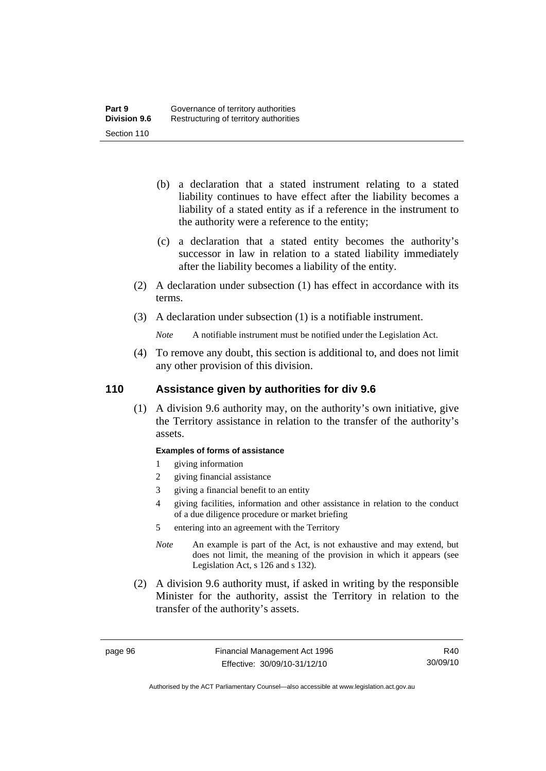- (b) a declaration that a stated instrument relating to a stated liability continues to have effect after the liability becomes a liability of a stated entity as if a reference in the instrument to the authority were a reference to the entity;
- (c) a declaration that a stated entity becomes the authority's successor in law in relation to a stated liability immediately after the liability becomes a liability of the entity.
- (2) A declaration under subsection (1) has effect in accordance with its terms.
- (3) A declaration under subsection (1) is a notifiable instrument.
	- *Note* A notifiable instrument must be notified under the Legislation Act.
- (4) To remove any doubt, this section is additional to, and does not limit any other provision of this division.

# **110 Assistance given by authorities for div 9.6**

 (1) A division 9.6 authority may, on the authority's own initiative, give the Territory assistance in relation to the transfer of the authority's assets.

#### **Examples of forms of assistance**

- 1 giving information
- 2 giving financial assistance
- 3 giving a financial benefit to an entity
- 4 giving facilities, information and other assistance in relation to the conduct of a due diligence procedure or market briefing

5 entering into an agreement with the Territory

- *Note* An example is part of the Act, is not exhaustive and may extend, but does not limit, the meaning of the provision in which it appears (see Legislation Act, s 126 and s 132).
- (2) A division 9.6 authority must, if asked in writing by the responsible Minister for the authority, assist the Territory in relation to the transfer of the authority's assets.

R40 30/09/10

Authorised by the ACT Parliamentary Counsel—also accessible at www.legislation.act.gov.au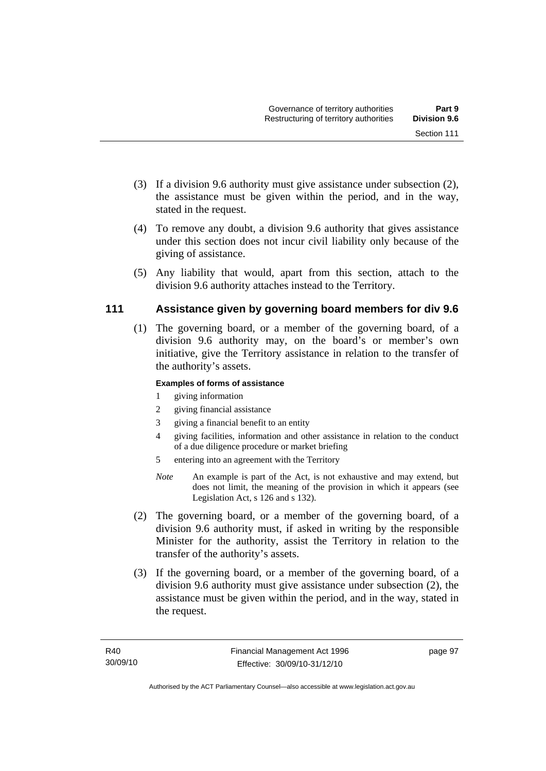- (3) If a division 9.6 authority must give assistance under subsection (2), the assistance must be given within the period, and in the way,
- (4) To remove any doubt, a division 9.6 authority that gives assistance under this section does not incur civil liability only because of the giving of assistance.
- (5) Any liability that would, apart from this section, attach to the division 9.6 authority attaches instead to the Territory.

# **111 Assistance given by governing board members for div 9.6**

 (1) The governing board, or a member of the governing board, of a division 9.6 authority may, on the board's or member's own initiative, give the Territory assistance in relation to the transfer of the authority's assets.

### **Examples of forms of assistance**

1 giving information

stated in the request.

- 2 giving financial assistance
- 3 giving a financial benefit to an entity
- 4 giving facilities, information and other assistance in relation to the conduct of a due diligence procedure or market briefing
- 5 entering into an agreement with the Territory
- *Note* An example is part of the Act, is not exhaustive and may extend, but does not limit, the meaning of the provision in which it appears (see Legislation Act, s 126 and s 132).
- (2) The governing board, or a member of the governing board, of a division 9.6 authority must, if asked in writing by the responsible Minister for the authority, assist the Territory in relation to the transfer of the authority's assets.
- (3) If the governing board, or a member of the governing board, of a division 9.6 authority must give assistance under subsection (2), the assistance must be given within the period, and in the way, stated in the request.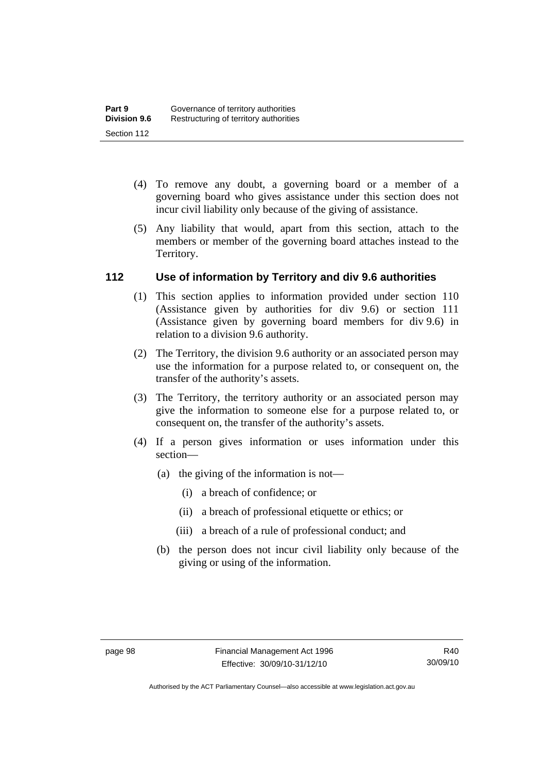- (4) To remove any doubt, a governing board or a member of a governing board who gives assistance under this section does not incur civil liability only because of the giving of assistance.
- (5) Any liability that would, apart from this section, attach to the members or member of the governing board attaches instead to the Territory.

# **112 Use of information by Territory and div 9.6 authorities**

- (1) This section applies to information provided under section 110 (Assistance given by authorities for div 9.6) or section 111 (Assistance given by governing board members for div 9.6) in relation to a division 9.6 authority.
- (2) The Territory, the division 9.6 authority or an associated person may use the information for a purpose related to, or consequent on, the transfer of the authority's assets.
- (3) The Territory, the territory authority or an associated person may give the information to someone else for a purpose related to, or consequent on, the transfer of the authority's assets.
- (4) If a person gives information or uses information under this section—
	- (a) the giving of the information is not—
		- (i) a breach of confidence; or
		- (ii) a breach of professional etiquette or ethics; or
		- (iii) a breach of a rule of professional conduct; and
	- (b) the person does not incur civil liability only because of the giving or using of the information.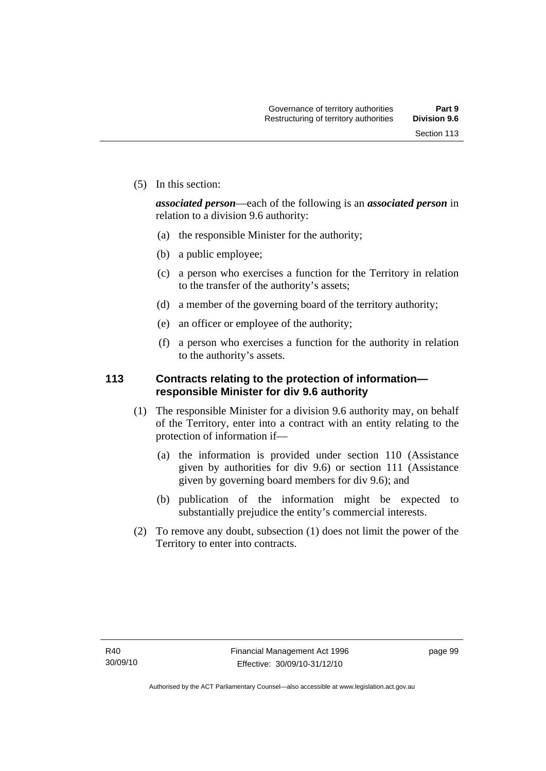(5) In this section:

*associated person*—each of the following is an *associated person* in relation to a division 9.6 authority:

- (a) the responsible Minister for the authority;
- (b) a public employee;
- (c) a person who exercises a function for the Territory in relation to the transfer of the authority's assets;
- (d) a member of the governing board of the territory authority;
- (e) an officer or employee of the authority;
- (f) a person who exercises a function for the authority in relation to the authority's assets.

# **113 Contracts relating to the protection of information responsible Minister for div 9.6 authority**

- (1) The responsible Minister for a division 9.6 authority may, on behalf of the Territory, enter into a contract with an entity relating to the protection of information if—
	- (a) the information is provided under section 110 (Assistance given by authorities for div 9.6) or section 111 (Assistance given by governing board members for div 9.6); and
	- (b) publication of the information might be expected to substantially prejudice the entity's commercial interests.
- (2) To remove any doubt, subsection (1) does not limit the power of the Territory to enter into contracts.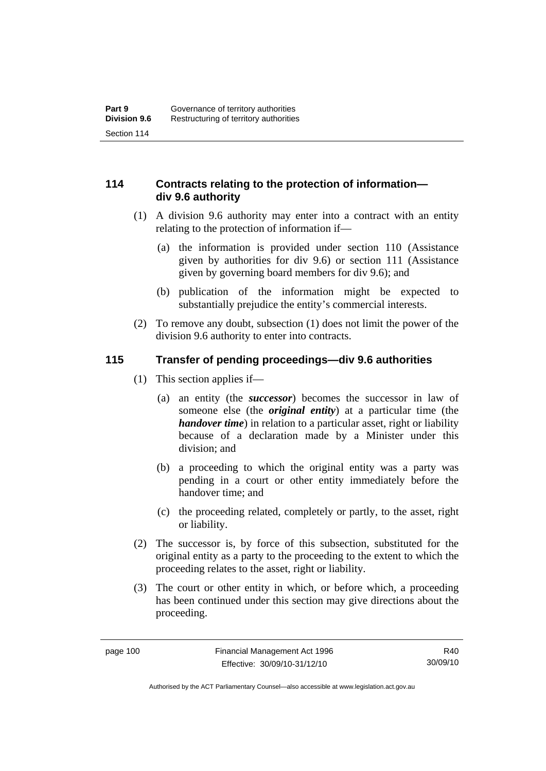# **114 Contracts relating to the protection of information div 9.6 authority**

- (1) A division 9.6 authority may enter into a contract with an entity relating to the protection of information if—
	- (a) the information is provided under section 110 (Assistance given by authorities for div 9.6) or section 111 (Assistance given by governing board members for div 9.6); and
	- (b) publication of the information might be expected to substantially prejudice the entity's commercial interests.
- (2) To remove any doubt, subsection (1) does not limit the power of the division 9.6 authority to enter into contracts.

# **115 Transfer of pending proceedings—div 9.6 authorities**

- (1) This section applies if—
	- (a) an entity (the *successor*) becomes the successor in law of someone else (the *original entity*) at a particular time (the *handover time*) in relation to a particular asset, right or liability because of a declaration made by a Minister under this division; and
	- (b) a proceeding to which the original entity was a party was pending in a court or other entity immediately before the handover time; and
	- (c) the proceeding related, completely or partly, to the asset, right or liability.
- (2) The successor is, by force of this subsection, substituted for the original entity as a party to the proceeding to the extent to which the proceeding relates to the asset, right or liability.
- (3) The court or other entity in which, or before which, a proceeding has been continued under this section may give directions about the proceeding.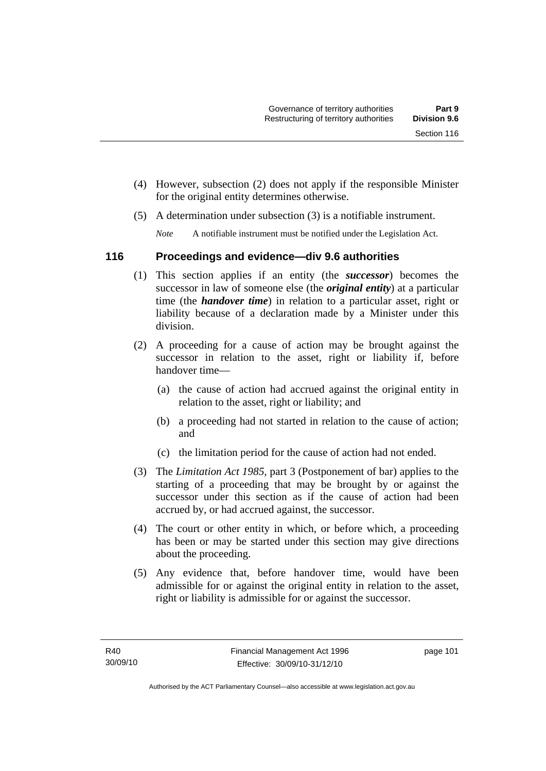- (4) However, subsection (2) does not apply if the responsible Minister for the original entity determines otherwise.
- (5) A determination under subsection (3) is a notifiable instrument.

*Note* A notifiable instrument must be notified under the Legislation Act.

# **116 Proceedings and evidence—div 9.6 authorities**

- (1) This section applies if an entity (the *successor*) becomes the successor in law of someone else (the *original entity*) at a particular time (the *handover time*) in relation to a particular asset, right or liability because of a declaration made by a Minister under this division.
- (2) A proceeding for a cause of action may be brought against the successor in relation to the asset, right or liability if, before handover time—
	- (a) the cause of action had accrued against the original entity in relation to the asset, right or liability; and
	- (b) a proceeding had not started in relation to the cause of action; and
	- (c) the limitation period for the cause of action had not ended.
- (3) The *Limitation Act 1985,* part 3 (Postponement of bar) applies to the starting of a proceeding that may be brought by or against the successor under this section as if the cause of action had been accrued by, or had accrued against, the successor.
- (4) The court or other entity in which, or before which, a proceeding has been or may be started under this section may give directions about the proceeding.
- (5) Any evidence that, before handover time, would have been admissible for or against the original entity in relation to the asset, right or liability is admissible for or against the successor.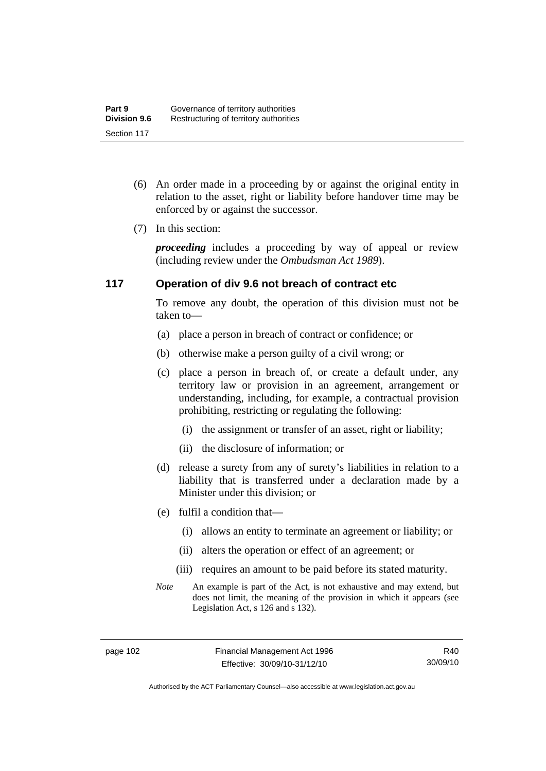- (6) An order made in a proceeding by or against the original entity in relation to the asset, right or liability before handover time may be enforced by or against the successor.
- (7) In this section:

*proceeding* includes a proceeding by way of appeal or review (including review under the *Ombudsman Act 1989*).

# **117 Operation of div 9.6 not breach of contract etc**

To remove any doubt, the operation of this division must not be taken to—

- (a) place a person in breach of contract or confidence; or
- (b) otherwise make a person guilty of a civil wrong; or
- (c) place a person in breach of, or create a default under, any territory law or provision in an agreement, arrangement or understanding, including, for example, a contractual provision prohibiting, restricting or regulating the following:
	- (i) the assignment or transfer of an asset, right or liability;
	- (ii) the disclosure of information; or
- (d) release a surety from any of surety's liabilities in relation to a liability that is transferred under a declaration made by a Minister under this division; or
- (e) fulfil a condition that—
	- (i) allows an entity to terminate an agreement or liability; or
	- (ii) alters the operation or effect of an agreement; or
	- (iii) requires an amount to be paid before its stated maturity.
- *Note* An example is part of the Act, is not exhaustive and may extend, but does not limit, the meaning of the provision in which it appears (see Legislation Act, s 126 and s 132).

Authorised by the ACT Parliamentary Counsel—also accessible at www.legislation.act.gov.au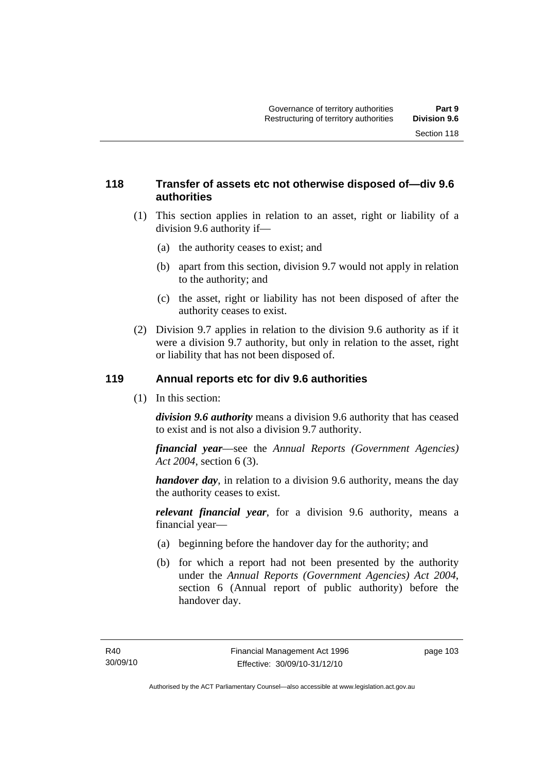# **118 Transfer of assets etc not otherwise disposed of—div 9.6 authorities**

- (1) This section applies in relation to an asset, right or liability of a division 9.6 authority if—
	- (a) the authority ceases to exist; and
	- (b) apart from this section, division 9.7 would not apply in relation to the authority; and
	- (c) the asset, right or liability has not been disposed of after the authority ceases to exist.
- (2) Division 9.7 applies in relation to the division 9.6 authority as if it were a division 9.7 authority, but only in relation to the asset, right or liability that has not been disposed of.

# **119 Annual reports etc for div 9.6 authorities**

(1) In this section:

*division 9.6 authority* means a division 9.6 authority that has ceased to exist and is not also a division 9.7 authority.

*financial year*––see the *Annual Reports (Government Agencies) Act 2004*, section 6 (3).

*handover day*, in relation to a division 9.6 authority, means the day the authority ceases to exist.

*relevant financial year*, for a division 9.6 authority, means a financial year—

- (a) beginning before the handover day for the authority; and
- (b) for which a report had not been presented by the authority under the *Annual Reports (Government Agencies) Act 2004*, section 6 (Annual report of public authority) before the handover day.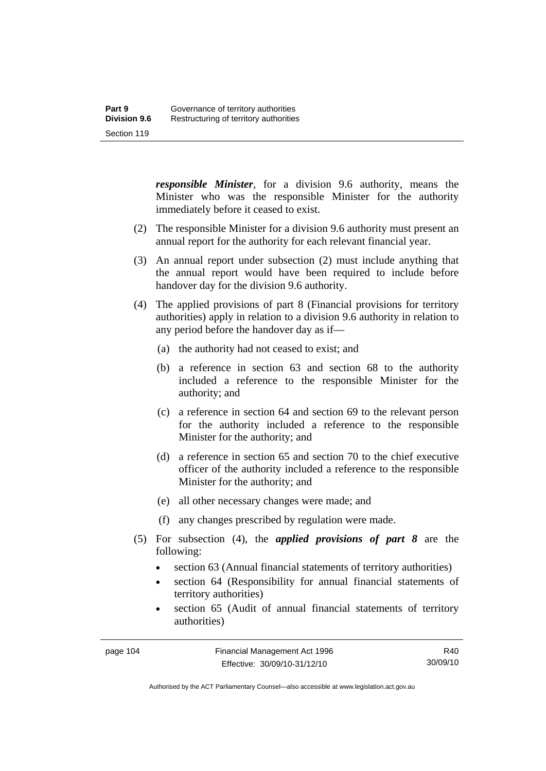*responsible Minister*, for a division 9.6 authority, means the Minister who was the responsible Minister for the authority immediately before it ceased to exist.

- (2) The responsible Minister for a division 9.6 authority must present an annual report for the authority for each relevant financial year.
- (3) An annual report under subsection (2) must include anything that the annual report would have been required to include before handover day for the division 9.6 authority.
- (4) The applied provisions of part 8 (Financial provisions for territory authorities) apply in relation to a division 9.6 authority in relation to any period before the handover day as if—
	- (a) the authority had not ceased to exist; and
	- (b) a reference in section 63 and section 68 to the authority included a reference to the responsible Minister for the authority; and
	- (c) a reference in section 64 and section 69 to the relevant person for the authority included a reference to the responsible Minister for the authority; and
	- (d) a reference in section 65 and section 70 to the chief executive officer of the authority included a reference to the responsible Minister for the authority; and
	- (e) all other necessary changes were made; and
	- (f) any changes prescribed by regulation were made.
- (5) For subsection (4), the *applied provisions of part 8* are the following:
	- section 63 (Annual financial statements of territory authorities)
	- section 64 (Responsibility for annual financial statements of territory authorities)
	- section 65 (Audit of annual financial statements of territory authorities)

Authorised by the ACT Parliamentary Counsel—also accessible at www.legislation.act.gov.au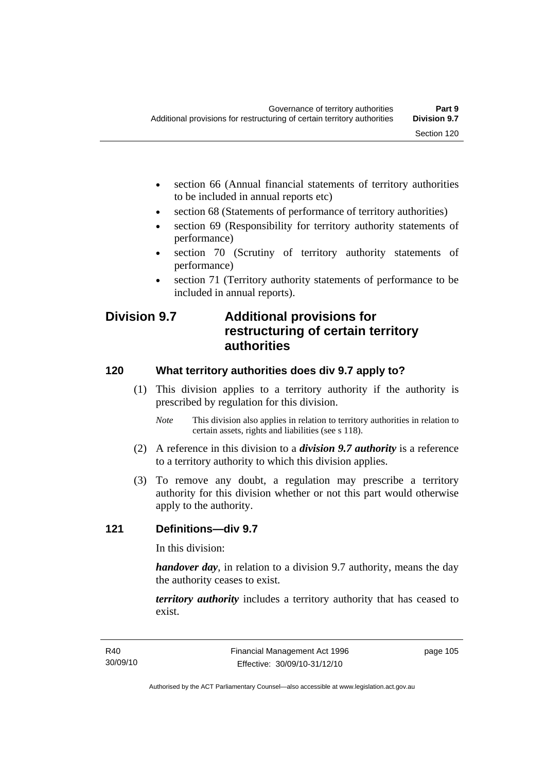- section 66 (Annual financial statements of territory authorities to be included in annual reports etc)
- section 68 (Statements of performance of territory authorities)
- section 69 (Responsibility for territory authority statements of performance)
- section 70 (Scrutiny of territory authority statements of performance)
- section 71 (Territory authority statements of performance to be included in annual reports).

# **Division 9.7 Additional provisions for restructuring of certain territory authorities**

# **120 What territory authorities does div 9.7 apply to?**

- (1) This division applies to a territory authority if the authority is prescribed by regulation for this division.
	- *Note* This division also applies in relation to territory authorities in relation to certain assets, rights and liabilities (see s 118).
- (2) A reference in this division to a *division 9.7 authority* is a reference to a territory authority to which this division applies.
- (3) To remove any doubt, a regulation may prescribe a territory authority for this division whether or not this part would otherwise apply to the authority.

# **121 Definitions—div 9.7**

In this division:

*handover day*, in relation to a division 9.7 authority, means the day the authority ceases to exist.

*territory authority* includes a territory authority that has ceased to exist.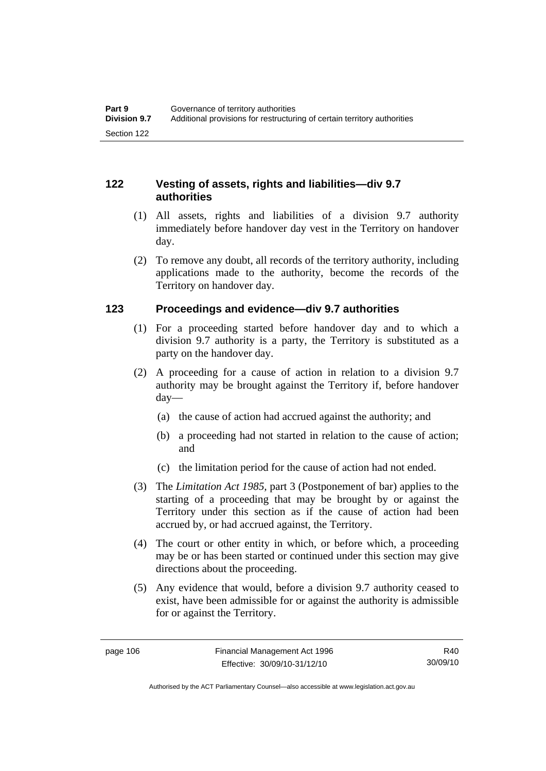# **122 Vesting of assets, rights and liabilities—div 9.7 authorities**

- (1) All assets, rights and liabilities of a division 9.7 authority immediately before handover day vest in the Territory on handover day.
- (2) To remove any doubt, all records of the territory authority, including applications made to the authority, become the records of the Territory on handover day.

# **123 Proceedings and evidence—div 9.7 authorities**

- (1) For a proceeding started before handover day and to which a division 9.7 authority is a party, the Territory is substituted as a party on the handover day.
- (2) A proceeding for a cause of action in relation to a division 9.7 authority may be brought against the Territory if, before handover day—
	- (a) the cause of action had accrued against the authority; and
	- (b) a proceeding had not started in relation to the cause of action; and
	- (c) the limitation period for the cause of action had not ended.
- (3) The *Limitation Act 1985,* part 3 (Postponement of bar) applies to the starting of a proceeding that may be brought by or against the Territory under this section as if the cause of action had been accrued by, or had accrued against, the Territory.
- (4) The court or other entity in which, or before which, a proceeding may be or has been started or continued under this section may give directions about the proceeding.
- (5) Any evidence that would, before a division 9.7 authority ceased to exist, have been admissible for or against the authority is admissible for or against the Territory.

R40 30/09/10

Authorised by the ACT Parliamentary Counsel—also accessible at www.legislation.act.gov.au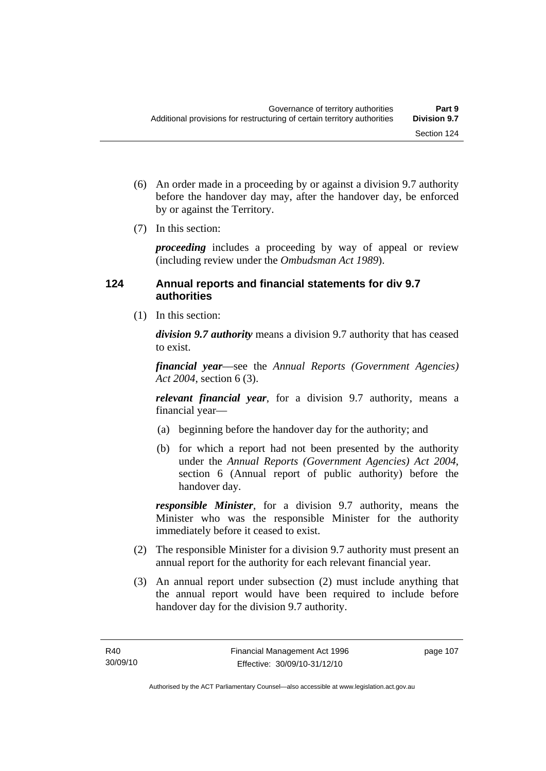- (6) An order made in a proceeding by or against a division 9.7 authority before the handover day may, after the handover day, be enforced by or against the Territory.
- (7) In this section:

*proceeding* includes a proceeding by way of appeal or review (including review under the *Ombudsman Act 1989*).

# **124 Annual reports and financial statements for div 9.7 authorities**

(1) In this section:

*division 9.7 authority* means a division 9.7 authority that has ceased to exist.

*financial year*––see the *Annual Reports (Government Agencies) Act 2004*, section 6 (3).

*relevant financial year*, for a division 9.7 authority, means a financial year—

- (a) beginning before the handover day for the authority; and
- (b) for which a report had not been presented by the authority under the *Annual Reports (Government Agencies) Act 2004*, section 6 (Annual report of public authority) before the handover day.

*responsible Minister*, for a division 9.7 authority, means the Minister who was the responsible Minister for the authority immediately before it ceased to exist.

- (2) The responsible Minister for a division 9.7 authority must present an annual report for the authority for each relevant financial year.
- (3) An annual report under subsection (2) must include anything that the annual report would have been required to include before handover day for the division 9.7 authority.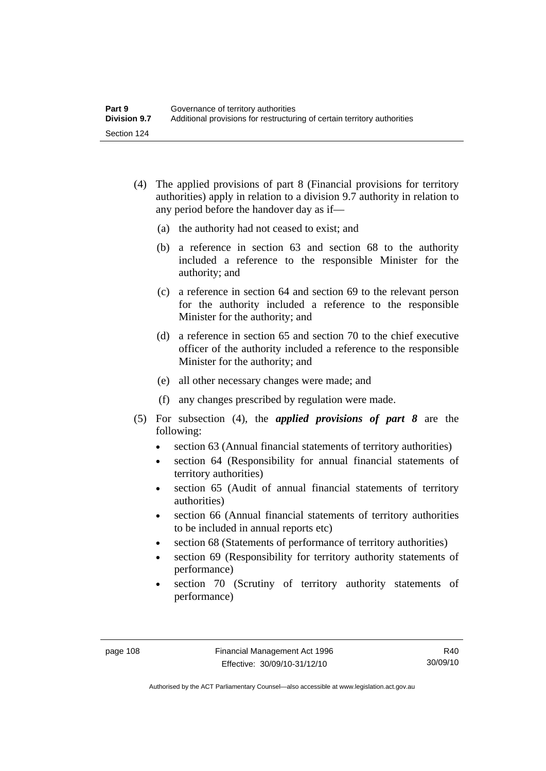- (4) The applied provisions of part 8 (Financial provisions for territory authorities) apply in relation to a division 9.7 authority in relation to any period before the handover day as if—
	- (a) the authority had not ceased to exist; and
	- (b) a reference in section 63 and section 68 to the authority included a reference to the responsible Minister for the authority; and
	- (c) a reference in section 64 and section 69 to the relevant person for the authority included a reference to the responsible Minister for the authority; and
	- (d) a reference in section 65 and section 70 to the chief executive officer of the authority included a reference to the responsible Minister for the authority; and
	- (e) all other necessary changes were made; and
	- (f) any changes prescribed by regulation were made.
- (5) For subsection (4), the *applied provisions of part 8* are the following:
	- section 63 (Annual financial statements of territory authorities)
	- section 64 (Responsibility for annual financial statements of territory authorities)
	- section 65 (Audit of annual financial statements of territory authorities)
	- section 66 (Annual financial statements of territory authorities to be included in annual reports etc)
	- section 68 (Statements of performance of territory authorities)
	- section 69 (Responsibility for territory authority statements of performance)
	- section 70 (Scrutiny of territory authority statements of performance)

R40 30/09/10

Authorised by the ACT Parliamentary Counsel—also accessible at www.legislation.act.gov.au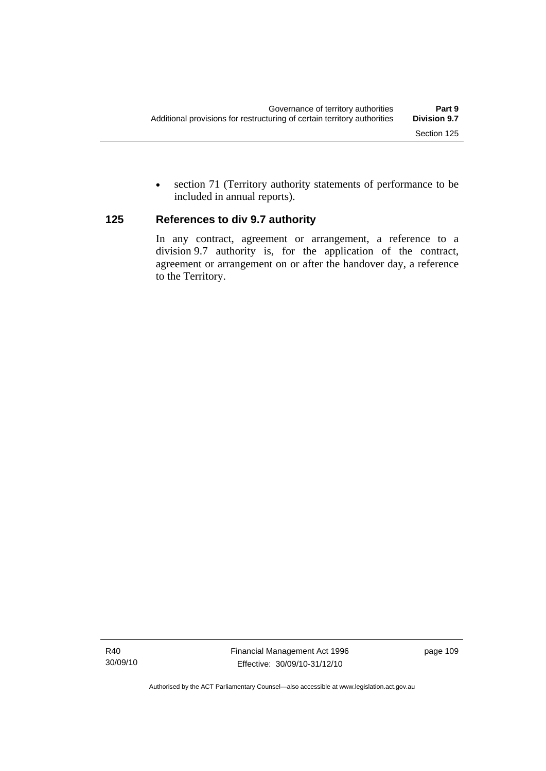• section 71 (Territory authority statements of performance to be included in annual reports).

# **125 References to div 9.7 authority**

In any contract, agreement or arrangement, a reference to a division 9.7 authority is, for the application of the contract, agreement or arrangement on or after the handover day, a reference to the Territory.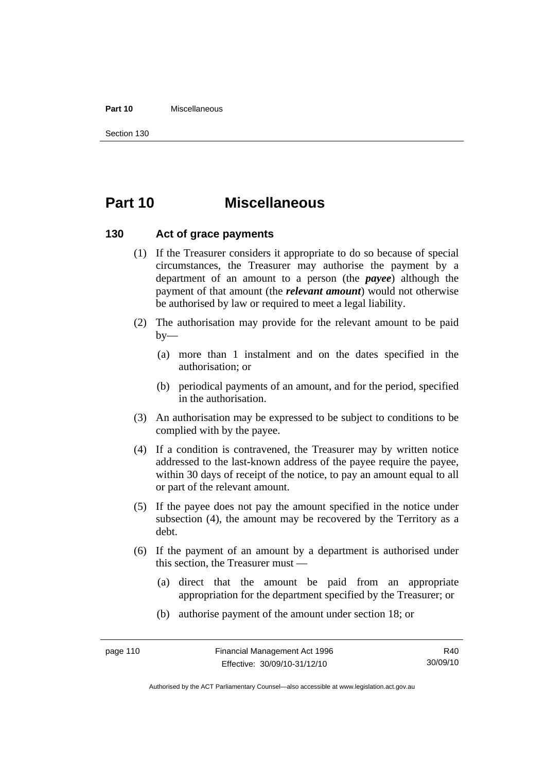#### **Part 10** Miscellaneous

Section 130

# **Part 10 Miscellaneous**

## **130 Act of grace payments**

- (1) If the Treasurer considers it appropriate to do so because of special circumstances, the Treasurer may authorise the payment by a department of an amount to a person (the *payee*) although the payment of that amount (the *relevant amount*) would not otherwise be authorised by law or required to meet a legal liability.
- (2) The authorisation may provide for the relevant amount to be paid  $by-$ 
	- (a) more than 1 instalment and on the dates specified in the authorisation; or
	- (b) periodical payments of an amount, and for the period, specified in the authorisation.
- (3) An authorisation may be expressed to be subject to conditions to be complied with by the payee.
- (4) If a condition is contravened, the Treasurer may by written notice addressed to the last-known address of the payee require the payee, within 30 days of receipt of the notice, to pay an amount equal to all or part of the relevant amount.
- (5) If the payee does not pay the amount specified in the notice under subsection (4), the amount may be recovered by the Territory as a debt.
- (6) If the payment of an amount by a department is authorised under this section, the Treasurer must —
	- (a) direct that the amount be paid from an appropriate appropriation for the department specified by the Treasurer; or
	- (b) authorise payment of the amount under section 18; or

R40 30/09/10

Authorised by the ACT Parliamentary Counsel—also accessible at www.legislation.act.gov.au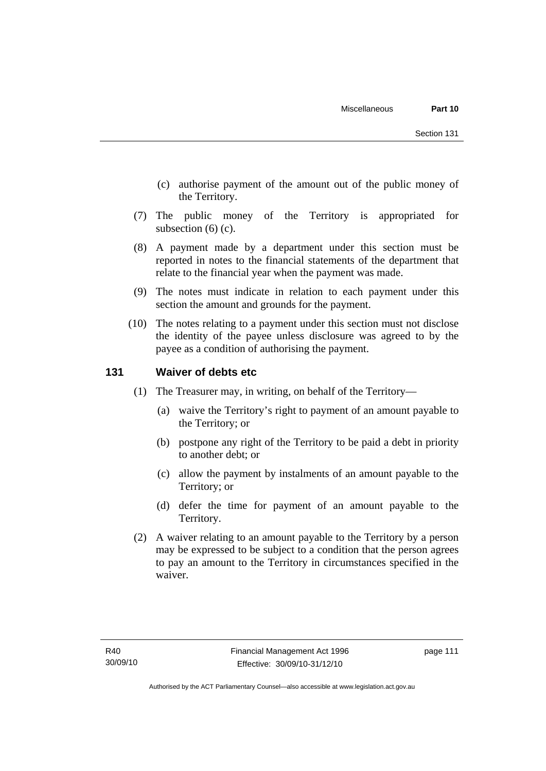- (c) authorise payment of the amount out of the public money of the Territory.
- (7) The public money of the Territory is appropriated for subsection (6) (c).
- (8) A payment made by a department under this section must be reported in notes to the financial statements of the department that relate to the financial year when the payment was made.
- (9) The notes must indicate in relation to each payment under this section the amount and grounds for the payment.
- (10) The notes relating to a payment under this section must not disclose the identity of the payee unless disclosure was agreed to by the payee as a condition of authorising the payment.

# **131 Waiver of debts etc**

- (1) The Treasurer may, in writing, on behalf of the Territory—
	- (a) waive the Territory's right to payment of an amount payable to the Territory; or
	- (b) postpone any right of the Territory to be paid a debt in priority to another debt; or
	- (c) allow the payment by instalments of an amount payable to the Territory; or
	- (d) defer the time for payment of an amount payable to the Territory.
- (2) A waiver relating to an amount payable to the Territory by a person may be expressed to be subject to a condition that the person agrees to pay an amount to the Territory in circumstances specified in the waiver.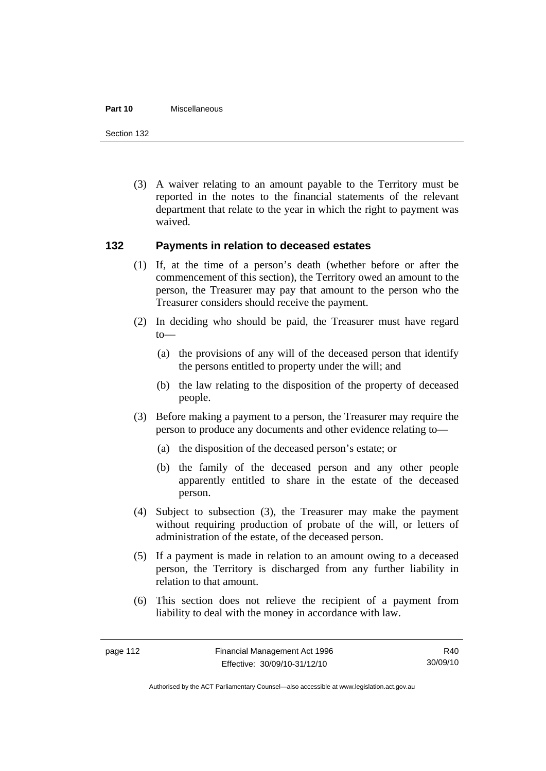#### **Part 10** Miscellaneous

Section 132

 (3) A waiver relating to an amount payable to the Territory must be reported in the notes to the financial statements of the relevant department that relate to the year in which the right to payment was waived.

# **132 Payments in relation to deceased estates**

- (1) If, at the time of a person's death (whether before or after the commencement of this section), the Territory owed an amount to the person, the Treasurer may pay that amount to the person who the Treasurer considers should receive the payment.
- (2) In deciding who should be paid, the Treasurer must have regard to—
	- (a) the provisions of any will of the deceased person that identify the persons entitled to property under the will; and
	- (b) the law relating to the disposition of the property of deceased people.
- (3) Before making a payment to a person, the Treasurer may require the person to produce any documents and other evidence relating to—
	- (a) the disposition of the deceased person's estate; or
	- (b) the family of the deceased person and any other people apparently entitled to share in the estate of the deceased person.
- (4) Subject to subsection (3), the Treasurer may make the payment without requiring production of probate of the will, or letters of administration of the estate, of the deceased person.
- (5) If a payment is made in relation to an amount owing to a deceased person, the Territory is discharged from any further liability in relation to that amount.
- (6) This section does not relieve the recipient of a payment from liability to deal with the money in accordance with law.

R40 30/09/10

Authorised by the ACT Parliamentary Counsel—also accessible at www.legislation.act.gov.au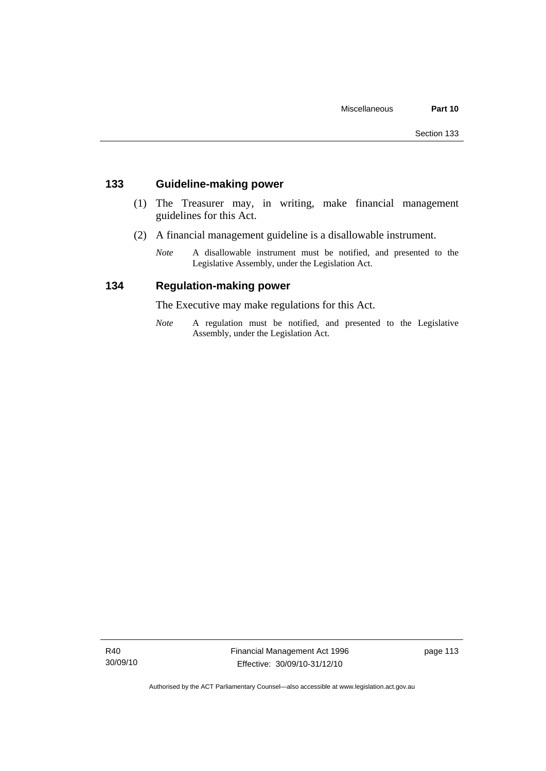# **133 Guideline-making power**

- (1) The Treasurer may, in writing, make financial management guidelines for this Act.
- (2) A financial management guideline is a disallowable instrument.
	- *Note* A disallowable instrument must be notified, and presented to the Legislative Assembly, under the Legislation Act.

# **134 Regulation-making power**

The Executive may make regulations for this Act.

*Note* A regulation must be notified, and presented to the Legislative Assembly, under the Legislation Act.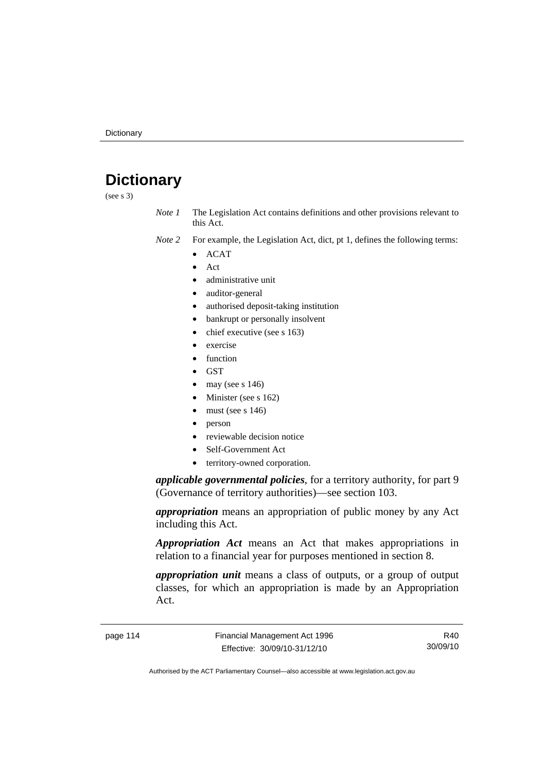# **Dictionary**

(see s 3)

*Note 1* The Legislation Act contains definitions and other provisions relevant to this Act.

- *Note 2* For example, the Legislation Act, dict, pt 1, defines the following terms:
	- ACAT
		- Act
	- administrative unit
	- auditor-general
	- authorised deposit-taking institution
	- bankrupt or personally insolvent
	- chief executive (see s 163)
	- exercise
	- function
	- GST
	- may (see s  $146$ )
	- Minister (see s 162)
	- must (see s  $146$ )
	- person
	- reviewable decision notice
	- Self-Government Act
	- territory-owned corporation.

*applicable governmental policies*, for a territory authority, for part 9 (Governance of territory authorities)—see section 103.

*appropriation* means an appropriation of public money by any Act including this Act.

*Appropriation Act* means an Act that makes appropriations in relation to a financial year for purposes mentioned in section 8.

*appropriation unit* means a class of outputs, or a group of output classes, for which an appropriation is made by an Appropriation Act.

page 114 Financial Management Act 1996 Effective: 30/09/10-31/12/10

R40 30/09/10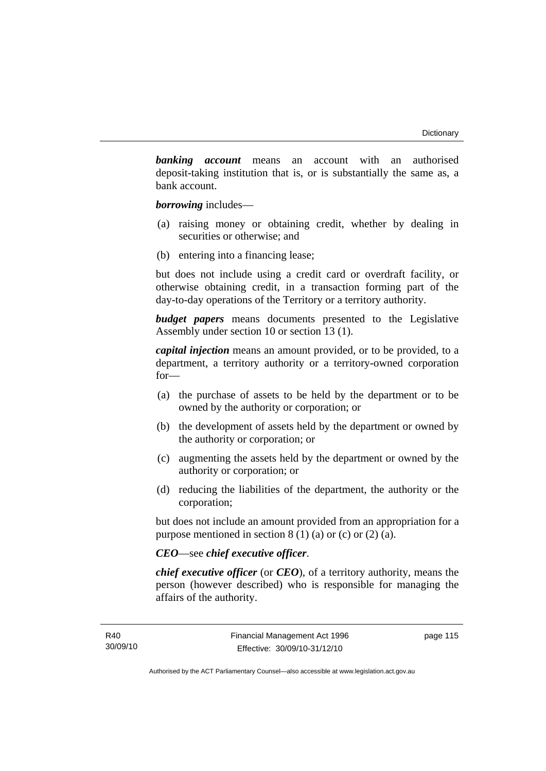*banking account* means an account with an authorised deposit-taking institution that is, or is substantially the same as, a bank account.

*borrowing* includes—

- (a) raising money or obtaining credit, whether by dealing in securities or otherwise; and
- (b) entering into a financing lease;

but does not include using a credit card or overdraft facility, or otherwise obtaining credit, in a transaction forming part of the day-to-day operations of the Territory or a territory authority.

*budget papers* means documents presented to the Legislative Assembly under section 10 or section 13 (1).

*capital injection* means an amount provided, or to be provided, to a department, a territory authority or a territory-owned corporation for—

- (a) the purchase of assets to be held by the department or to be owned by the authority or corporation; or
- (b) the development of assets held by the department or owned by the authority or corporation; or
- (c) augmenting the assets held by the department or owned by the authority or corporation; or
- (d) reducing the liabilities of the department, the authority or the corporation;

but does not include an amount provided from an appropriation for a purpose mentioned in section  $8(1)(a)$  or (c) or  $(2)(a)$ .

## *CEO*—see *chief executive officer*.

*chief executive officer* (or *CEO*), of a territory authority, means the person (however described) who is responsible for managing the affairs of the authority.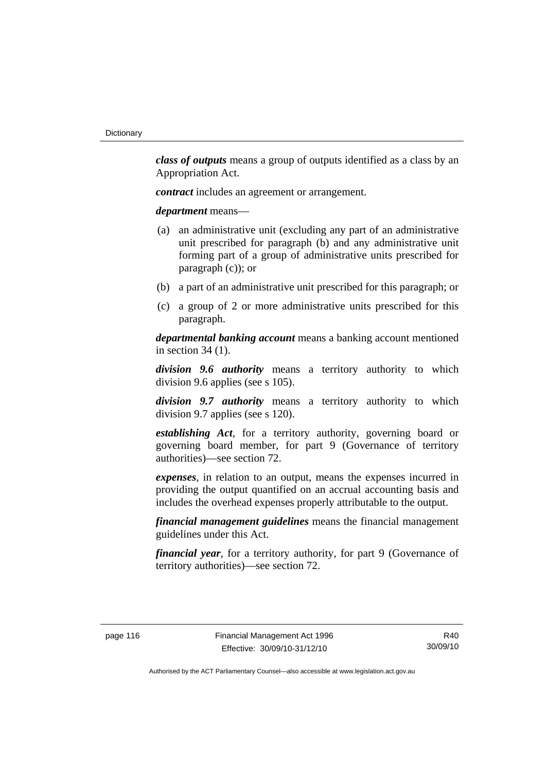*class of outputs* means a group of outputs identified as a class by an Appropriation Act.

*contract* includes an agreement or arrangement.

*department* means—

- (a) an administrative unit (excluding any part of an administrative unit prescribed for paragraph (b) and any administrative unit forming part of a group of administrative units prescribed for paragraph (c)); or
- (b) a part of an administrative unit prescribed for this paragraph; or
- (c) a group of 2 or more administrative units prescribed for this paragraph.

*departmental banking account* means a banking account mentioned in section 34 (1).

*division 9.6 authority* means a territory authority to which division 9.6 applies (see s 105).

*division 9.7 authority* means a territory authority to which division 9.7 applies (see s 120).

*establishing Act*, for a territory authority, governing board or governing board member, for part 9 (Governance of territory authorities)—see section 72.

*expenses*, in relation to an output, means the expenses incurred in providing the output quantified on an accrual accounting basis and includes the overhead expenses properly attributable to the output.

*financial management guidelines* means the financial management guidelines under this Act.

*financial year*, for a territory authority, for part 9 (Governance of territory authorities)—see section 72.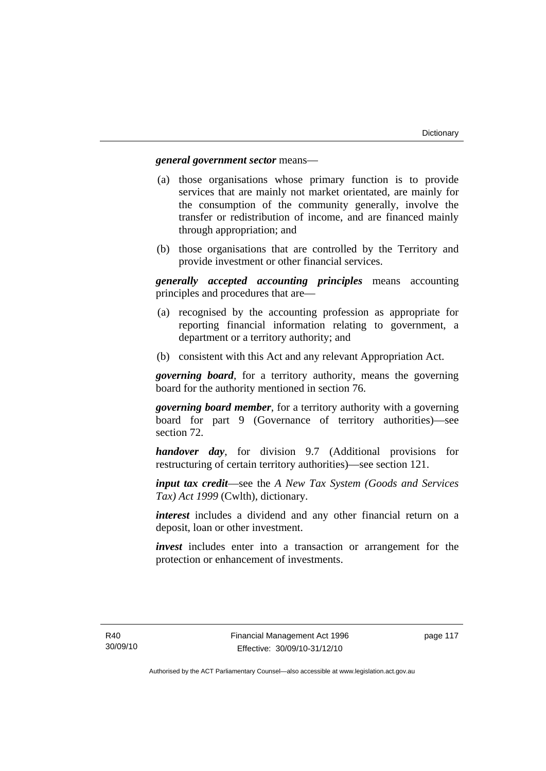## *general government sector* means—

- (a) those organisations whose primary function is to provide services that are mainly not market orientated, are mainly for the consumption of the community generally, involve the transfer or redistribution of income, and are financed mainly through appropriation; and
- (b) those organisations that are controlled by the Territory and provide investment or other financial services.

*generally accepted accounting principles* means accounting principles and procedures that are—

- (a) recognised by the accounting profession as appropriate for reporting financial information relating to government, a department or a territory authority; and
- (b) consistent with this Act and any relevant Appropriation Act.

*governing board*, for a territory authority, means the governing board for the authority mentioned in section 76.

*governing board member*, for a territory authority with a governing board for part 9 (Governance of territory authorities)—see section 72.

*handover day*, for division 9.7 (Additional provisions for restructuring of certain territory authorities)—see section 121.

*input tax credit*—see the *A New Tax System (Goods and Services Tax) Act 1999* (Cwlth), dictionary.

*interest* includes a dividend and any other financial return on a deposit, loan or other investment.

*invest* includes enter into a transaction or arrangement for the protection or enhancement of investments.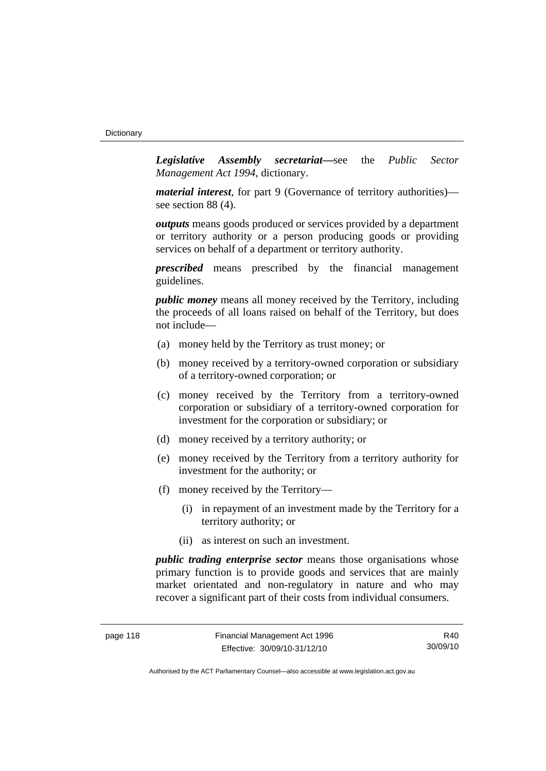*Legislative Assembly secretariat***—**see the *Public Sector Management Act 1994*, dictionary.

*material interest*, for part 9 (Governance of territory authorities) see section 88 (4).

*outputs* means goods produced or services provided by a department or territory authority or a person producing goods or providing services on behalf of a department or territory authority.

*prescribed* means prescribed by the financial management guidelines.

*public money* means all money received by the Territory, including the proceeds of all loans raised on behalf of the Territory, but does not include—

- (a) money held by the Territory as trust money; or
- (b) money received by a territory-owned corporation or subsidiary of a territory-owned corporation; or
- (c) money received by the Territory from a territory-owned corporation or subsidiary of a territory-owned corporation for investment for the corporation or subsidiary; or
- (d) money received by a territory authority; or
- (e) money received by the Territory from a territory authority for investment for the authority; or
- (f) money received by the Territory—
	- (i) in repayment of an investment made by the Territory for a territory authority; or
	- (ii) as interest on such an investment.

*public trading enterprise sector* means those organisations whose primary function is to provide goods and services that are mainly market orientated and non-regulatory in nature and who may recover a significant part of their costs from individual consumers.

R40 30/09/10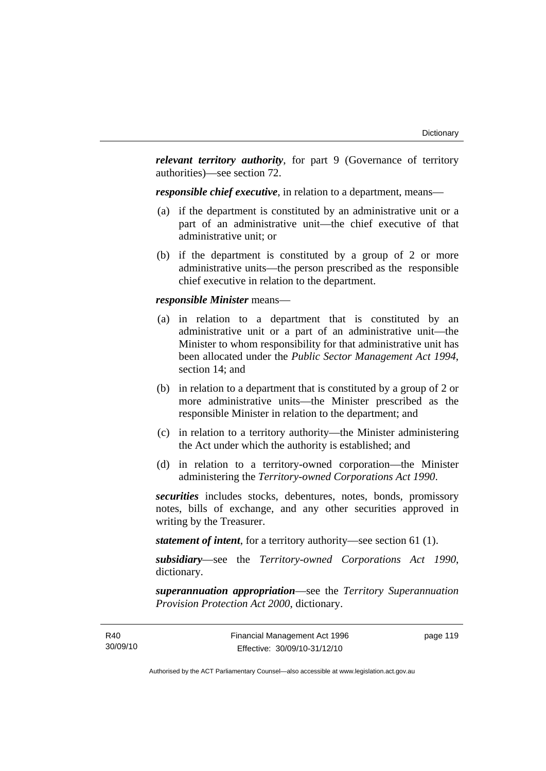*relevant territory authority*, for part 9 (Governance of territory authorities)—see section 72.

*responsible chief executive*, in relation to a department, means—

- (a) if the department is constituted by an administrative unit or a part of an administrative unit—the chief executive of that administrative unit; or
- (b) if the department is constituted by a group of 2 or more administrative units—the person prescribed as the responsible chief executive in relation to the department.

#### *responsible Minister* means—

- (a) in relation to a department that is constituted by an administrative unit or a part of an administrative unit—the Minister to whom responsibility for that administrative unit has been allocated under the *Public Sector Management Act 1994*, section 14; and
- (b) in relation to a department that is constituted by a group of 2 or more administrative units—the Minister prescribed as the responsible Minister in relation to the department; and
- (c) in relation to a territory authority—the Minister administering the Act under which the authority is established; and
- (d) in relation to a territory-owned corporation—the Minister administering the *Territory-owned Corporations Act 1990*.

*securities* includes stocks, debentures, notes, bonds, promissory notes, bills of exchange, and any other securities approved in writing by the Treasurer.

*statement of intent*, for a territory authority—see section 61 (1).

*subsidiary*—see the *Territory-owned Corporations Act 1990*, dictionary.

*superannuation appropriation*—see the *Territory Superannuation Provision Protection Act 2000*, dictionary.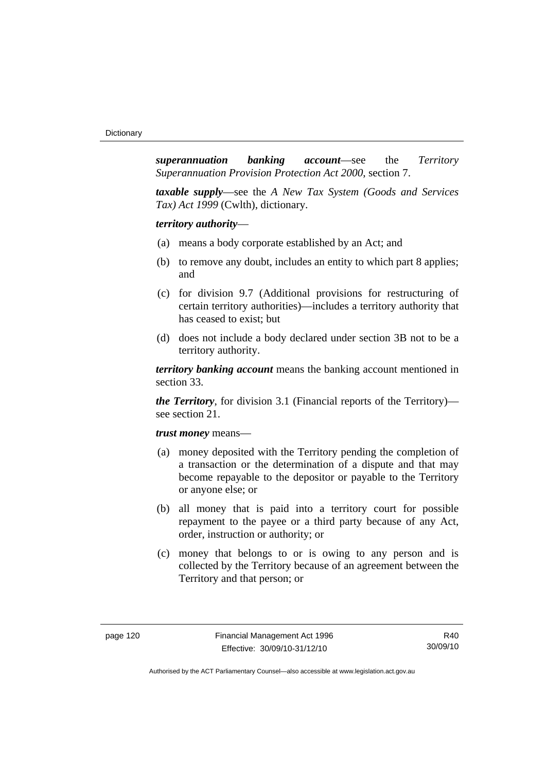*superannuation banking account*—see the *Territory Superannuation Provision Protection Act 2000*, section 7.

*taxable supply*—see the *A New Tax System (Goods and Services Tax) Act 1999* (Cwlth), dictionary.

*territory authority*—

- (a) means a body corporate established by an Act; and
- (b) to remove any doubt, includes an entity to which part 8 applies; and
- (c) for division 9.7 (Additional provisions for restructuring of certain territory authorities)—includes a territory authority that has ceased to exist; but
- (d) does not include a body declared under section 3B not to be a territory authority.

*territory banking account* means the banking account mentioned in section 33.

*the Territory*, for division 3.1 (Financial reports of the Territory) see section 21.

#### *trust money* means—

- (a) money deposited with the Territory pending the completion of a transaction or the determination of a dispute and that may become repayable to the depositor or payable to the Territory or anyone else; or
- (b) all money that is paid into a territory court for possible repayment to the payee or a third party because of any Act, order, instruction or authority; or
- (c) money that belongs to or is owing to any person and is collected by the Territory because of an agreement between the Territory and that person; or

R40 30/09/10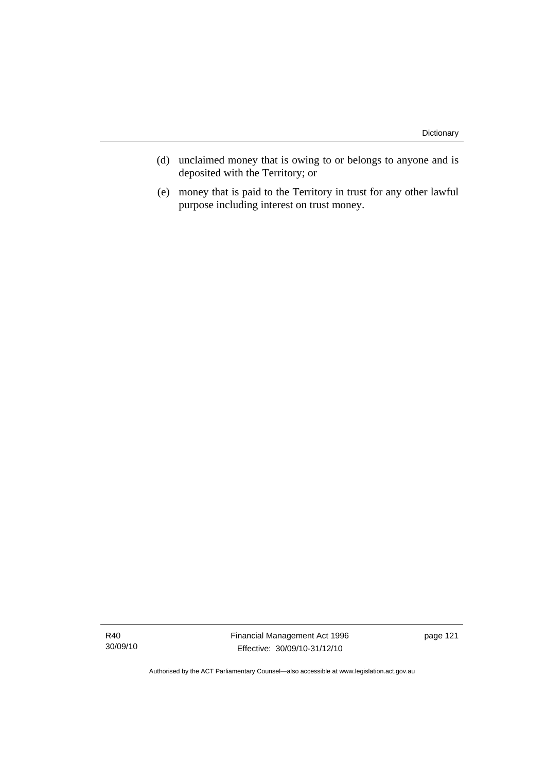- (d) unclaimed money that is owing to or belongs to anyone and is deposited with the Territory; or
- (e) money that is paid to the Territory in trust for any other lawful purpose including interest on trust money.

Financial Management Act 1996 Effective: 30/09/10-31/12/10

page 121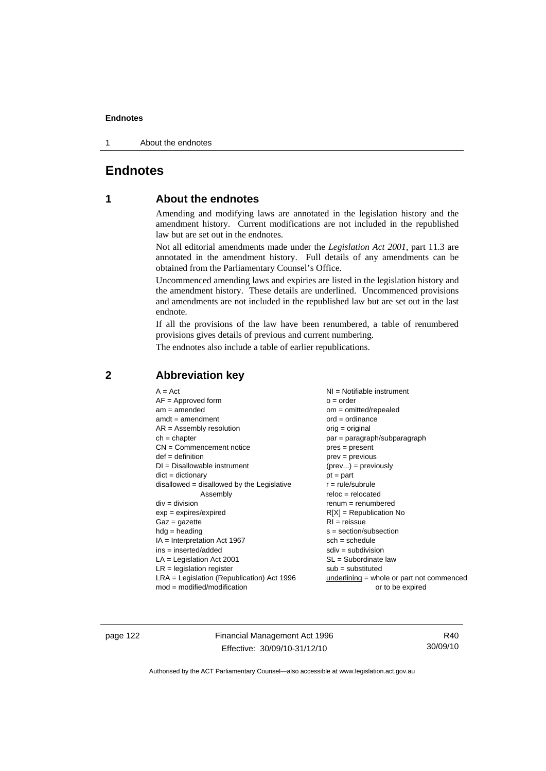1 About the endnotes

# **Endnotes**

# **1 About the endnotes**

Amending and modifying laws are annotated in the legislation history and the amendment history. Current modifications are not included in the republished law but are set out in the endnotes.

Not all editorial amendments made under the *Legislation Act 2001*, part 11.3 are annotated in the amendment history. Full details of any amendments can be obtained from the Parliamentary Counsel's Office.

Uncommenced amending laws and expiries are listed in the legislation history and the amendment history. These details are underlined. Uncommenced provisions and amendments are not included in the republished law but are set out in the last endnote.

If all the provisions of the law have been renumbered, a table of renumbered provisions gives details of previous and current numbering.

The endnotes also include a table of earlier republications.

| $A = Act$                                    | $NI = Notifiable$ instrument              |
|----------------------------------------------|-------------------------------------------|
| $AF =$ Approved form                         | $o = order$                               |
| $am = amended$                               | $om = omitted/repealed$                   |
| $amdt = amendment$                           | $ord = ordinance$                         |
| $AR = Assembly resolution$                   | $orig = original$                         |
| $ch = chapter$                               | par = paragraph/subparagraph              |
| $CN =$ Commencement notice                   | $pres = present$                          |
| $def = definition$                           | $prev = previous$                         |
| $DI = Disallowable instrument$               | $(\text{prev}) = \text{previously}$       |
| $dict = dictionary$                          | $pt = part$                               |
| $disallowed = disallowed by the Legislative$ | $r = rule/subrule$                        |
| Assembly                                     | $reloc = relocated$                       |
| $div = division$                             | $remum = renumbered$                      |
| $exp = expires/expired$                      | $R[X]$ = Republication No                 |
| $Gaz = gazette$                              | $RI = reissue$                            |
| $hdg =$ heading                              | $s = section/subsection$                  |
| $IA = Interpretation Act 1967$               | $sch = schedule$                          |
| $ins = inserted/added$                       | $sdiv = subdivision$                      |
| $LA =$ Legislation Act 2001                  | $SL = Subordinate$ law                    |
| $LR =$ legislation register                  | $sub =$ substituted                       |
| $LRA =$ Legislation (Republication) Act 1996 | underlining = whole or part not commenced |
| $mod = modified/mol$                         | or to be expired                          |
|                                              |                                           |

# **2 Abbreviation key**

page 122 Financial Management Act 1996 Effective: 30/09/10-31/12/10

R40 30/09/10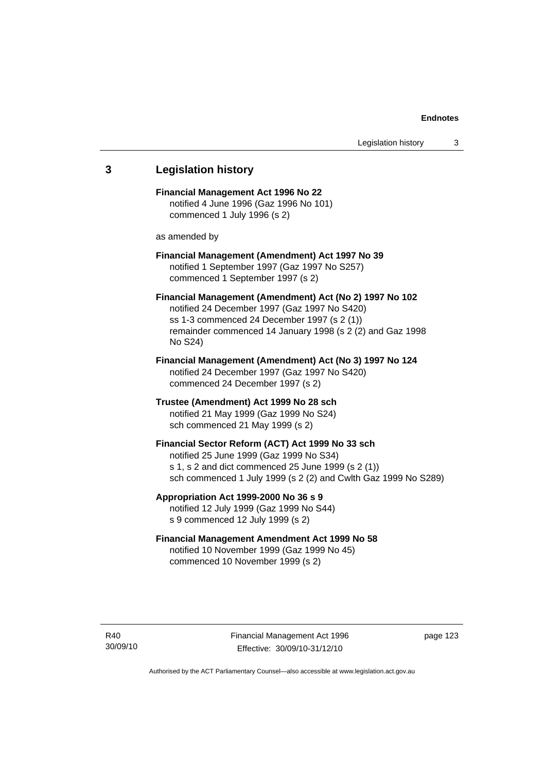# **3 Legislation history Financial Management Act 1996 No 22**  notified 4 June 1996 (Gaz 1996 No 101) commenced 1 July 1996 (s 2) as amended by **Financial Management (Amendment) Act 1997 No 39**  notified 1 September 1997 (Gaz 1997 No S257) commenced 1 September 1997 (s 2) **Financial Management (Amendment) Act (No 2) 1997 No 102**  notified 24 December 1997 (Gaz 1997 No S420) ss 1-3 commenced 24 December 1997 (s 2 (1)) remainder commenced 14 January 1998 (s 2 (2) and Gaz 1998 No S24) **Financial Management (Amendment) Act (No 3) 1997 No 124**  notified 24 December 1997 (Gaz 1997 No S420) commenced 24 December 1997 (s 2) **Trustee (Amendment) Act 1999 No 28 sch**  notified 21 May 1999 (Gaz 1999 No S24) sch commenced 21 May 1999 (s 2) **Financial Sector Reform (ACT) Act 1999 No 33 sch**  notified 25 June 1999 (Gaz 1999 No S34) s 1, s 2 and dict commenced 25 June 1999 (s 2 (1)) sch commenced 1 July 1999 (s 2 (2) and Cwlth Gaz 1999 No S289) **Appropriation Act 1999-2000 No 36 s 9**  notified 12 July 1999 (Gaz 1999 No S44) s 9 commenced 12 July 1999 (s 2) **Financial Management Amendment Act 1999 No 58**  notified 10 November 1999 (Gaz 1999 No 45) commenced 10 November 1999 (s 2)

page 123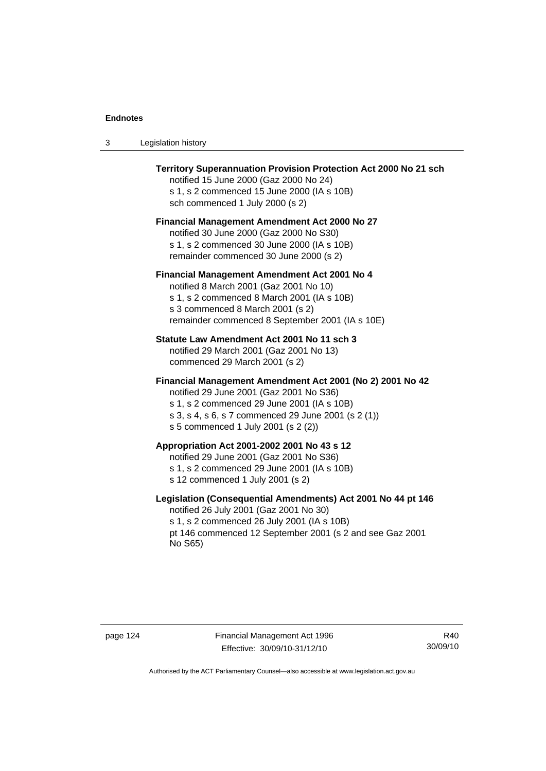| Legislation history<br>- 3 |  |
|----------------------------|--|
|----------------------------|--|

| <b>Territory Superannuation Provision Protection Act 2000 No 21 sch</b><br>notified 15 June 2000 (Gaz 2000 No 24)<br>s 1, s 2 commenced 15 June 2000 (IA s 10B)<br>sch commenced 1 July 2000 (s 2)                                               |
|--------------------------------------------------------------------------------------------------------------------------------------------------------------------------------------------------------------------------------------------------|
| Financial Management Amendment Act 2000 No 27<br>notified 30 June 2000 (Gaz 2000 No S30)<br>s 1, s 2 commenced 30 June 2000 (IA s 10B)<br>remainder commenced 30 June 2000 (s 2)                                                                 |
| <b>Financial Management Amendment Act 2001 No 4</b><br>notified 8 March 2001 (Gaz 2001 No 10)<br>s 1, s 2 commenced 8 March 2001 (IA s 10B)<br>s 3 commenced 8 March 2001 (s 2)<br>remainder commenced 8 September 2001 (IA s 10E)               |
| Statute Law Amendment Act 2001 No 11 sch 3<br>notified 29 March 2001 (Gaz 2001 No 13)<br>commenced 29 March 2001 (s 2)                                                                                                                           |
| Financial Management Amendment Act 2001 (No 2) 2001 No 42<br>notified 29 June 2001 (Gaz 2001 No S36)<br>s 1, s 2 commenced 29 June 2001 (IA s 10B)<br>s 3, s 4, s 6, s 7 commenced 29 June 2001 (s 2 (1))<br>s 5 commenced 1 July 2001 (s 2 (2)) |
| Appropriation Act 2001-2002 2001 No 43 s 12<br>notified 29 June 2001 (Gaz 2001 No S36)<br>s 1, s 2 commenced 29 June 2001 (IA s 10B)<br>s 12 commenced 1 July 2001 (s 2)                                                                         |
| Legislation (Consequential Amendments) Act 2001 No 44 pt 146<br>notified 26 July 2001 (Gaz 2001 No 30)<br>s 1, s 2 commenced 26 July 2001 (IA s 10B)<br>pt 146 commenced 12 September 2001 (s 2 and see Gaz 2001<br>No S65)                      |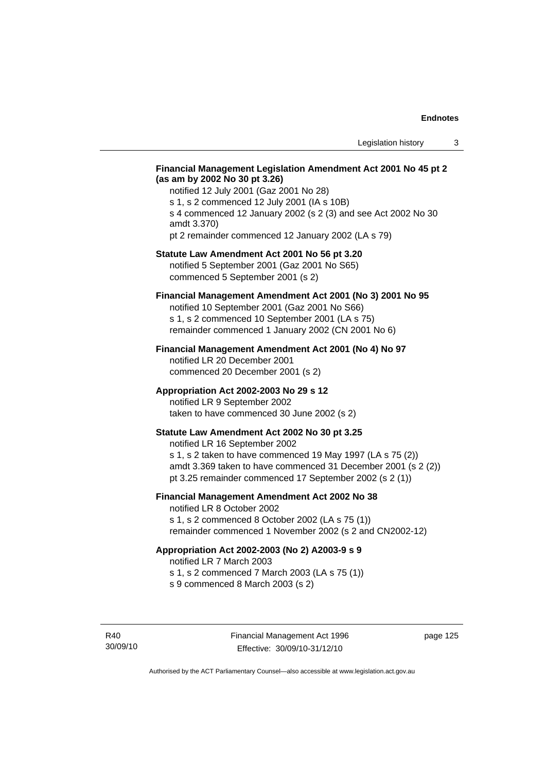## **Financial Management Legislation Amendment Act 2001 No 45 pt 2 (as am by 2002 No 30 pt 3.26)**

notified 12 July 2001 (Gaz 2001 No 28) s 1, s 2 commenced 12 July 2001 (IA s 10B) s 4 commenced 12 January 2002 (s 2 (3) and see Act 2002 No 30 amdt 3.370) pt 2 remainder commenced 12 January 2002 (LA s 79)

#### **Statute Law Amendment Act 2001 No 56 pt 3.20**

notified 5 September 2001 (Gaz 2001 No S65) commenced 5 September 2001 (s 2)

## **Financial Management Amendment Act 2001 (No 3) 2001 No 95**

notified 10 September 2001 (Gaz 2001 No S66) s 1, s 2 commenced 10 September 2001 (LA s 75) remainder commenced 1 January 2002 (CN 2001 No 6)

#### **Financial Management Amendment Act 2001 (No 4) No 97**

notified LR 20 December 2001 commenced 20 December 2001 (s 2)

#### **Appropriation Act 2002-2003 No 29 s 12**

notified LR 9 September 2002 taken to have commenced 30 June 2002 (s 2)

## **Statute Law Amendment Act 2002 No 30 pt 3.25**

notified LR 16 September 2002 s 1, s 2 taken to have commenced 19 May 1997 (LA s 75 (2)) amdt 3.369 taken to have commenced 31 December 2001 (s 2 (2)) pt 3.25 remainder commenced 17 September 2002 (s 2 (1))

## **Financial Management Amendment Act 2002 No 38**

notified LR 8 October 2002 s 1, s 2 commenced 8 October 2002 (LA s 75 (1)) remainder commenced 1 November 2002 (s 2 and CN2002-12)

#### **Appropriation Act 2002-2003 (No 2) A2003-9 s 9**

notified LR 7 March 2003

s 1, s 2 commenced 7 March 2003 (LA s 75 (1))

s 9 commenced 8 March 2003 (s 2)

R40 30/09/10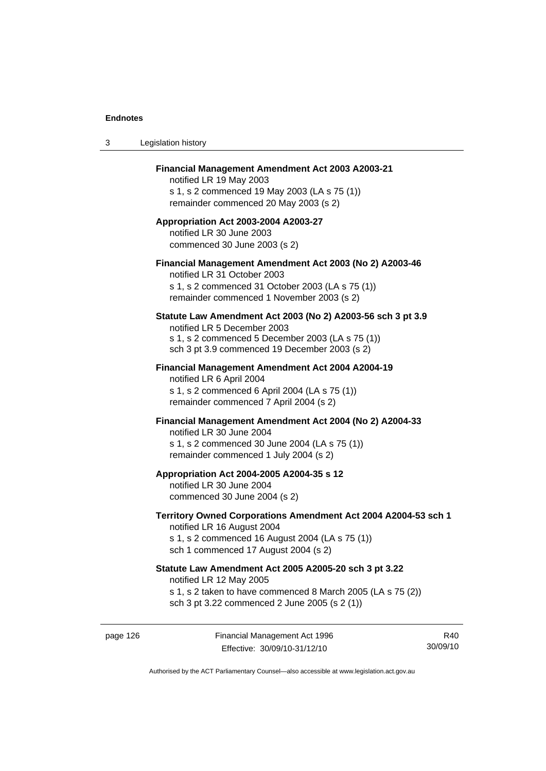| 3 | Legislation history                                                                                                                                                                              |
|---|--------------------------------------------------------------------------------------------------------------------------------------------------------------------------------------------------|
|   | Financial Management Amendment Act 2003 A2003-21<br>notified LR 19 May 2003<br>s 1, s 2 commenced 19 May 2003 (LA s 75 (1))<br>remainder commenced 20 May 2003 (s 2)                             |
|   | Appropriation Act 2003-2004 A2003-27<br>notified LR 30 June 2003<br>commenced 30 June 2003 (s 2)                                                                                                 |
|   | Financial Management Amendment Act 2003 (No 2) A2003-46<br>notified LR 31 October 2003<br>s 1, s 2 commenced 31 October 2003 (LA s 75 (1))<br>remainder commenced 1 November 2003 (s 2)          |
|   | Statute Law Amendment Act 2003 (No 2) A2003-56 sch 3 pt 3.9<br>notified LR 5 December 2003<br>s 1, s 2 commenced 5 December 2003 (LA s 75 (1))<br>sch 3 pt 3.9 commenced 19 December 2003 (s 2)  |
|   | <b>Financial Management Amendment Act 2004 A2004-19</b><br>notified LR 6 April 2004<br>s 1, s 2 commenced 6 April 2004 (LA s 75 (1))<br>remainder commenced 7 April 2004 (s 2)                   |
|   | Financial Management Amendment Act 2004 (No 2) A2004-33<br>notified LR 30 June 2004<br>s 1, s 2 commenced 30 June 2004 (LA s 75 (1))<br>remainder commenced 1 July 2004 (s 2)                    |
|   | Appropriation Act 2004-2005 A2004-35 s 12<br>notified LR 30 June 2004<br>commenced 30 June 2004 (s 2)                                                                                            |
|   | Territory Owned Corporations Amendment Act 2004 A2004-53 sch 1<br>notified LR 16 August 2004<br>s 1, s 2 commenced 16 August 2004 (LA s 75 (1))<br>sch 1 commenced 17 August 2004 (s 2)          |
|   | Statute Law Amendment Act 2005 A2005-20 sch 3 pt 3.22<br>notified LR 12 May 2005<br>s 1, s 2 taken to have commenced 8 March 2005 (LA s 75 (2))<br>sch 3 pt 3.22 commenced 2 June 2005 (s 2 (1)) |
|   |                                                                                                                                                                                                  |

page 126 Financial Management Act 1996 Effective: 30/09/10-31/12/10

R40 30/09/10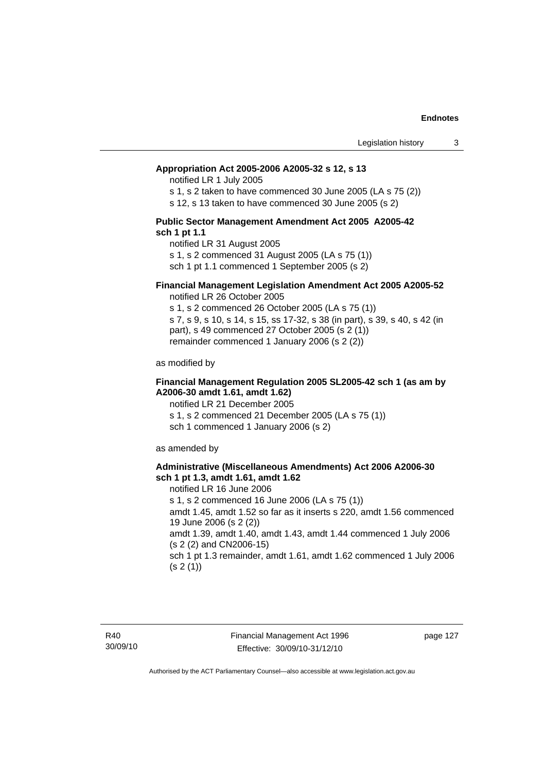#### **Appropriation Act 2005-2006 A2005-32 s 12, s 13**

notified LR 1 July 2005

s 1, s 2 taken to have commenced 30 June 2005 (LA s 75 (2))

s 12, s 13 taken to have commenced 30 June 2005 (s 2)

#### **Public Sector Management Amendment Act 2005 A2005-42 sch 1 pt 1.1**

notified LR 31 August 2005 s 1, s 2 commenced 31 August 2005 (LA s 75 (1)) sch 1 pt 1.1 commenced 1 September 2005 (s 2)

## **Financial Management Legislation Amendment Act 2005 A2005-52**

notified LR 26 October 2005

s 1, s 2 commenced 26 October 2005 (LA s 75 (1)) s 7, s 9, s 10, s 14, s 15, ss 17-32, s 38 (in part), s 39, s 40, s 42 (in part), s 49 commenced 27 October 2005 (s 2 (1)) remainder commenced 1 January 2006 (s 2 (2))

as modified by

## **Financial Management Regulation 2005 SL2005-42 sch 1 (as am by A2006-30 amdt 1.61, amdt 1.62)**

notified LR 21 December 2005 s 1, s 2 commenced 21 December 2005 (LA s 75 (1)) sch 1 commenced 1 January 2006 (s 2)

as amended by

#### **Administrative (Miscellaneous Amendments) Act 2006 A2006-30 sch 1 pt 1.3, amdt 1.61, amdt 1.62**

notified LR 16 June 2006 s 1, s 2 commenced 16 June 2006 (LA s 75 (1)) amdt 1.45, amdt 1.52 so far as it inserts s 220, amdt 1.56 commenced 19 June 2006 (s 2 (2)) amdt 1.39, amdt 1.40, amdt 1.43, amdt 1.44 commenced 1 July 2006 (s 2 (2) and CN2006-15) sch 1 pt 1.3 remainder, amdt 1.61, amdt 1.62 commenced 1 July 2006  $(s 2(1))$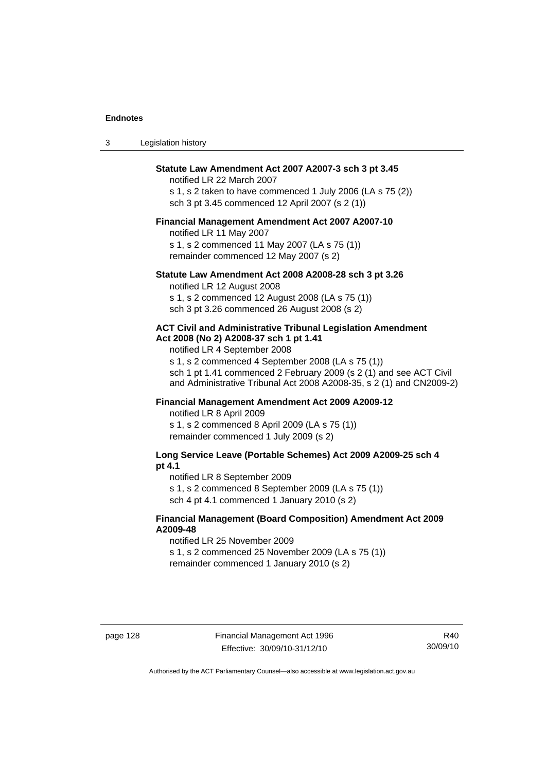| Legislation history |  |
|---------------------|--|
|---------------------|--|

## **Statute Law Amendment Act 2007 A2007-3 sch 3 pt 3.45**

notified LR 22 March 2007 s 1, s 2 taken to have commenced 1 July 2006 (LA s 75 (2)) sch 3 pt 3.45 commenced 12 April 2007 (s 2 (1))

#### **Financial Management Amendment Act 2007 A2007-10**

notified LR 11 May 2007 s 1, s 2 commenced 11 May 2007 (LA s 75 (1)) remainder commenced 12 May 2007 (s 2)

#### **Statute Law Amendment Act 2008 A2008-28 sch 3 pt 3.26**

notified LR 12 August 2008 s 1, s 2 commenced 12 August 2008 (LA s 75 (1)) sch 3 pt 3.26 commenced 26 August 2008 (s 2)

#### **ACT Civil and Administrative Tribunal Legislation Amendment Act 2008 (No 2) A2008-37 sch 1 pt 1.41**

notified LR 4 September 2008

s 1, s 2 commenced 4 September 2008 (LA s 75 (1)) sch 1 pt 1.41 commenced 2 February 2009 (s 2 (1) and see ACT Civil and Administrative Tribunal Act 2008 A2008-35, s 2 (1) and CN2009-2)

# **Financial Management Amendment Act 2009 A2009-12**

notified LR 8 April 2009

s 1, s 2 commenced 8 April 2009 (LA s 75 (1)) remainder commenced 1 July 2009 (s 2)

## **Long Service Leave (Portable Schemes) Act 2009 A2009-25 sch 4 pt 4.1**

notified LR 8 September 2009

s 1, s 2 commenced 8 September 2009 (LA s 75 (1))

sch 4 pt 4.1 commenced 1 January 2010 (s 2)

## **Financial Management (Board Composition) Amendment Act 2009 A2009-48**

notified LR 25 November 2009

s 1, s 2 commenced 25 November 2009 (LA s 75 (1))

remainder commenced 1 January 2010 (s 2)

R40 30/09/10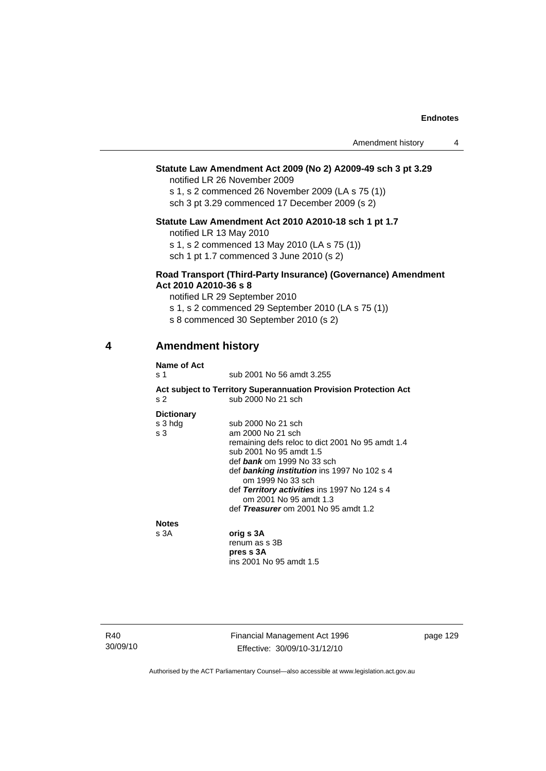## **Statute Law Amendment Act 2009 (No 2) A2009-49 sch 3 pt 3.29**

notified LR 26 November 2009

s 1, s 2 commenced 26 November 2009 (LA s 75 (1)) sch 3 pt 3.29 commenced 17 December 2009 (s 2)

## **Statute Law Amendment Act 2010 A2010-18 sch 1 pt 1.7**

notified LR 13 May 2010

s 1, s 2 commenced 13 May 2010 (LA s 75 (1))

sch 1 pt 1.7 commenced 3 June 2010 (s 2)

## **Road Transport (Third-Party Insurance) (Governance) Amendment Act 2010 A2010-36 s 8**

notified LR 29 September 2010

s 1, s 2 commenced 29 September 2010 (LA s 75 (1))

s 8 commenced 30 September 2010 (s 2)

# **4 Amendment history**

| Name of Act       |                                                                        |
|-------------------|------------------------------------------------------------------------|
| s 1               | sub 2001 No 56 amdt 3.255                                              |
|                   | Act subject to Territory Superannuation Provision Protection Act       |
| s <sub>2</sub>    | sub 2000 No 21 sch                                                     |
| <b>Dictionary</b> |                                                                        |
| s 3 hdg           | sub 2000 No 21 sch                                                     |
| s <sub>3</sub>    | am 2000 No 21 sch                                                      |
|                   | remaining defs reloc to dict 2001 No 95 amdt 1.4                       |
|                   | sub 2001 No 95 amdt 1.5                                                |
|                   | def bank om 1999 No 33 sch                                             |
|                   | def banking institution ins 1997 No 102 s 4<br>om 1999 No 33 sch       |
|                   | def Territory activities ins 1997 No 124 s 4<br>om 2001 No 95 amdt 1.3 |
|                   | def Treasurer om 2001 No 95 amdt 1.2                                   |
| <b>Notes</b>      |                                                                        |
| s 3A              | orig s 3A                                                              |
|                   | renum as s 3B                                                          |
|                   | pres s 3A                                                              |
|                   | ins 2001 No 95 amdt 1.5                                                |

R40 30/09/10 Financial Management Act 1996 Effective: 30/09/10-31/12/10

page 129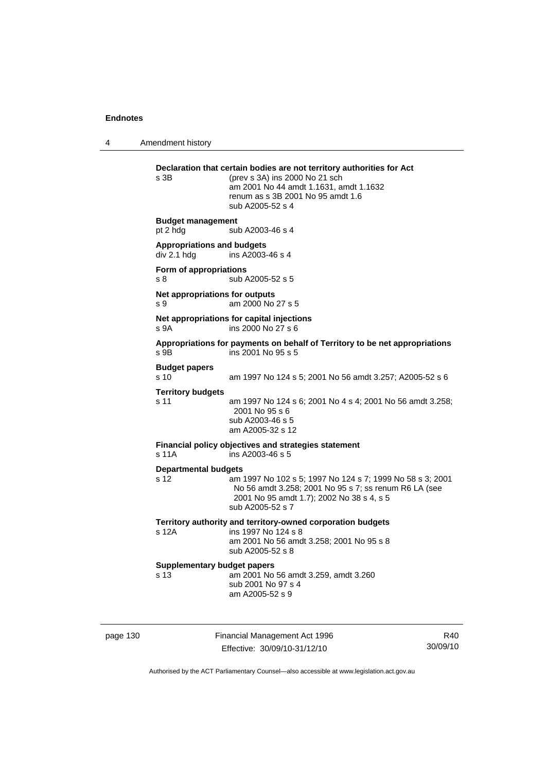4 Amendment history

```
page 130 Financial Management Act 1996 
                                                                  R40
Declaration that certain bodies are not territory authorities for Act 
s 3B (prev s 3A) ins 2000 No 21 sch
                  am 2001 No 44 amdt 1.1631, amdt 1.1632 
                  renum as s 3B 2001 No 95 amdt 1.6 
                  sub A2005-52 s 4 
Budget management 
pt 2 hdg sub A2003-46 s 4
Appropriations and budgets 
                 ins A2003-46 s 4
Form of appropriations 
s 8 sub A2005-52 s 5
Net appropriations for outputs
s 9 am 2000 No 27 s 5 
Net appropriations for capital injections
s 9A ins 2000 No 27 s 6 
Appropriations for payments on behalf of Territory to be net appropriations 
s 9B ins 2001 No 95 s 5 
Budget papers 
s 10 am 1997 No 124 s 5; 2001 No 56 amdt 3.257; A2005-52 s 6 
Territory budgets 
s 11 am 1997 No 124 s 6; 2001 No 4 s 4; 2001 No 56 amdt 3.258; 
                  2001 No 95 s 6 
                  sub A2003-46 s 5 
                  am A2005-32 s 12 
Financial policy objectives and strategies statement 
s 11A ins A2003-46 s 5 
Departmental budgets
s 12 am 1997 No 102 s 5; 1997 No 124 s 7; 1999 No 58 s 3; 2001 
                  No 56 amdt 3.258; 2001 No 95 s 7; ss renum R6 LA (see 
                  2001 No 95 amdt 1.7); 2002 No 38 s 4, s 5 
                  sub A2005-52 s 7 
Territory authority and territory-owned corporation budgets 
s 12A ins 1997 No 124 s 8 
                  am 2001 No 56 amdt 3.258; 2001 No 95 s 8 
                  sub A2005-52 s 8 
Supplementary budget papers 
s 13 am 2001 No 56 amdt 3.259, amdt 3.260 
                  sub 2001 No 97 s 4 
                  am A2005-52 s 9
```
Authorised by the ACT Parliamentary Counsel—also accessible at www.legislation.act.gov.au

Effective: 30/09/10-31/12/10

30/09/10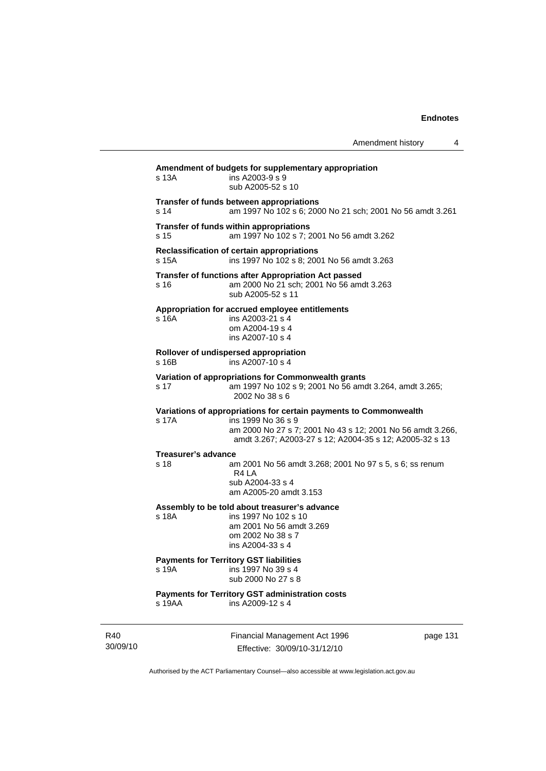|                     |                                                                                                                                                                                                                  | Amendment history | 4 |
|---------------------|------------------------------------------------------------------------------------------------------------------------------------------------------------------------------------------------------------------|-------------------|---|
| s 13A               | Amendment of budgets for supplementary appropriation<br>ins A2003-9 s 9<br>sub A2005-52 s 10                                                                                                                     |                   |   |
| s 14                | Transfer of funds between appropriations<br>am 1997 No 102 s 6; 2000 No 21 sch; 2001 No 56 amdt 3.261                                                                                                            |                   |   |
| s 15                | Transfer of funds within appropriations<br>am 1997 No 102 s 7; 2001 No 56 amdt 3.262                                                                                                                             |                   |   |
| s 15A               | <b>Reclassification of certain appropriations</b><br>ins 1997 No 102 s 8; 2001 No 56 amdt 3.263                                                                                                                  |                   |   |
| s 16                | <b>Transfer of functions after Appropriation Act passed</b><br>am 2000 No 21 sch; 2001 No 56 amdt 3.263<br>sub A2005-52 s 11                                                                                     |                   |   |
| s 16A               | Appropriation for accrued employee entitlements<br>ins A2003-21 s 4<br>om A2004-19 s 4<br>ins A2007-10 s 4                                                                                                       |                   |   |
| $s$ 16 $B$          | Rollover of undispersed appropriation<br>ins A2007-10 s 4                                                                                                                                                        |                   |   |
| s 17                | Variation of appropriations for Commonwealth grants<br>am 1997 No 102 s 9; 2001 No 56 amdt 3.264, amdt 3.265;<br>2002 No 38 s 6                                                                                  |                   |   |
| s 17A               | Variations of appropriations for certain payments to Commonwealth<br>ins 1999 No 36 s 9<br>am 2000 No 27 s 7; 2001 No 43 s 12; 2001 No 56 amdt 3.266,<br>amdt 3.267; A2003-27 s 12; A2004-35 s 12; A2005-32 s 13 |                   |   |
| Treasurer's advance |                                                                                                                                                                                                                  |                   |   |
| s 18                | am 2001 No 56 amdt 3.268; 2001 No 97 s 5, s 6; ss renum<br>R4 LA<br>sub A2004-33 s 4<br>am A2005-20 amdt 3.153                                                                                                   |                   |   |
|                     | Assembly to be told about treasurer's advance                                                                                                                                                                    |                   |   |
| s 18A               | ins 1997 No 102 s 10<br>am 2001 No 56 amdt 3.269<br>om 2002 No 38 s 7<br>ins A2004-33 s 4                                                                                                                        |                   |   |
|                     | <b>Payments for Territory GST liabilities</b>                                                                                                                                                                    |                   |   |
| s 19A               | ins 1997 No 39 s 4<br>sub 2000 No 27 s 8                                                                                                                                                                         |                   |   |
| s 19AA              | Payments for Territory GST administration costs<br>ins A2009-12 s 4                                                                                                                                              |                   |   |

R40 30/09/10 Financial Management Act 1996 Effective: 30/09/10-31/12/10

page 131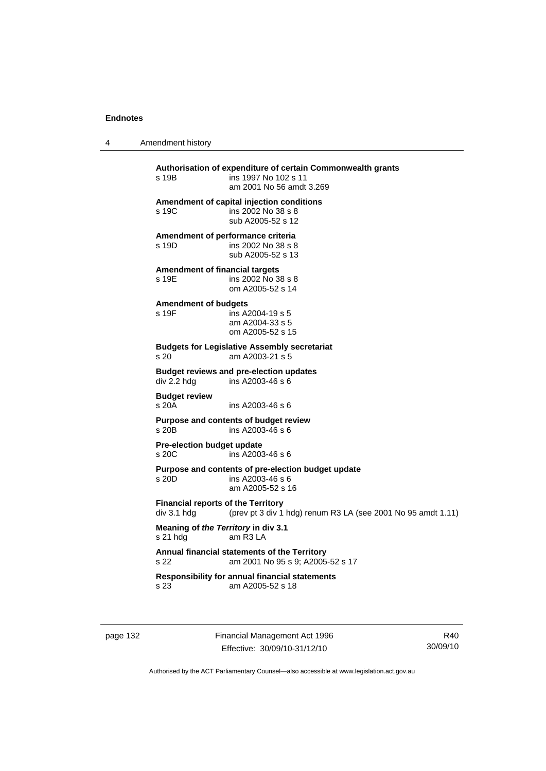4 Amendment history

**Authorisation of expenditure of certain Commonwealth grants**  s 19B ins 1997 No 102 s 11 am 2001 No 56 amdt 3.269 **Amendment of capital injection conditions**  s 19C ins 2002 No 38 s 8 sub A2005-52 s 12 **Amendment of performance criteria**  s 19D ins 2002 No 38 s 8 sub A2005-52 s 13 **Amendment of financial targets**  s 19E ins 2002 No 38 s 8 om A2005-52 s 14 **Amendment of budgets**  s 19F ins A2004-19 s 5 am A2004-33 s 5 om A2005-52 s 15 **Budgets for Legislative Assembly secretariat**  s 20 am A2003-21 s 5 **Budget reviews and pre-election updates**   $div 2.2$  hdg ins A2003-46 s 6 **Budget review**  s 20A ins A2003-46 s 6 **Purpose and contents of budget review**  s 20B ins A2003-46 s 6 **Pre-election budget update**  s 20C ins A2003-46 s 6 **Purpose and contents of pre-election budget update**   $ins A2003-46 s 6$  am A2005-52 s 16 **Financial reports of the Territory**  div 3.1 hdg (prev pt 3 div 1 hdg) renum R3 LA (see 2001 No 95 amdt 1.11) **Meaning of** *the Territory* **in div 3.1** s 21 hdg am R3 LA am R<sub>3</sub> L<sub>A</sub> **Annual financial statements of the Territory**  s 22 am 2001 No 95 s 9; A2005-52 s 17 **Responsibility for annual financial statements s** 23 am A2005-52 **s** 18 am A2005-52 s 18

page 132 Financial Management Act 1996 Effective: 30/09/10-31/12/10

R40 30/09/10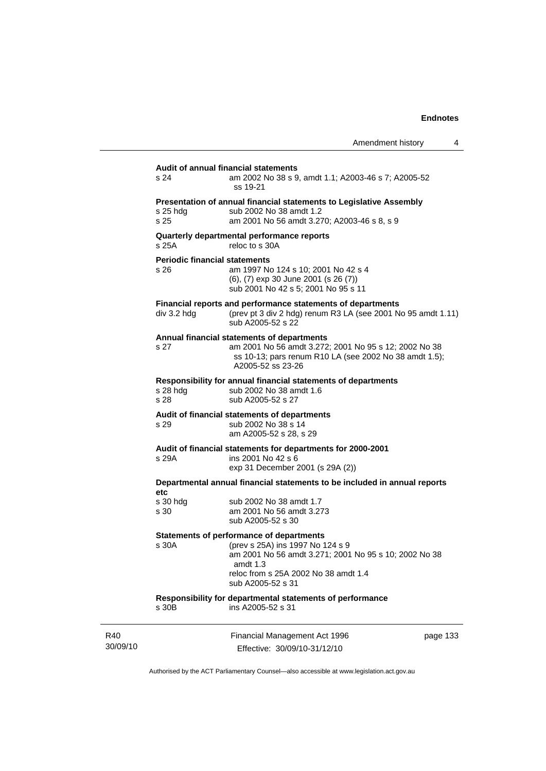|                                              | Amendment history                                                                                                                                                                                                       | 4        |
|----------------------------------------------|-------------------------------------------------------------------------------------------------------------------------------------------------------------------------------------------------------------------------|----------|
| s 24                                         | Audit of annual financial statements<br>am 2002 No 38 s 9, amdt 1.1; A2003-46 s 7; A2005-52<br>ss 19-21                                                                                                                 |          |
| s 25 hdg<br>s 25                             | Presentation of annual financial statements to Legislative Assembly<br>sub 2002 No 38 amdt 1.2<br>am 2001 No 56 amdt 3.270; A2003-46 s 8, s 9                                                                           |          |
| s 25A                                        | Quarterly departmental performance reports<br>reloc to s 30A                                                                                                                                                            |          |
| <b>Periodic financial statements</b><br>s 26 | am 1997 No 124 s 10; 2001 No 42 s 4<br>(6), (7) exp 30 June 2001 (s 26 (7))<br>sub 2001 No 42 s 5; 2001 No 95 s 11                                                                                                      |          |
| div 3.2 hdg                                  | Financial reports and performance statements of departments<br>(prev pt 3 div 2 hdg) renum R3 LA (see 2001 No 95 amdt 1.11)<br>sub A2005-52 s 22                                                                        |          |
| s 27                                         | Annual financial statements of departments<br>am 2001 No 56 amdt 3.272; 2001 No 95 s 12; 2002 No 38<br>ss 10-13; pars renum R10 LA (see 2002 No 38 amdt 1.5);<br>A2005-52 ss 23-26                                      |          |
| $s$ 28 hdg<br>s 28                           | Responsibility for annual financial statements of departments<br>sub 2002 No 38 amdt 1.6<br>sub A2005-52 s 27                                                                                                           |          |
| s 29                                         | Audit of financial statements of departments<br>sub 2002 No 38 s 14<br>am A2005-52 s 28, s 29                                                                                                                           |          |
| s 29A                                        | Audit of financial statements for departments for 2000-2001<br>ins 2001 No 42 s 6<br>exp 31 December 2001 (s 29A (2))                                                                                                   |          |
|                                              | Departmental annual financial statements to be included in annual reports                                                                                                                                               |          |
| etc<br>s 30 hdg<br>s 30                      | sub 2002 No 38 amdt 1.7<br>am 2001 No 56 amdt 3.273<br>sub A2005-52 s 30                                                                                                                                                |          |
| s 30A                                        | <b>Statements of performance of departments</b><br>(prev s 25A) ins 1997 No 124 s 9<br>am 2001 No 56 amdt 3.271; 2001 No 95 s 10; 2002 No 38<br>amdt $1.3$<br>reloc from s 25A 2002 No 38 amdt 1.4<br>sub A2005-52 s 31 |          |
| s 30B                                        | Responsibility for departmental statements of performance<br>ins A2005-52 s 31                                                                                                                                          |          |
|                                              | Financial Management Act 1996                                                                                                                                                                                           | page 133 |

Authorised by the ACT Parliamentary Counsel—also accessible at www.legislation.act.gov.au

Effective: 30/09/10-31/12/10

R40 30/09/10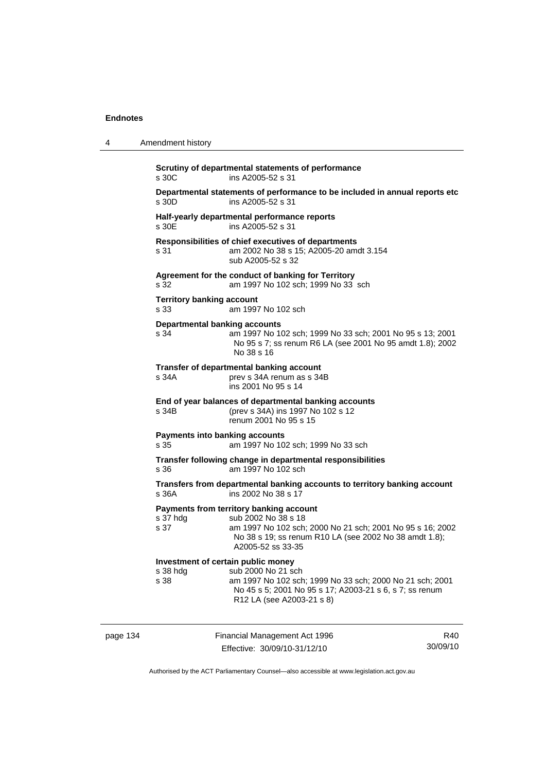| 4        | Amendment history                                                                                                                                                                                                                |  |
|----------|----------------------------------------------------------------------------------------------------------------------------------------------------------------------------------------------------------------------------------|--|
|          | Scrutiny of departmental statements of performance<br>s 30C<br>ins A2005-52 s 31                                                                                                                                                 |  |
|          | Departmental statements of performance to be included in annual reports etc<br>ins A2005-52 s 31<br>s 30D                                                                                                                        |  |
|          | Half-yearly departmental performance reports<br>s 30E<br>ins A2005-52 s 31                                                                                                                                                       |  |
|          | Responsibilities of chief executives of departments<br>am 2002 No 38 s 15; A2005-20 amdt 3.154<br>s 31<br>sub A2005-52 s 32                                                                                                      |  |
|          | Agreement for the conduct of banking for Territory<br>s 32<br>am 1997 No 102 sch; 1999 No 33 sch                                                                                                                                 |  |
|          | <b>Territory banking account</b><br>am 1997 No 102 sch<br>s 33                                                                                                                                                                   |  |
|          | <b>Departmental banking accounts</b><br>am 1997 No 102 sch; 1999 No 33 sch; 2001 No 95 s 13; 2001<br>s 34<br>No 95 s 7; ss renum R6 LA (see 2001 No 95 amdt 1.8); 2002<br>No 38 s 16                                             |  |
|          | Transfer of departmental banking account<br>s 34A<br>prev s 34A renum as s 34B<br>ins 2001 No 95 s 14                                                                                                                            |  |
|          | End of year balances of departmental banking accounts<br>(prev s 34A) ins 1997 No 102 s 12<br>s 34B<br>renum 2001 No 95 s 15                                                                                                     |  |
|          | <b>Payments into banking accounts</b><br>s 35<br>am 1997 No 102 sch; 1999 No 33 sch                                                                                                                                              |  |
|          | Transfer following change in departmental responsibilities<br>s 36<br>am 1997 No 102 sch                                                                                                                                         |  |
|          | Transfers from departmental banking accounts to territory banking account<br>ins 2002 No 38 s 17<br>s 36A                                                                                                                        |  |
|          | Payments from territory banking account<br>sub 2002 No 38 s 18<br>s 37 hdg<br>s 37<br>am 1997 No 102 sch; 2000 No 21 sch; 2001 No 95 s 16; 2002<br>No 38 s 19; ss renum R10 LA (see 2002 No 38 amdt 1.8);<br>A2005-52 ss 33-35   |  |
|          | Investment of certain public money<br>sub 2000 No 21 sch<br>s 38 hdg<br>am 1997 No 102 sch; 1999 No 33 sch; 2000 No 21 sch; 2001<br>s 38<br>No 45 s 5; 2001 No 95 s 17; A2003-21 s 6, s 7; ss renum<br>R12 LA (see A2003-21 s 8) |  |
| page 134 | Financial Management Act 1996<br>R40                                                                                                                                                                                             |  |

Authorised by the ACT Parliamentary Counsel—also accessible at www.legislation.act.gov.au

30/09/10

Effective: 30/09/10-31/12/10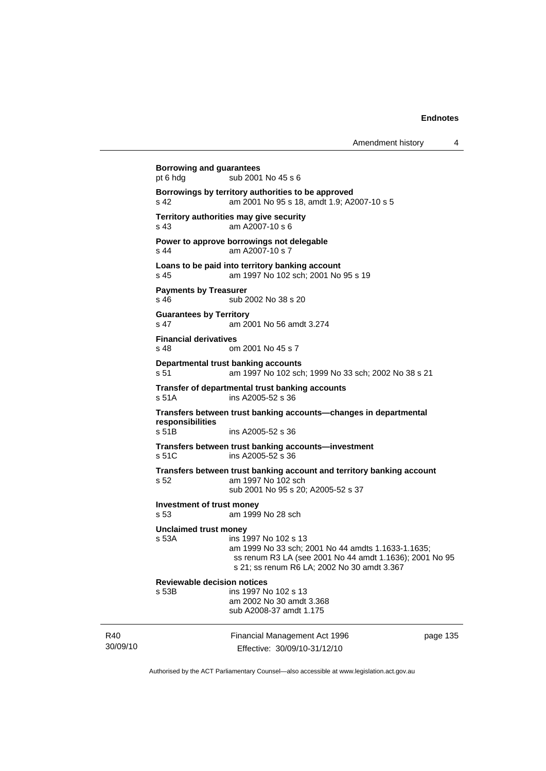| Amendment history |  |
|-------------------|--|
|-------------------|--|

30/09/10 Financial Management Act 1996 Effective: 30/09/10-31/12/10 page 135 **Borrowing and guarantees**  pt 6 hdg sub 2001 No 45 s 6 **Borrowings by territory authorities to be approved**  s 42 am 2001 No 95 s 18, amdt 1.9; A2007-10 s 5 **Territory authorities may give security**  s 43 am A2007-10 s 6 **Power to approve borrowings not delegable**  s 44 am A2007-10 s 7 **Loans to be paid into territory banking account** s 45 am 1997 No 102 sch; 2001 No 95 s 19 **Payments by Treasurer**  s 46 sub 2002 No 38 s 20 **Guarantees by Territory**  s 47 am 2001 No 56 amdt 3.274 **Financial derivatives**  s 48 om 2001 No 45 s 7 **Departmental trust banking accounts** s 51 am 1997 No 102 sch; 1999 No 33 sch; 2002 No 38 s 21 **Transfer of departmental trust banking accounts**  s 51A ins A2005-52 s 36 **Transfers between trust banking accounts—changes in departmental responsibilities**  s 51B ins A2005-52 s 36 **Transfers between trust banking accounts—investment**  s 51C ins A2005-52 s 36 **Transfers between trust banking account and territory banking account**  s 52 am 1997 No 102 sch sub 2001 No 95 s 20; A2005-52 s 37 **Investment of trust money**  s 53 am 1999 No 28 sch **Unclaimed trust money**  s 53A ins 1997 No 102 s 13 am 1999 No 33 sch; 2001 No 44 amdts 1.1633-1.1635; ss renum R3 LA (see 2001 No 44 amdt 1.1636); 2001 No 95 s 21; ss renum R6 LA; 2002 No 30 amdt 3.367 **Reviewable decision notices**  s 53B ins 1997 No 102 s 13 am 2002 No 30 amdt 3.368 sub A2008-37 amdt 1.175

Authorised by the ACT Parliamentary Counsel—also accessible at www.legislation.act.gov.au

R40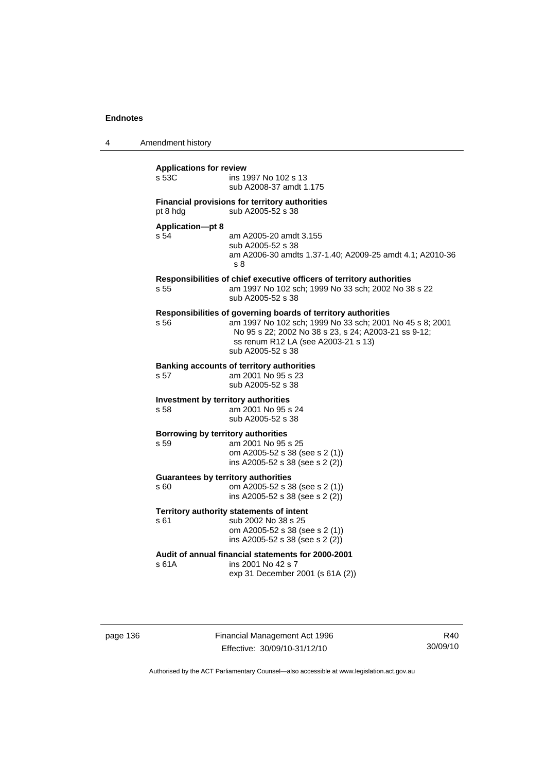| 4 | Amendment history |  |
|---|-------------------|--|
|---|-------------------|--|

| <b>Applications for review</b><br>s 53C     | ins 1997 No 102 s 13<br>sub A2008-37 amdt 1.175                                                                                                                                                                                               |  |  |
|---------------------------------------------|-----------------------------------------------------------------------------------------------------------------------------------------------------------------------------------------------------------------------------------------------|--|--|
| pt 8 hdg                                    | Financial provisions for territory authorities<br>sub A2005-52 s 38                                                                                                                                                                           |  |  |
| <b>Application-pt 8</b><br>s 54             | am A2005-20 amdt 3.155<br>sub A2005-52 s 38<br>am A2006-30 amdts 1.37-1.40; A2009-25 amdt 4.1; A2010-36<br>s 8                                                                                                                                |  |  |
| s 55                                        | Responsibilities of chief executive officers of territory authorities<br>am 1997 No 102 sch; 1999 No 33 sch; 2002 No 38 s 22<br>sub A2005-52 s 38                                                                                             |  |  |
| s 56                                        | Responsibilities of governing boards of territory authorities<br>am 1997 No 102 sch; 1999 No 33 sch; 2001 No 45 s 8; 2001<br>No 95 s 22; 2002 No 38 s 23, s 24; A2003-21 ss 9-12;<br>ss renum R12 LA (see A2003-21 s 13)<br>sub A2005-52 s 38 |  |  |
| s 57                                        | <b>Banking accounts of territory authorities</b><br>am 2001 No 95 s 23<br>sub A2005-52 s 38                                                                                                                                                   |  |  |
| Investment by territory authorities<br>s 58 | am 2001 No 95 s 24<br>sub A2005-52 s 38                                                                                                                                                                                                       |  |  |
| Borrowing by territory authorities<br>s 59  | am 2001 No 95 s 25<br>om A2005-52 s 38 (see s 2 (1))<br>ins A2005-52 s 38 (see s 2 (2))                                                                                                                                                       |  |  |
| s 60                                        | <b>Guarantees by territory authorities</b><br>om A2005-52 s 38 (see s 2 (1))<br>ins A2005-52 s 38 (see s 2 (2))                                                                                                                               |  |  |
| s 61                                        | Territory authority statements of intent<br>sub 2002 No 38 s 25<br>om A2005-52 s 38 (see s 2 (1))<br>ins A2005-52 s 38 (see s 2 (2))                                                                                                          |  |  |
| s 61A                                       | Audit of annual financial statements for 2000-2001<br>ins 2001 No 42 s 7<br>exp 31 December 2001 (s 61A (2))                                                                                                                                  |  |  |

page 136 Financial Management Act 1996 Effective: 30/09/10-31/12/10

R40 30/09/10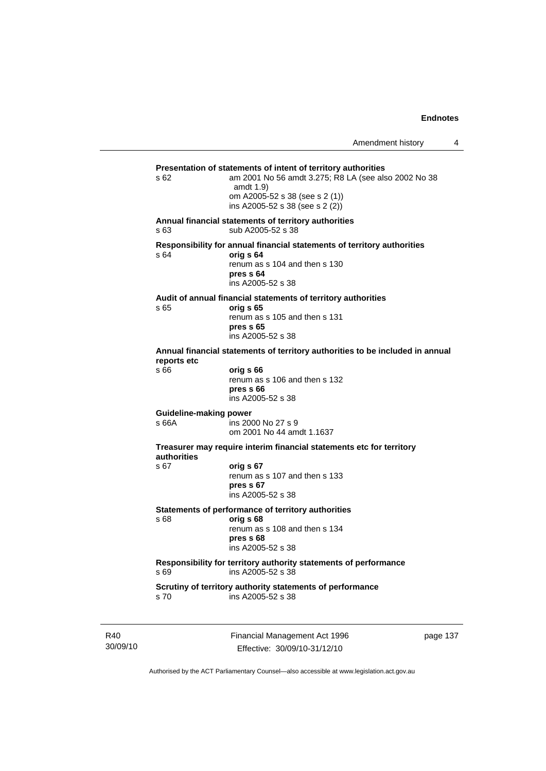```
Presentation of statements of intent of territory authorities 
s 62 am 2001 No 56 amdt 3.275; R8 LA (see also 2002 No 38 
                   amdt 1.9) 
                   om A2005-52 s 38 (see s 2 (1)) 
                   ins A2005-52 s 38 (see s 2 (2)) 
Annual financial statements of territory authorities 
s 63 sub A2005-52 s 38 
Responsibility for annual financial statements of territory authorities 
s 64 orig s 64
                   renum as s 104 and then s 130 
                  pres s 64 
                   ins A2005-52 s 38 
Audit of annual financial statements of territory authorities 
s 65 orig s 65 
                  renum as s 105 and then s 131 
                  pres s 65 
                   ins A2005-52 s 38 
Annual financial statements of territory authorities to be included in annual 
reports etc 
s 66 orig s 66 
                  renum as s 106 and then s 132 
                  pres s 66 
                   ins A2005-52 s 38 
Guideline-making power 
s 66A ins 2000 No 27 s 9 
                   om 2001 No 44 amdt 1.1637 
Treasurer may require interim financial statements etc for territory 
authorities
s 67 orig s 67 
                  renum as s 107 and then s 133 
                  pres s 67 
                   ins A2005-52 s 38 
Statements of performance of territory authorities 
s 68 orig s 68 
                  renum as s 108 and then s 134 
                  pres s 68 
                   ins A2005-52 s 38 
Responsibility for territory authority statements of performance 
s 69 ins A2005-52 s 38 
Scrutiny of territory authority statements of performance 
                  ins A2005-52 s 38
```
R40 30/09/10 Financial Management Act 1996 Effective: 30/09/10-31/12/10

page 137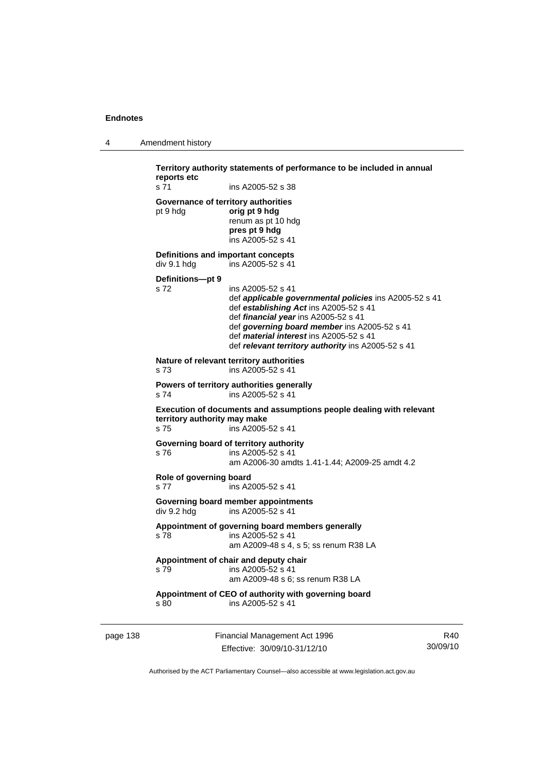|  | Amendment history |
|--|-------------------|
|--|-------------------|

**Territory authority statements of performance to be included in annual reports etc**  s 71 ins A2005-52 s 38 **Governance of territory authorities**  pt 9 hdg **orig pt 9 hdg**  renum as pt 10 hdg **pres pt 9 hdg**  ins A2005-52 s 41 **Definitions and important concepts**  div 9.1 hdg ins A2005-52 s 41 **Definitions—pt 9**  s 72 ins A2005-52 s 41 def *applicable governmental policies* ins A2005-52 s 41 def *establishing Act* ins A2005-52 s 41 def *financial year* ins A2005-52 s 41 def *governing board member* ins A2005-52 s 41 def *material interest* ins A2005-52 s 41 def *relevant territory authority* ins A2005-52 s 41 **Nature of relevant territory authorities**  s 73 ins A2005-52 s 41 **Powers of territory authorities generally**  s 74 ins A2005-52 s 41 **Execution of documents and assumptions people dealing with relevant territory authority may make**  s 75 ins A2005-52 s 41 **Governing board of territory authority**  s 76 ins A2005-52 s 41 am A2006-30 amdts 1.41-1.44; A2009-25 amdt 4.2 **Role of governing board**  s 77 ins A2005-52 s 41 **Governing board member appointments**  div 9.2 hdg ins A2005-52 s 41 **Appointment of governing board members generally**  s 78 ins A2005-52 s 41 am A2009-48 s 4, s 5; ss renum R38 LA **Appointment of chair and deputy chair**  s 79 ins A2005-52 s 41 am A2009-48 s 6; ss renum R38 LA **Appointment of CEO of authority with governing board**  s 80 ins A2005-52 s 41

page 138 Financial Management Act 1996 Effective: 30/09/10-31/12/10

R40 30/09/10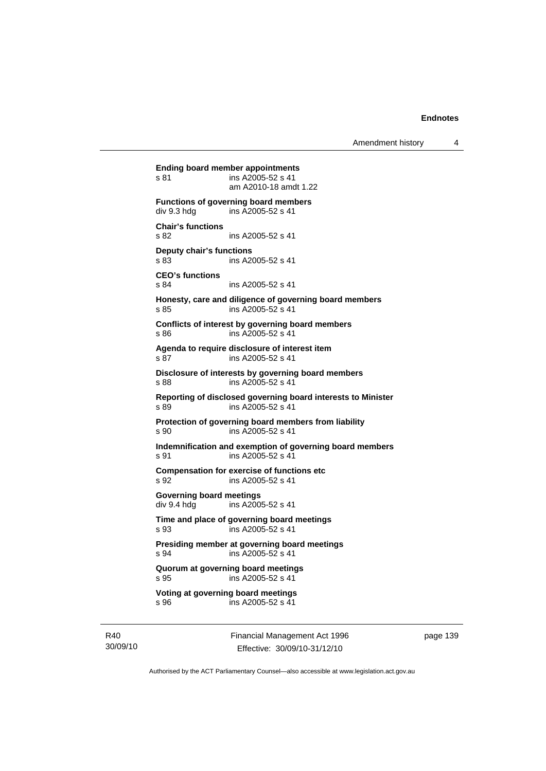**Ending board member appointments**  s 81 ins A2005-52 s 41 am A2010-18 amdt 1.22 **Functions of governing board members**<br>div 9.3 hdg ins A2005-52 s 41 ins A2005-52 s 41 **Chair's functions**  s 82 ins A2005-52 s 41 **Deputy chair's functions**  s 83 ins A2005-52 s 41 **CEO's functions**  s 84 ins A2005-52 s 41 **Honesty, care and diligence of governing board members**  s 85 ins A2005-52 s 41 **Conflicts of interest by governing board members**  s 86 ins A2005-52 s 41 **Agenda to require disclosure of interest item**  s 87 ins A2005-52 s 41 **Disclosure of interests by governing board members**  s 88 ins A2005-52 s 41 **Reporting of disclosed governing board interests to Minister**  s 89 ins A2005-52 s 41 **Protection of governing board members from liability**  s 90 ins A2005-52 s 41 **Indemnification and exemption of governing board members**  s 91 ins A2005-52 s 41 **Compensation for exercise of functions etc**  s 92 ins A2005-52 s 41 **Governing board meetings**  div 9.4 hdg ins A2005-52 s 41 **Time and place of governing board meetings**  s 93 ins A2005-52 s 41 **Presiding member at governing board meetings**  s 94 ins A2005-52 s 41 **Quorum at governing board meetings**  s 95 ins A2005-52 s 41 **Voting at governing board meetings**  s 96 ins A2005-52 s 41

R40 30/09/10 Financial Management Act 1996 Effective: 30/09/10-31/12/10

page 139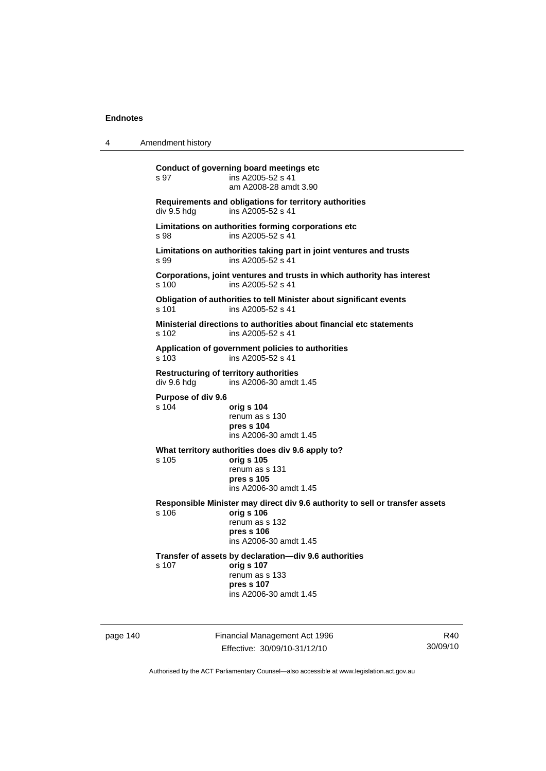| Amendment history<br>4 |  |
|------------------------|--|
|------------------------|--|

**Conduct of governing board meetings etc**  s 97 ins A2005-52 s 41 am A2008-28 amdt 3.90 **Requirements and obligations for territory authorities**  ins A2005-52 s 41 **Limitations on authorities forming corporations etc**  s 98 ins A2005-52 s 41 **Limitations on authorities taking part in joint ventures and trusts**  s 99 ins A2005-52 s 41 **Corporations, joint ventures and trusts in which authority has interest**  s 100 ins A2005-52 s 41 **Obligation of authorities to tell Minister about significant events**  s 101 ins A2005-52 s 41 **Ministerial directions to authorities about financial etc statements**  s 102 ins A2005-52 s 41 **Application of government policies to authorities**  s 103 ins A2005-52 s 41 **Restructuring of territory authorities**  div 9.6 hdg ins A2006-30 amdt 1.45 **Purpose of div 9.6**  s 104 **orig s 104** renum as s 130 **pres s 104**  ins A2006-30 amdt 1.45 **What territory authorities does div 9.6 apply to?**  s 105 **orig s 105** renum as s 131 **pres s 105**  ins A2006-30 amdt 1.45 **Responsible Minister may direct div 9.6 authority to sell or transfer assets**  s 106 **orig s 106** renum as s 132 **pres s 106**  ins A2006-30 amdt 1.45 **Transfer of assets by declaration—div 9.6 authorities**  s 107 **orig s 107** renum as s 133 **pres s 107**  ins A2006-30 amdt 1.45

page 140 Financial Management Act 1996 Effective: 30/09/10-31/12/10

R40 30/09/10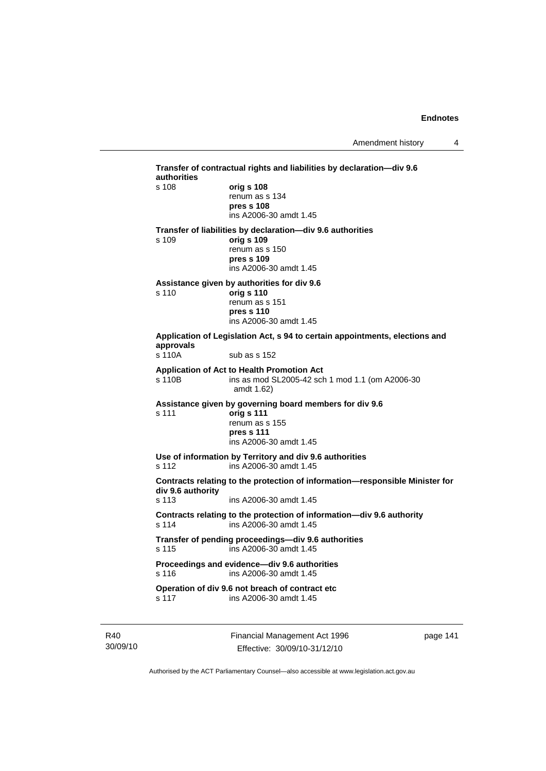| s 108             |                                                                                                 |
|-------------------|-------------------------------------------------------------------------------------------------|
|                   | orig s 108<br>renum as s 134                                                                    |
|                   | pres s 108                                                                                      |
|                   | ins A2006-30 amdt 1.45                                                                          |
|                   | Transfer of liabilities by declaration-div 9.6 authorities                                      |
| s 109             | orig s 109<br>renum as s 150                                                                    |
|                   | pres s 109                                                                                      |
|                   | ins A2006-30 amdt 1.45                                                                          |
|                   | Assistance given by authorities for div 9.6                                                     |
| s 110             | orig s 110                                                                                      |
|                   | renum as s 151<br>pres s 110                                                                    |
|                   | ins A2006-30 amdt 1.45                                                                          |
| approvals         | Application of Legislation Act, s 94 to certain appointments, elections and                     |
| s 110A            | sub as s 152                                                                                    |
|                   | Application of Act to Health Promotion Act                                                      |
| s 110B            | ins as mod SL2005-42 sch 1 mod 1.1 (om A2006-30<br>amdt 1.62)                                   |
|                   | Assistance given by governing board members for div 9.6                                         |
| s 111             | orig s 111<br>renum as s 155                                                                    |
|                   | pres s 111                                                                                      |
|                   | ins A2006-30 amdt 1.45                                                                          |
|                   | Use of information by Territory and div 9.6 authorities                                         |
| s 112             | ins A2006-30 amdt 1.45                                                                          |
| div 9.6 authority | Contracts relating to the protection of information-responsible Minister for                    |
| s 113             | ins A2006-30 amdt 1.45                                                                          |
| s 114             | Contracts relating to the protection of information-div 9.6 authority<br>ins A2006-30 amdt 1.45 |
| s 115             | Transfer of pending proceedings-div 9.6 authorities<br>ins A2006-30 amdt 1.45                   |
|                   | Proceedings and evidence-div 9.6 authorities                                                    |
| s 116             | ins A2006-30 amdt 1.45                                                                          |
|                   | Operation of div 9.6 not breach of contract etc                                                 |

R40 30/09/10 Financial Management Act 1996 Effective: 30/09/10-31/12/10

page 141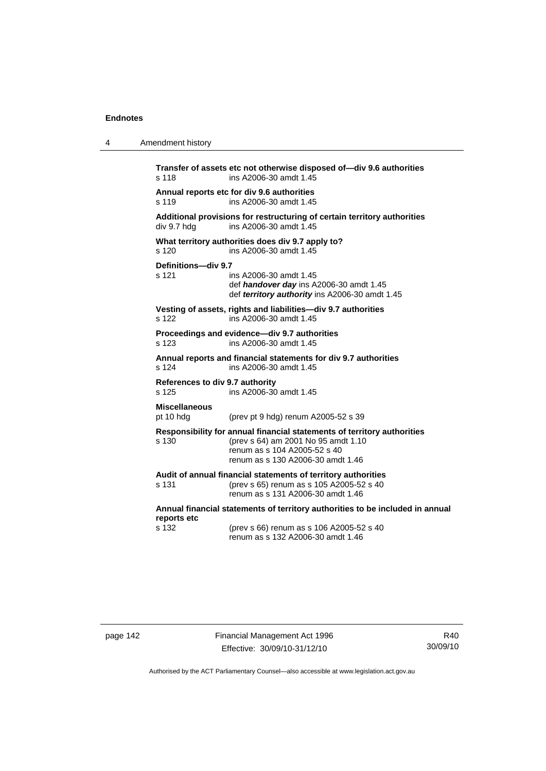| 4 | Amendment history                                                                                                                                                                            |  |  |
|---|----------------------------------------------------------------------------------------------------------------------------------------------------------------------------------------------|--|--|
|   | Transfer of assets etc not otherwise disposed of-div 9.6 authorities<br>ins A2006-30 amdt 1.45<br>s 118                                                                                      |  |  |
|   | Annual reports etc for div 9.6 authorities<br>ins A2006-30 amdt 1.45<br>s 119                                                                                                                |  |  |
|   | Additional provisions for restructuring of certain territory authorities<br>div 9.7 hdg<br>ins A2006-30 amdt 1.45                                                                            |  |  |
|   | What territory authorities does div 9.7 apply to?<br>s 120<br>ins A2006-30 amdt 1.45                                                                                                         |  |  |
|   | Definitions-div 9.7<br>s 121<br>ins A2006-30 amdt 1.45<br>def handover day ins A2006-30 amdt 1.45<br>def territory authority ins A2006-30 amdt 1.45                                          |  |  |
|   | Vesting of assets, rights and liabilities-div 9.7 authorities<br>s 122<br>ins A2006-30 amdt 1.45                                                                                             |  |  |
|   | Proceedings and evidence-div 9.7 authorities<br>s <sub>123</sub><br>ins A2006-30 amdt 1.45                                                                                                   |  |  |
|   | Annual reports and financial statements for div 9.7 authorities<br>s 124<br>ins A2006-30 amdt 1.45                                                                                           |  |  |
|   | References to div 9.7 authority<br>ins A2006-30 amdt 1.45<br>s 125                                                                                                                           |  |  |
|   | <b>Miscellaneous</b><br>pt 10 hdg<br>(prev pt 9 hdg) renum A2005-52 s 39                                                                                                                     |  |  |
|   | Responsibility for annual financial statements of territory authorities<br>(prev s 64) am 2001 No 95 amdt 1.10<br>s 130<br>renum as s 104 A2005-52 s 40<br>renum as s 130 A2006-30 amdt 1.46 |  |  |
|   | Audit of annual financial statements of territory authorities<br>s 131<br>(prev s 65) renum as s 105 A2005-52 s 40<br>renum as s 131 A2006-30 amdt 1.46                                      |  |  |
|   | Annual financial statements of territory authorities to be included in annual<br>reports etc                                                                                                 |  |  |
|   | s 132<br>(prev s 66) renum as s 106 A2005-52 s 40<br>renum as s 132 A2006-30 amdt 1.46                                                                                                       |  |  |
|   |                                                                                                                                                                                              |  |  |

page 142 Financial Management Act 1996 Effective: 30/09/10-31/12/10

R40 30/09/10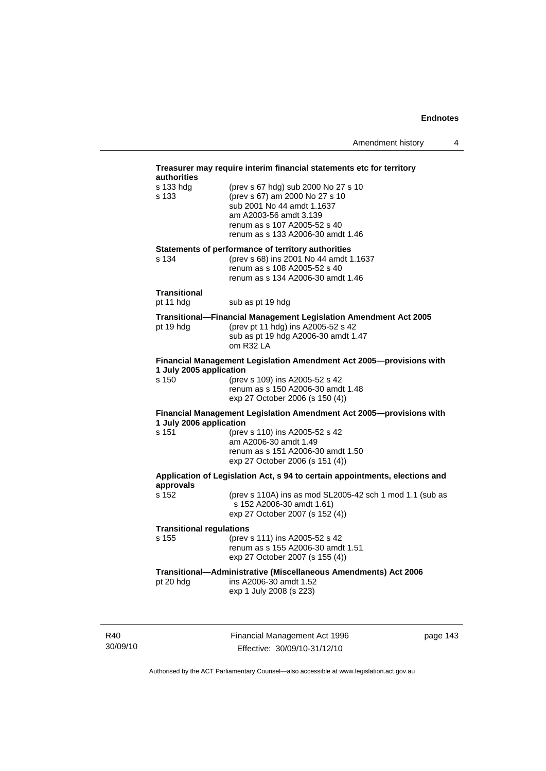| authorities                     | Treasurer may require interim financial statements etc for territory                                                                                                                               |
|---------------------------------|----------------------------------------------------------------------------------------------------------------------------------------------------------------------------------------------------|
| s 133 hda<br>s 133              | (prev s 67 hdg) sub 2000 No 27 s 10<br>(prev s 67) am 2000 No 27 s 10<br>sub 2001 No 44 amdt 1.1637<br>am A2003-56 amdt 3.139<br>renum as s 107 A2005-52 s 40<br>renum as s 133 A2006-30 amdt 1.46 |
|                                 | Statements of performance of territory authorities                                                                                                                                                 |
| s 134                           | (prev s 68) ins 2001 No 44 amdt 1.1637<br>renum as s 108 A2005-52 s 40<br>renum as s 134 A2006-30 amdt 1.46                                                                                        |
| Transitional<br>pt 11 hdg       | sub as pt 19 hdg                                                                                                                                                                                   |
| pt 19 hdg                       | Transitional-Financial Management Legislation Amendment Act 2005<br>(prev pt 11 hdg) ins A2005-52 s 42<br>sub as pt 19 hdg A2006-30 amdt 1.47<br>om R32 LA                                         |
| 1 July 2005 application         | Financial Management Legislation Amendment Act 2005-provisions with                                                                                                                                |
| s 150                           | (prev s 109) ins A2005-52 s 42<br>renum as s 150 A2006-30 amdt 1.48<br>exp 27 October 2006 (s 150 (4))                                                                                             |
| 1 July 2006 application         | Financial Management Legislation Amendment Act 2005-provisions with                                                                                                                                |
| s 151                           | (prev s 110) ins A2005-52 s 42<br>am A2006-30 amdt 1.49<br>renum as s 151 A2006-30 amdt 1.50<br>exp 27 October 2006 (s 151 (4))                                                                    |
| approvals                       | Application of Legislation Act, s 94 to certain appointments, elections and                                                                                                                        |
| s 152                           | (prev s 110A) ins as mod SL2005-42 sch 1 mod 1.1 (sub as<br>s 152 A2006-30 amdt 1.61)<br>exp 27 October 2007 (s 152 (4))                                                                           |
| <b>Transitional regulations</b> |                                                                                                                                                                                                    |
| s 155                           | (prev s 111) ins A2005-52 s 42<br>renum as s 155 A2006-30 amdt 1.51<br>exp 27 October 2007 (s 155 (4))                                                                                             |
| pt 20 hdg                       | Transitional-Administrative (Miscellaneous Amendments) Act 2006<br>ins A2006-30 amdt 1.52<br>exp 1 July 2008 (s 223)                                                                               |

R40 30/09/10 Financial Management Act 1996 Effective: 30/09/10-31/12/10

page 143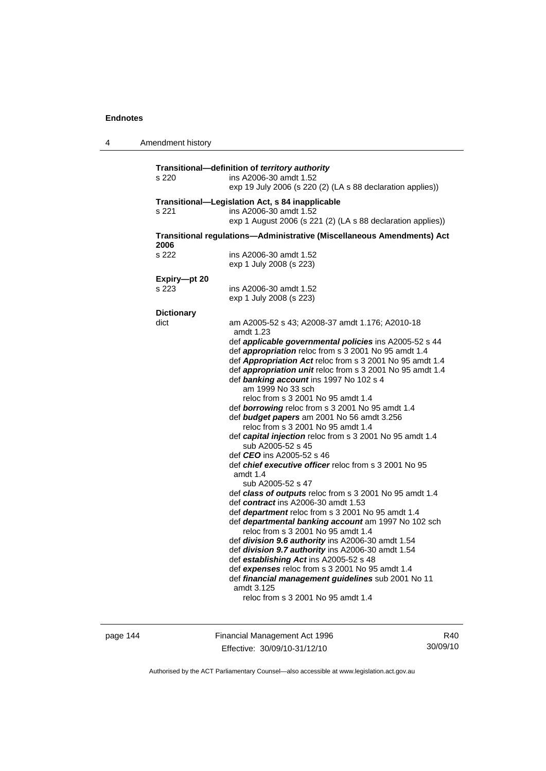| Amendment history                                                      |                                                                                                                                                                                                                                                                                                                                                                                                                                                                                                                                                                                                                                                                                                                                                                                                                                                                                                                                                                                                                                                                                                                                                                                                                                                                                                                                                  |
|------------------------------------------------------------------------|--------------------------------------------------------------------------------------------------------------------------------------------------------------------------------------------------------------------------------------------------------------------------------------------------------------------------------------------------------------------------------------------------------------------------------------------------------------------------------------------------------------------------------------------------------------------------------------------------------------------------------------------------------------------------------------------------------------------------------------------------------------------------------------------------------------------------------------------------------------------------------------------------------------------------------------------------------------------------------------------------------------------------------------------------------------------------------------------------------------------------------------------------------------------------------------------------------------------------------------------------------------------------------------------------------------------------------------------------|
| s 220                                                                  | Transitional-definition of territory authority<br>ins A2006-30 amdt 1.52<br>exp 19 July 2006 (s 220 (2) (LA s 88 declaration applies))                                                                                                                                                                                                                                                                                                                                                                                                                                                                                                                                                                                                                                                                                                                                                                                                                                                                                                                                                                                                                                                                                                                                                                                                           |
| s 221                                                                  | Transitional-Legislation Act, s 84 inapplicable<br>ins A2006-30 amdt 1.52<br>exp 1 August 2006 (s 221 (2) (LA s 88 declaration applies))                                                                                                                                                                                                                                                                                                                                                                                                                                                                                                                                                                                                                                                                                                                                                                                                                                                                                                                                                                                                                                                                                                                                                                                                         |
| Transitional regulations-Administrative (Miscellaneous Amendments) Act |                                                                                                                                                                                                                                                                                                                                                                                                                                                                                                                                                                                                                                                                                                                                                                                                                                                                                                                                                                                                                                                                                                                                                                                                                                                                                                                                                  |
| s 222                                                                  | ins A2006-30 amdt 1.52<br>exp 1 July 2008 (s 223)                                                                                                                                                                                                                                                                                                                                                                                                                                                                                                                                                                                                                                                                                                                                                                                                                                                                                                                                                                                                                                                                                                                                                                                                                                                                                                |
| Expiry-pt 20<br>s 223                                                  | ins A2006-30 amdt 1.52<br>exp 1 July 2008 (s 223)                                                                                                                                                                                                                                                                                                                                                                                                                                                                                                                                                                                                                                                                                                                                                                                                                                                                                                                                                                                                                                                                                                                                                                                                                                                                                                |
| <b>Dictionary</b><br>dict                                              | am A2005-52 s 43; A2008-37 amdt 1.176; A2010-18<br>amdt 1.23<br>def applicable governmental policies ins A2005-52 s 44<br>def appropriation reloc from s 3 2001 No 95 amdt 1.4<br>def Appropriation Act reloc from s 3 2001 No 95 amdt 1.4<br>def appropriation unit reloc from s 3 2001 No 95 amdt 1.4<br>def banking account ins 1997 No 102 s 4<br>am 1999 No 33 sch<br>reloc from s 3 2001 No 95 amdt 1.4<br>def borrowing reloc from s 3 2001 No 95 amdt 1.4<br>def budget papers am 2001 No 56 amdt 3.256<br>reloc from s 3 2001 No 95 amdt 1.4<br>def capital injection reloc from s 3 2001 No 95 amdt 1.4<br>sub A2005-52 s 45<br>def <i>CEO</i> ins A2005-52 s 46<br>def <i>chief executive officer</i> reloc from s 3 2001 No 95<br>amdt 1.4<br>sub A2005-52 s 47<br>def class of outputs reloc from s 3 2001 No 95 amdt 1.4<br>def contract ins A2006-30 amdt 1.53<br>def department reloc from s 3 2001 No 95 amdt 1.4<br>def departmental banking account am 1997 No 102 sch<br>reloc from s 3 2001 No 95 amdt 1.4<br>def division 9.6 authority ins A2006-30 amdt 1.54<br>def division 9.7 authority ins A2006-30 amdt 1.54<br>def establishing Act ins A2005-52 s 48<br>def expenses reloc from s 3 2001 No 95 amdt 1.4<br>def financial management guidelines sub 2001 No 11<br>amdt 3.125<br>reloc from s 3 2001 No 95 amdt 1.4 |
|                                                                        | 2006                                                                                                                                                                                                                                                                                                                                                                                                                                                                                                                                                                                                                                                                                                                                                                                                                                                                                                                                                                                                                                                                                                                                                                                                                                                                                                                                             |

page 144 Financial Management Act 1996 Effective: 30/09/10-31/12/10

R40 30/09/10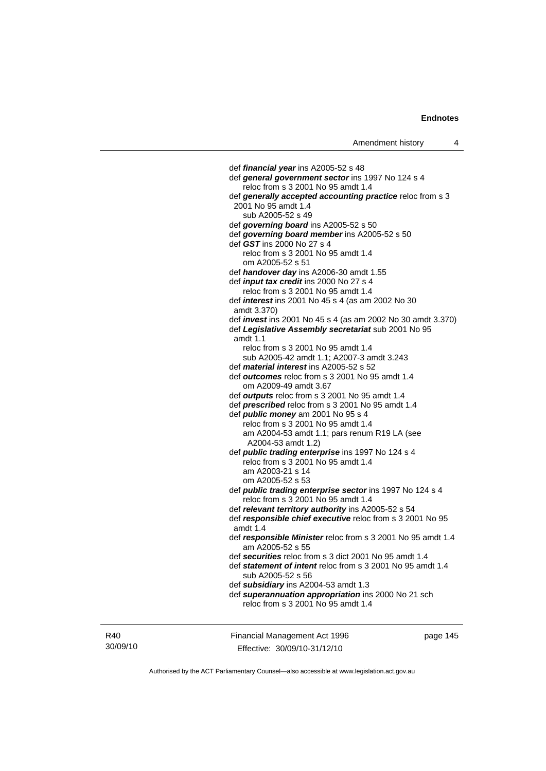def *financial year* ins A2005-52 s 48 def *general government sector* ins 1997 No 124 s 4 reloc from s 3 2001 No 95 amdt 1.4 def *generally accepted accounting practice* reloc from s 3 2001 No 95 amdt 1.4 sub A2005-52 s 49 def *governing board* ins A2005-52 s 50 def *governing board member* ins A2005-52 s 50 def *GST* ins 2000 No 27 s 4 reloc from s 3 2001 No 95 amdt 1.4 om A2005-52 s 51 def *handover day* ins A2006-30 amdt 1.55 def *input tax credit* ins 2000 No 27 s 4 reloc from s 3 2001 No 95 amdt 1.4 def *interest* ins 2001 No 45 s 4 (as am 2002 No 30 amdt 3.370) def *invest* ins 2001 No 45 s 4 (as am 2002 No 30 amdt 3.370) def *Legislative Assembly secretariat* sub 2001 No 95 amdt 1.1 reloc from s 3 2001 No 95 amdt 1.4 sub A2005-42 amdt 1.1; A2007-3 amdt 3.243 def *material interest* ins A2005-52 s 52 def *outcomes* reloc from s 3 2001 No 95 amdt 1.4 om A2009-49 amdt 3.67 def *outputs* reloc from s 3 2001 No 95 amdt 1.4 def *prescribed* reloc from s 3 2001 No 95 amdt 1.4 def *public money* am 2001 No 95 s 4 reloc from s 3 2001 No 95 amdt 1.4 am A2004-53 amdt 1.1; pars renum R19 LA (see A2004-53 amdt 1.2) def *public trading enterprise* ins 1997 No 124 s 4 reloc from s 3 2001 No 95 amdt 1.4 am A2003-21 s 14 om A2005-52 s 53 def *public trading enterprise sector* ins 1997 No 124 s 4 reloc from s 3 2001 No 95 amdt 1.4 def *relevant territory authority* ins A2005-52 s 54 def *responsible chief executive* reloc from s 3 2001 No 95 amdt 1.4 def *responsible Minister* reloc from s 3 2001 No 95 amdt 1.4 am A2005-52 s 55 def *securities* reloc from s 3 dict 2001 No 95 amdt 1.4 def *statement of intent* reloc from s 3 2001 No 95 amdt 1.4 sub A2005-52 s 56 def *subsidiary* ins A2004-53 amdt 1.3 def *superannuation appropriation* ins 2000 No 21 sch reloc from s 3 2001 No 95 amdt 1.4

R40 30/09/10 Financial Management Act 1996 Effective: 30/09/10-31/12/10

page 145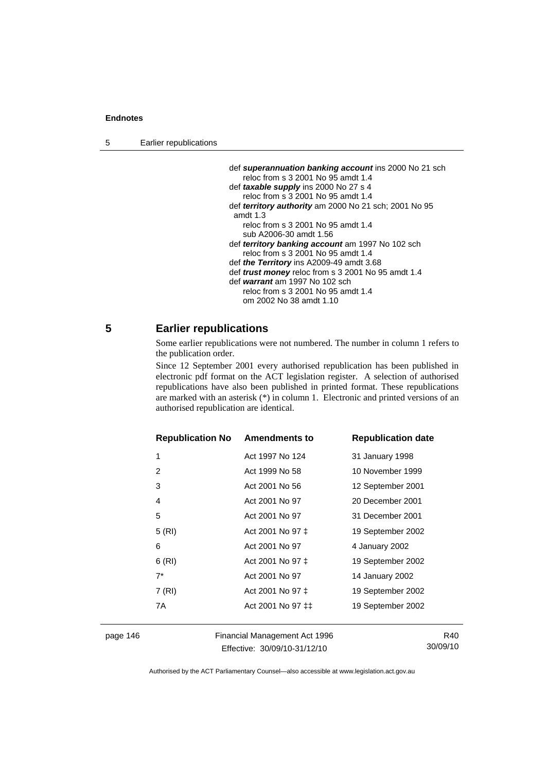5 Earlier republications

| def superannuation banking account ins 2000 No 21 sch        |
|--------------------------------------------------------------|
| reloc from s 3 2001 No 95 amdt 1.4                           |
| def taxable supply ins 2000 No 27 s 4                        |
| reloc from s 3 2001 No 95 amdt 1.4                           |
| def <i>territory authority</i> am 2000 No 21 sch; 2001 No 95 |
| amdt $1.3$                                                   |
| reloc from s 3 2001 No 95 amdt 1.4                           |
| sub A2006-30 amdt 1.56                                       |
| def <i>territory banking account</i> am 1997 No 102 sch      |
| reloc from s 3 2001 No 95 amdt 1.4                           |
| def the Territory ins A2009-49 amdt 3.68                     |
| def <i>trust money</i> reloc from s 3 2001 No 95 amdt 1.4    |
| def warrant am 1997 No 102 sch                               |
| reloc from s 3 2001 No 95 amdt 1.4                           |
| om 2002 No 38 amdt 1.10                                      |

# **5 Earlier republications**

Some earlier republications were not numbered. The number in column 1 refers to the publication order.

Since 12 September 2001 every authorised republication has been published in electronic pdf format on the ACT legislation register. A selection of authorised republications have also been published in printed format. These republications are marked with an asterisk (\*) in column 1. Electronic and printed versions of an authorised republication are identical.

| <b>Republication No</b> | <b>Amendments to</b>                                       | <b>Republication date</b> |
|-------------------------|------------------------------------------------------------|---------------------------|
| 1                       | Act 1997 No 124                                            | 31 January 1998           |
| 2                       | Act 1999 No 58                                             | 10 November 1999          |
| 3                       | Act 2001 No 56                                             | 12 September 2001         |
| 4                       | Act 2001 No 97                                             | 20 December 2001          |
| 5                       | Act 2001 No 97                                             | 31 December 2001          |
| 5(RI)                   | Act 2001 No 97 ‡                                           | 19 September 2002         |
| 6                       | Act 2001 No 97                                             | 4 January 2002            |
| 6(RI)                   | Act 2001 No 97 ‡                                           | 19 September 2002         |
| $7^*$                   | Act 2001 No 97                                             | 14 January 2002           |
| 7 (RI)                  | Act 2001 No 97 ‡                                           | 19 September 2002         |
| 7A                      | Act 2001 No 97 <sup><math>\pm</math><math>\pm</math></sup> | 19 September 2002         |
|                         |                                                            |                           |

page 146 Financial Management Act 1996 Effective: 30/09/10-31/12/10

R40 30/09/10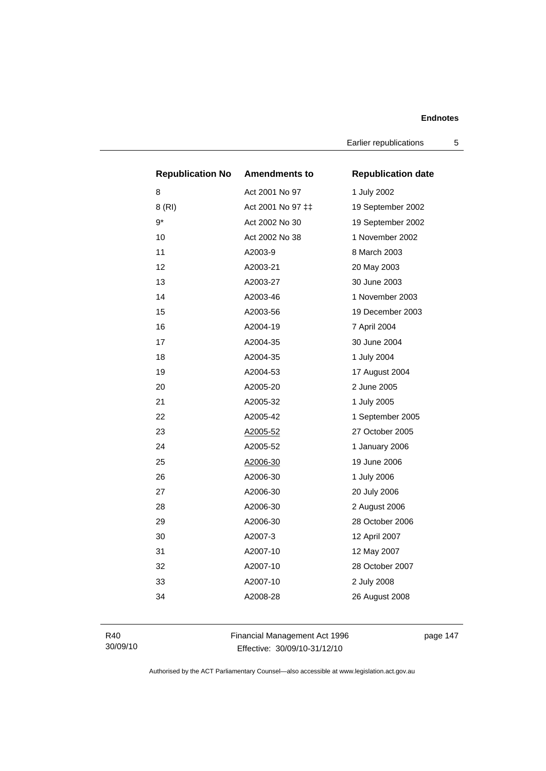Earlier republications 5

| <b>Republication No</b> | <b>Amendments to</b> | <b>Republication date</b> |
|-------------------------|----------------------|---------------------------|
| 8                       | Act 2001 No 97       | 1 July 2002               |
| 8 (RI)                  | Act 2001 No 97 ‡‡    | 19 September 2002         |
| $9*$                    | Act 2002 No 30       | 19 September 2002         |
| 10                      | Act 2002 No 38       | 1 November 2002           |
| 11                      | A2003-9              | 8 March 2003              |
| 12                      | A2003-21             | 20 May 2003               |
| 13                      | A2003-27             | 30 June 2003              |
| 14                      | A2003-46             | 1 November 2003           |
| 15                      | A2003-56             | 19 December 2003          |
| 16                      | A2004-19             | 7 April 2004              |
| 17                      | A2004-35             | 30 June 2004              |
| 18                      | A2004-35             | 1 July 2004               |
| 19                      | A2004-53             | 17 August 2004            |
| 20                      | A2005-20             | 2 June 2005               |
| 21                      | A2005-32             | 1 July 2005               |
| 22                      | A2005-42             | 1 September 2005          |
| 23                      | A2005-52             | 27 October 2005           |
| 24                      | A2005-52             | 1 January 2006            |
| 25                      | A2006-30             | 19 June 2006              |
| 26                      | A2006-30             | 1 July 2006               |
| 27                      | A2006-30             | 20 July 2006              |
| 28                      | A2006-30             | 2 August 2006             |
| 29                      | A2006-30             | 28 October 2006           |
| 30                      | A2007-3              | 12 April 2007             |
| 31                      | A2007-10             | 12 May 2007               |
| 32                      | A2007-10             | 28 October 2007           |
| 33                      | A2007-10             | 2 July 2008               |
| 34                      | A2008-28             | 26 August 2008            |
|                         |                      |                           |

R40 30/09/10 Financial Management Act 1996 Effective: 30/09/10-31/12/10

page 147